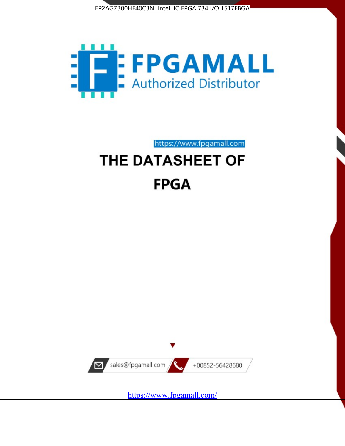



https://www.fpgamall.com

# THE DATASHEET OF **FPGA**



<https://www.fpgamall.com/>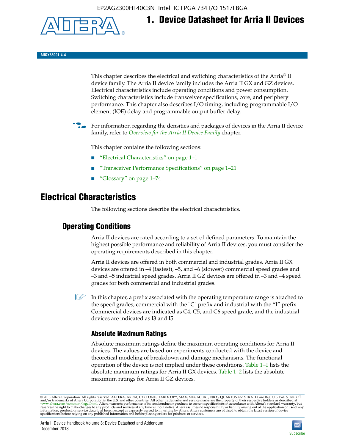EP2AGZ300HF40C3N Intel IC FPGA 734 I/O 1517FBGA



**AIIGX53001-4.4**

This chapter describes the electrical and switching characteristics of the Arria® II device family. The Arria II device family includes the Arria II GX and GZ devices. Electrical characteristics include operating conditions and power consumption. Switching characteristics include transceiver specifications, core, and periphery performance. This chapter also describes I/O timing, including programmable I/O element (IOE) delay and programmable output buffer delay.

**1. Device Datasheet for Arria II Devices**

For information regarding the densities and packages of devices in the Arria II device family, refer to *[Overview for the Arria II Device Family](http://www.altera.com/literature/hb/arria-ii-gx/aiigx_51001.pdf)* chapter.

This chapter contains the following sections:

- *"Electrical Characteristics"* on page 1–1
- "Transceiver Performance Specifications" on page 1–21
- "Glossary" on page 1–74

# **Electrical Characteristics**

The following sections describe the electrical characteristics.

# **Operating Conditions**

Arria II devices are rated according to a set of defined parameters. To maintain the highest possible performance and reliability of Arria II devices, you must consider the operating requirements described in this chapter.

Arria II devices are offered in both commercial and industrial grades. Arria II GX devices are offered in –4 (fastest), –5, and –6 (slowest) commercial speed grades and –3 and –5 industrial speed grades. Arria II GZ devices are offered in –3 and –4 speed grades for both commercial and industrial grades.

 $\Box$  In this chapter, a prefix associated with the operating temperature range is attached to the speed grades; commercial with the "C" prefix and industrial with the "I" prefix. Commercial devices are indicated as C4, C5, and C6 speed grade, and the industrial devices are indicated as I3 and I5.

# **Absolute Maximum Ratings**

Absolute maximum ratings define the maximum operating conditions for Arria II devices. The values are based on experiments conducted with the device and theoretical modeling of breakdown and damage mechanisms. The functional operation of the device is not implied under these conditions. Table 1–1 lists the absolute maximum ratings for Arria II GX devices. Table 1–2 lists the absolute maximum ratings for Arria II GZ devices.

© 2013 Altera Corporation. All rights reserved. ALTERA, ARRIA, CYCLONE, HARDCOPY, MAX, MEGACORE, NIOS, QUARTUS and STRATIX are Reg. U.S. Pat. & Tm. Off. [and/or trademarks of Altera Corporat](http://www.altera.com/common/legal.html)ion in the U.S. and other countri

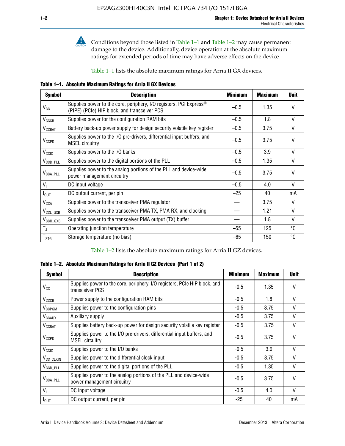

**Conditions beyond those listed in Table 1–1 and Table 1–2 may cause permanent** damage to the device. Additionally, device operation at the absolute maximum ratings for extended periods of time may have adverse effects on the device.

Table 1–1 lists the absolute maximum ratings for Arria II GX devices.

**Table 1–1. Absolute Maximum Ratings for Arria II GX Devices** 

| <b>Symbol</b>         | <b>Description</b>                                                                                                 | <b>Minimum</b> | <b>Maximum</b> | <b>Unit</b>  |
|-----------------------|--------------------------------------------------------------------------------------------------------------------|----------------|----------------|--------------|
| $V_{CC}$              | Supplies power to the core, periphery, I/O registers, PCI Express®<br>(PIPE) (PCIe) HIP block, and transceiver PCS | $-0.5$         | 1.35           | $\vee$       |
| $V_{CCCB}$            | Supplies power for the configuration RAM bits                                                                      | $-0.5$         | 1.8            | V            |
| $V_{\text{CCBAT}}$    | Battery back-up power supply for design security volatile key register                                             | $-0.5$         | 3.75           | V            |
| $V_{CCPD}$            | Supplies power to the I/O pre-drivers, differential input buffers, and<br><b>MSEL circuitry</b>                    | $-0.5$         | 3.75           | $\vee$       |
| V <sub>CCIO</sub>     | Supplies power to the I/O banks                                                                                    | $-0.5$         | 3.9            | $\mathsf{V}$ |
| $V_{\text{CCD\_PLL}}$ | Supplies power to the digital portions of the PLL                                                                  | $-0.5$         | 1.35           | V            |
| $V_{\text{CCA\_PLL}}$ | Supplies power to the analog portions of the PLL and device-wide<br>power management circuitry                     | $-0.5$         | 3.75           | $\mathsf{V}$ |
| $V_{1}$               | DC input voltage                                                                                                   | $-0.5$         | 4.0            | V            |
| $I_{\text{OUT}}$      | DC output current, per pin                                                                                         | $-25$          | 40             | mA           |
| $V_{\text{CCA}}$      | Supplies power to the transceiver PMA regulator                                                                    |                | 3.75           | V            |
| $V_{CCL_GXB}$         | Supplies power to the transceiver PMA TX, PMA RX, and clocking                                                     |                | 1.21           | $\vee$       |
| $V_{\text{CCH_GXB}}$  | Supplies power to the transceiver PMA output (TX) buffer                                                           |                | 1.8            | V            |
| $T_{\rm J}$           | Operating junction temperature                                                                                     | $-55$          | 125            | °C           |
| $T_{\tt STG}$         | Storage temperature (no bias)                                                                                      | -65            | 150            | ℃            |

Table 1–2 lists the absolute maximum ratings for Arria II GZ devices.

**Table 1–2. Absolute Maximum Ratings for Arria II GZ Devices (Part 1 of 2)**

| <b>Symbol</b>            | <b>Description</b>                                                                              | <b>Minimum</b> | <b>Maximum</b> | <b>Unit</b>  |
|--------------------------|-------------------------------------------------------------------------------------------------|----------------|----------------|--------------|
| $V_{CC}$                 | Supplies power to the core, periphery, I/O registers, PCIe HIP block, and<br>transceiver PCS    | -0.5           | 1.35           | $\mathsf{V}$ |
| $V_{CCCB}$               | Power supply to the configuration RAM bits                                                      | $-0.5$         | 1.8            | $\vee$       |
| V <sub>CCPGM</sub>       | Supplies power to the configuration pins                                                        | $-0.5$         | 3.75           | $\vee$       |
| <b>V<sub>CCAUX</sub></b> | Auxiliary supply                                                                                | $-0.5$         | 3.75           | $\vee$       |
| $V_{CCBAT}$              | Supplies battery back-up power for design security volatile key register                        | -0.5           | 3.75           | V            |
| $V_{CCPD}$               | Supplies power to the I/O pre-drivers, differential input buffers, and<br><b>MSEL circuitry</b> | -0.5           | 3.75           | $\mathsf{V}$ |
| V <sub>CCIO</sub>        | Supplies power to the I/O banks                                                                 | $-0.5$         | 3.9            | $\mathsf{V}$ |
| $V_{\rm CC\_CLKIN}$      | Supplies power to the differential clock input                                                  | $-0.5$         | 3.75           | $\vee$       |
| $V_{\text{CCD\_PLL}}$    | Supplies power to the digital portions of the PLL                                               | $-0.5$         | 1.35           | V            |
| $V_{\text{CCA\_PLL}}$    | Supplies power to the analog portions of the PLL and device-wide<br>power management circuitry  | $-0.5$         | 3.75           | $\mathsf{V}$ |
| V <sub>1</sub>           | DC input voltage                                                                                | $-0.5$         | 4.0            | $\vee$       |
| $I_{\text{OUT}}$         | DC output current, per pin                                                                      | $-25$          | 40             | mA           |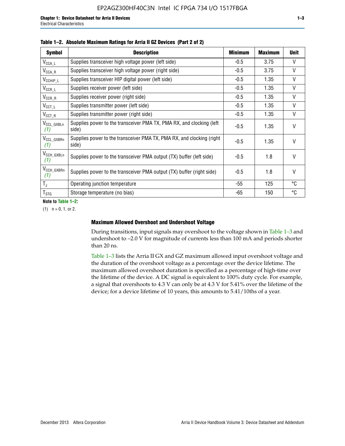| <b>Symbol</b>                  | <b>Description</b>                                                              | <b>Minimum</b> | Maximum | <b>Unit</b> |
|--------------------------------|---------------------------------------------------------------------------------|----------------|---------|-------------|
| $V_{\texttt{CCA}\_\textsf{L}}$ | Supplies transceiver high voltage power (left side)                             | $-0.5$         | 3.75    | $\vee$      |
| $V_{\mathsf{CCA}\_\mathsf{R}}$ | Supplies transceiver high voltage power (right side)                            | $-0.5$         | 3.75    | V           |
| $V_{CCHIP\_L}$                 | Supplies transceiver HIP digital power (left side)                              | $-0.5$         | 1.35    | V           |
| $V_{CCR\_L}$                   | Supplies receiver power (left side)                                             | $-0.5$         | 1.35    | V           |
| $V_{CCR\_R}$                   | Supplies receiver power (right side)                                            | $-0.5$         | 1.35    | V           |
| $V_{CCT\_L}$                   | Supplies transmitter power (left side)                                          | $-0.5$         | 1.35    | V           |
| $V_{CCT_R}$                    | Supplies transmitter power (right side)                                         | $-0.5$         | 1.35    | V           |
| V <sub>CCL</sub> GXBLn<br>(1)  | Supplies power to the transceiver PMA TX, PMA RX, and clocking (left<br>side)   | $-0.5$         | 1.35    | $\vee$      |
| V <sub>CCL_GXBRn</sub><br>(1)  | Supplies power to the transceiver PMA TX, PMA RX, and clocking (right)<br>side) | $-0.5$         | 1.35    | $\vee$      |
| V <sub>CCH_GXBLn</sub><br>(1)  | Supplies power to the transceiver PMA output (TX) buffer (left side)            | $-0.5$         | 1.8     | $\vee$      |
| V <sub>CCH_GXBRn</sub><br>(1)  | Supplies power to the transceiver PMA output (TX) buffer (right side)           | $-0.5$         | 1.8     | $\vee$      |
| $T_{\rm J}$                    | Operating junction temperature                                                  | -55            | 125     | °C          |
| $T_{\text{STG}}$               | Storage temperature (no bias)                                                   | -65            | 150     | °C          |

|  |  | Table 1-2. Absolute Maximum Ratings for Arria II GZ Devices (Part 2 of 2) |  |  |  |
|--|--|---------------------------------------------------------------------------|--|--|--|
|--|--|---------------------------------------------------------------------------|--|--|--|

**Note to Table 1–2:**

 $(1)$   $n = 0, 1,$  or 2.

#### **Maximum Allowed Overshoot and Undershoot Voltage**

During transitions, input signals may overshoot to the voltage shown in Table 1–3 and undershoot to –2.0 V for magnitude of currents less than 100 mA and periods shorter than 20 ns.

Table 1–3 lists the Arria II GX and GZ maximum allowed input overshoot voltage and the duration of the overshoot voltage as a percentage over the device lifetime. The maximum allowed overshoot duration is specified as a percentage of high-time over the lifetime of the device. A DC signal is equivalent to 100% duty cycle. For example, a signal that overshoots to 4.3 V can only be at 4.3 V for 5.41% over the lifetime of the device; for a device lifetime of 10 years, this amounts to 5.41/10ths of a year.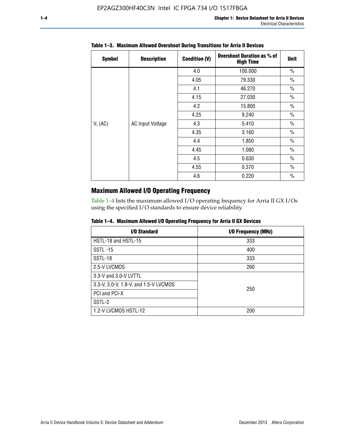| <b>Symbol</b> | <b>Description</b>      | <b>Condition (V)</b> | <b>Overshoot Duration as % of</b><br><b>High Time</b> | <b>Unit</b>   |
|---------------|-------------------------|----------------------|-------------------------------------------------------|---------------|
|               |                         | 4.0                  | 100.000                                               | $\frac{0}{0}$ |
|               |                         | 4.05                 | 79.330                                                | $\frac{0}{0}$ |
|               |                         | 4.1                  | 46.270                                                | $\frac{0}{0}$ |
| $V_1$ (AC)    |                         | 4.15                 | 27.030                                                | $\frac{0}{0}$ |
|               | <b>AC Input Voltage</b> | 4.2                  | 15.800                                                | $\frac{0}{0}$ |
|               |                         | 4.25                 | 9.240                                                 | $\frac{0}{0}$ |
|               |                         | 4.3                  | 5.410                                                 | $\frac{0}{0}$ |
|               |                         | 4.35                 | 3.160                                                 | $\frac{0}{0}$ |
|               |                         | 4.4                  | 1.850                                                 | $\frac{0}{0}$ |
|               |                         | 4.45                 | 1.080                                                 | $\frac{0}{0}$ |
|               |                         | 4.5                  | 0.630                                                 | $\frac{0}{0}$ |
|               |                         | 4.55                 | 0.370                                                 | $\frac{0}{0}$ |
|               |                         | 4.6                  | 0.220                                                 | $\frac{0}{0}$ |

# **Table 1–3. Maximum Allowed Overshoot During Transitions for Arria II Devices**

# **Maximum Allowed I/O Operating Frequency**

Table 1–4 lists the maximum allowed I/O operating frequency for Arria II GX I/Os using the specified I/O standards to ensure device reliability.

|  |  |  | Table 1–4. Maximum Allowed I/O Operating Frequency for Arria II GX Devices |
|--|--|--|----------------------------------------------------------------------------|
|--|--|--|----------------------------------------------------------------------------|

| I/O Standard                          | I/O Frequency (MHz) |
|---------------------------------------|---------------------|
| HSTL-18 and HSTL-15                   | 333                 |
| <b>SSTL-15</b>                        | 400                 |
| SSTL-18                               | 333                 |
| 2.5-V LVCMOS                          | 260                 |
| 3.3-V and 3.0-V LVTTL                 |                     |
| 3.3-V, 3.0-V, 1.8-V, and 1.5-V LVCMOS | 250                 |
| PCI and PCI-X                         |                     |
| SSTL-2                                |                     |
| 1.2-V LVCMOS HSTL-12                  | 200                 |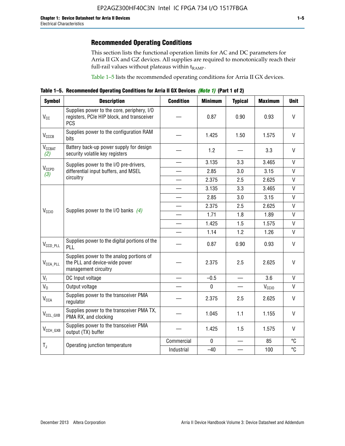# **Recommended Operating Conditions**

This section lists the functional operation limits for AC and DC parameters for Arria II GX and GZ devices. All supplies are required to monotonically reach their full-rail values without plateaus within  $t_{RAMP}$ .

Table 1–5 lists the recommended operating conditions for Arria II GX devices.

**Table 1–5. Recommended Operating Conditions for Arria II GX Devices** *(Note 1)* **(Part 1 of 2)**

| <b>Symbol</b>             | <b>Description</b>                                                                                     | <b>Condition</b>         | <b>Minimum</b> | <b>Typical</b> | <b>Maximum</b>    | <b>Unit</b>  |
|---------------------------|--------------------------------------------------------------------------------------------------------|--------------------------|----------------|----------------|-------------------|--------------|
| $V_{CC}$                  | Supplies power to the core, periphery, I/O<br>registers, PCIe HIP block, and transceiver<br><b>PCS</b> |                          | 0.87           | 0.90           | 0.93              | V            |
| V <sub>CCCB</sub>         | Supplies power to the configuration RAM<br>bits                                                        |                          | 1.425          | 1.50           | 1.575             | $\mathsf{V}$ |
| $V_{\text{CGBAT}}$<br>(2) | Battery back-up power supply for design<br>security volatile key registers                             |                          | 1.2            |                | 3.3               | V            |
|                           | Supplies power to the I/O pre-drivers,                                                                 |                          | 3.135          | 3.3            | 3.465             | $\mathsf{V}$ |
| $V_{CCPD}$<br>(3)         | differential input buffers, and MSEL                                                                   |                          | 2.85           | 3.0            | 3.15              | V            |
|                           | circuitry                                                                                              | $\overline{\phantom{a}}$ | 2.375          | 2.5            | 2.625             | $\mathsf{V}$ |
| V <sub>CCIO</sub>         |                                                                                                        |                          | 3.135          | 3.3            | 3.465             | $\mathsf{V}$ |
|                           | Supplies power to the I/O banks $(4)$                                                                  |                          | 2.85           | 3.0            | 3.15              | $\mathsf{V}$ |
|                           |                                                                                                        |                          | 2.375          | 2.5            | 2.625             | $\mathsf{V}$ |
|                           |                                                                                                        |                          | 1.71           | 1.8            | 1.89              | $\mathsf{V}$ |
|                           |                                                                                                        |                          | 1.425          | 1.5            | 1.575             | $\mathsf{V}$ |
|                           |                                                                                                        |                          | 1.14           | 1.2            | 1.26              | $\mathsf{V}$ |
| $V_{CCD\_PLL}$            | Supplies power to the digital portions of the<br>PLL                                                   |                          | 0.87           | 0.90           | 0.93              | V            |
| $V_{\text{CCA\_PLL}}$     | Supplies power to the analog portions of<br>the PLL and device-wide power<br>management circuitry      |                          | 2.375          | 2.5            | 2.625             | $\mathsf{V}$ |
| $V_{1}$                   | DC Input voltage                                                                                       |                          | $-0.5$         | $\equiv$       | 3.6               | V            |
| $V_0$                     | Output voltage                                                                                         |                          | 0              |                | V <sub>CCIO</sub> | V            |
| <b>V<sub>CCA</sub></b>    | Supplies power to the transceiver PMA<br>regulator                                                     |                          | 2.375          | 2.5            | 2.625             | $\mathsf{V}$ |
| $V_{CCL_GXB}$             | Supplies power to the transceiver PMA TX,<br>PMA RX, and clocking                                      |                          | 1.045          | 1.1            | 1.155             | V            |
| $V_{CCH_GXB}$             | Supplies power to the transceiver PMA<br>output (TX) buffer                                            |                          | 1.425          | 1.5            | 1.575             | V            |
| $T_{J}$                   | Operating junction temperature                                                                         | Commercial               | $\mathbf 0$    |                | 85                | °C           |
|                           |                                                                                                        | Industrial               | $-40$          |                | 100               | °C           |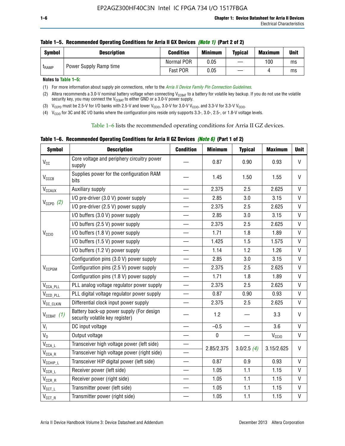| <b>Symbol</b> | <b>Description</b>     | <b>Condition</b> | <b>Minimum</b> | <b>Typical</b> | <b>Maximum</b> | <b>Unit</b> |
|---------------|------------------------|------------------|----------------|----------------|----------------|-------------|
| <b>LRAMP</b>  | Power Supply Ramp time | Normal POR       | 0.05           |                | 100            | ms          |
|               |                        | Fast POR         | 0.05           |                |                | ms          |

**Notes to Table 1–5:** 

(1) For more information about supply pin connections, refer to the *[Arria II Device Family Pin Connection Guidelines](http://www.altera.com/literature/dp/arria-ii-gx/PCG-01007.pdf)*.

(2) Altera recommends a 3.0-V nominal battery voltage when connecting V<sub>CCBAT</sub> to a battery for volatile key backup. If you do not use the volatile security key, you may connect the V<sub>CCBAT</sub> to either GND or a 3.0-V power supply.

(3)  $V_{CCPD}$  must be 2.5-V for I/O banks with 2.5-V and lower  $V_{CCIO}$ , 3.0-V for 3.0-V  $V_{CCIO}$ , and 3.3-V for 3.3-V  $V_{CCIO}$ .

(4)  $V_{\text{CCIO}}$  for 3C and 8C I/O banks where the configuration pins reside only supports 3.3-, 3.0-, 2.5-, or 1.8-V voltage levels.

Table 1–6 lists the recommended operating conditions for Arria II GZ devices.

**Table 1–6. Recommended Operating Conditions for Arria II GZ Devices** *(Note 6)* **(Part 1 of 2)**

| <b>Symbol</b>                  | <b>Description</b>                                                          | <b>Condition</b>         | <b>Minimum</b> | <b>Typical</b> | <b>Maximum</b>    | <b>Unit</b>  |
|--------------------------------|-----------------------------------------------------------------------------|--------------------------|----------------|----------------|-------------------|--------------|
| $V_{CC}$                       | Core voltage and periphery circuitry power<br>supply                        |                          | 0.87           | 0.90           | 0.93              | $\mathsf{V}$ |
| V <sub>CCCB</sub>              | Supplies power for the configuration RAM<br>bits                            |                          | 1.45           | 1.50           | 1.55              | V            |
| $\mathsf{V}_{\texttt{CCAUX}}$  | Auxiliary supply                                                            |                          | 2.375          | 2.5            | 2.625             | V            |
|                                | I/O pre-driver (3.0 V) power supply                                         |                          | 2.85           | 3.0            | 3.15              | V            |
| $V_{CCPD}$ (2)                 | I/O pre-driver (2.5 V) power supply                                         | $\overline{\phantom{0}}$ | 2.375          | 2.5            | 2.625             | V            |
|                                | I/O buffers (3.0 V) power supply                                            |                          | 2.85           | 3.0            | 3.15              | V            |
|                                | I/O buffers (2.5 V) power supply                                            | $\overline{\phantom{0}}$ | 2.375          | 2.5            | 2.625             | $\mathsf{V}$ |
| V <sub>CCIO</sub>              | I/O buffers (1.8 V) power supply                                            |                          | 1.71           | 1.8            | 1.89              | V            |
|                                | I/O buffers (1.5 V) power supply                                            |                          | 1.425          | 1.5            | 1.575             | V            |
|                                | I/O buffers (1.2 V) power supply                                            |                          | 1.14           | 1.2            | 1.26              | $\vee$       |
|                                | Configuration pins (3.0 V) power supply                                     |                          | 2.85           | 3.0            | 3.15              | $\mathsf{V}$ |
| $V_{CCPGM}$                    | Configuration pins (2.5 V) power supply                                     | $\overline{\phantom{0}}$ | 2.375          | 2.5            | 2.625             | $\vee$       |
|                                | Configuration pins (1.8 V) power supply                                     |                          | 1.71           | 1.8            | 1.89              | V            |
| $V_{\text{CCA\_PLL}}$          | PLL analog voltage regulator power supply                                   | $\overline{\phantom{0}}$ | 2.375          | 2.5            | 2.625             | V            |
| $V_{CCD\_PLL}$                 | PLL digital voltage regulator power supply                                  |                          | 0.87           | 0.90           | 0.93              | V            |
| V <sub>CC_CLKIN</sub>          | Differential clock input power supply                                       | $\overline{\phantom{0}}$ | 2.375          | 2.5            | 2.625             | $\mathsf{V}$ |
| $V_{CCBAT}$ (1)                | Battery back-up power supply (For design<br>security volatile key register) |                          | 1.2            |                | 3.3               | $\mathsf{V}$ |
| V <sub>1</sub>                 | DC input voltage                                                            |                          | $-0.5$         | —              | 3.6               | $\mathsf{V}$ |
| $V_0$                          | Output voltage                                                              |                          | $\pmb{0}$      |                | V <sub>CCIO</sub> | V            |
| $V_{\text{CCA\_L}}$            | Transceiver high voltage power (left side)                                  |                          | 2.85/2.375     |                | 3.15/2.625        | V            |
| $\mathsf{V}_{\mathsf{CCA\_R}}$ | Transceiver high voltage power (right side)                                 |                          |                | 3.0/2.5(4)     |                   |              |
| $V_{CCHIP\_L}$                 | Transceiver HIP digital power (left side)                                   | $\overline{\phantom{0}}$ | 0.87           | 0.9            | 0.93              | $\mathsf{V}$ |
| $\rm V_{CCR\_L}$               | Receiver power (left side)                                                  |                          | 1.05           | 1.1            | 1.15              | V            |
| $\mathsf{V}_{\mathsf{CCR\_R}}$ | Receiver power (right side)                                                 |                          | 1.05           | 1.1            | 1.15              | V            |
| $\mathsf{V}_{\texttt{CCT\_L}}$ | Transmitter power (left side)                                               |                          | 1.05           | 1.1            | 1.15              | V            |
| $V_{CCT\_R}$                   | Transmitter power (right side)                                              |                          | 1.05           | 1.1            | 1.15              | V            |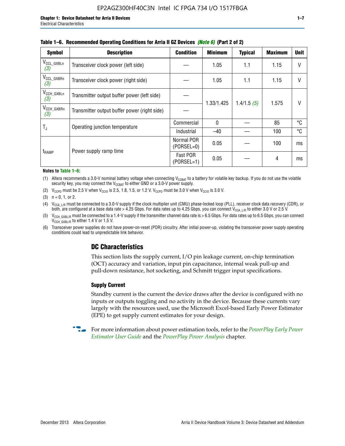| <b>Symbol</b>                 | <b>Description</b>                           | <b>Condition</b>           | <b>Minimum</b> | <b>Typical</b> | <b>Maximum</b> | <b>Unit</b> |
|-------------------------------|----------------------------------------------|----------------------------|----------------|----------------|----------------|-------------|
| $V_{CCL_GXBLn}$<br>(3)        | Transceiver clock power (left side)          |                            | 1.05           | 1.1            | 1.15           | V           |
| $V_{CCL_GXBRn}$<br>(3)        | Transceiver clock power (right side)         |                            | 1.05           | 1.1            | 1.15           |             |
| $V_{\text{CCH_GXBLn}}$<br>(3) | Transmitter output buffer power (left side)  |                            |                | 1.4/1.5(5)     | 1.575          |             |
| V <sub>CCH_GXBRn</sub><br>(3) | Transmitter output buffer power (right side) |                            | 1.33/1.425     |                |                |             |
| T,                            | Operating junction temperature               | Commercial                 | $\mathbf{0}$   |                | 85             | °C          |
|                               |                                              | Industrial                 | $-40$          |                | 100            | °C          |
|                               | Power supply ramp time                       | Normal POR<br>$(PORSEL=0)$ | 0.05           |                | 100            | ms          |
| t <sub>RAMP</sub>             |                                              | Fast POR<br>(PORSEL=1)     | 0.05           |                | 4              | ms          |

#### **Table 1–6. Recommended Operating Conditions for Arria II GZ Devices** *(Note 6)* **(Part 2 of 2)**

#### **Notes to Table 1–6:**

(1) Altera recommends a 3.0-V nominal battery voltage when connecting  $V_{CCBAT}$  to a battery for volatile key backup. If you do not use the volatile security key, you may connect the  $V_{CCBAT}$  to either GND or a 3.0-V power supply.

(2)  $V_{CCPD}$  must be 2.5 V when  $V_{CCIO}$  is 2.5, 1.8, 1.5, or 1.2 V.  $V_{CCPD}$  must be 3.0 V when  $V_{CCIO}$  is 3.0 V.

(3)  $n = 0, 1, or 2$ .

(4)  $V_{CCA~LR}$  must be connected to a 3.0-V supply if the clock multiplier unit (CMU) phase-locked loop (PLL), receiver clock data recovery (CDR), or both, are configured at a base data rate > 4.25 Gbps. For data rates up to 4.25 Gbps, you can connect V<sub>CCA L/R</sub> to either 3.0 V or 2.5 V.

(5)  $V_{\text{CCH\_GXBL/R}}$  must be connected to a 1.4-V supply if the transmitter channel data rate is > 6.5 Gbps. For data rates up to 6.5 Gbps, you can connect V<sub>CCH\_GXBL/R</sub> to either 1.4 V or 1.5 V.

(6) Transceiver power supplies do not have power-on-reset (POR) circuitry. After initial power-up, violating the transceiver power supply operating conditions could lead to unpredictable link behavior.

# **DC Characteristics**

This section lists the supply current, I/O pin leakage current, on-chip termination (OCT) accuracy and variation, input pin capacitance, internal weak pull-up and pull-down resistance, hot socketing, and Schmitt trigger input specifications.

### **Supply Current**

Standby current is the current the device draws after the device is configured with no inputs or outputs toggling and no activity in the device. Because these currents vary largely with the resources used, use the Microsoft Excel-based Early Power Estimator (EPE) to get supply current estimates for your design.

**For more information about power estimation tools, refer to the** *PowerPlay Early Power* **<b>Formation** *[Estimator User Guide](http://www.altera.com/literature/ug/ug_epe.pdf
)* and the *[PowerPlay Power Analysis](http://www.altera.com/literature/hb/qts/qts_qii53013.pdf)* chapter.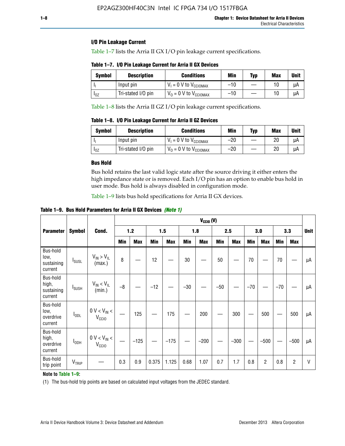# **I/O Pin Leakage Current**

Table 1–7 lists the Arria II GX I/O pin leakage current specifications.

# **Table 1–7. I/O Pin Leakage Current for Arria II GX Devices**

| Symbol   | <b>Description</b> | <b>Conditions</b>                   | <b>Min</b> | <b>Typ</b> | <b>Max</b> | <b>Unit</b> |
|----------|--------------------|-------------------------------------|------------|------------|------------|-------------|
|          | Input pin          | $V_1 = 0$ V to $V_{\text{CCIOMAX}}$ | $-10$      |            |            | uА          |
| $I_{0Z}$ | Tri-stated I/O pin | $V_0 = 0$ V to $V_{\text{CCIOMAX}}$ | $-10$      |            | 10         | uА          |

Table 1–8 lists the Arria II GZ I/O pin leakage current specifications.

**Table 1–8. I/O Pin Leakage Current for Arria II GZ Devices**

| <b>Symbol</b> | <b>Description</b> | <b>Conditions</b>                   | Min   | <b>Typ</b> | Max | <b>Unit</b> |
|---------------|--------------------|-------------------------------------|-------|------------|-----|-------------|
|               | Input pin          | $V_1 = 0$ V to $V_{\text{CCIOMAX}}$ | $-20$ |            | 20  | uА          |
| 10Z           | Tri-stated I/O pin | $V_0 = 0$ V to $V_{\text{CCIOMAX}}$ | $-20$ |            | 20  | uА          |

### **Bus Hold**

Bus hold retains the last valid logic state after the source driving it either enters the high impedance state or is removed. Each I/O pin has an option to enable bus hold in user mode. Bus hold is always disabled in configuration mode.

Table 1–9 lists bus hold specifications for Arria II GX devices.

**Table 1–9. Bus Hold Parameters for Arria II GX Devices** *(Note 1)*

|                                            |                          |                                                  | $V_{CClO}$ (V) |            |       |            |       |            |       |            |       |                |       |            |             |
|--------------------------------------------|--------------------------|--------------------------------------------------|----------------|------------|-------|------------|-------|------------|-------|------------|-------|----------------|-------|------------|-------------|
| <b>Parameter</b>                           | <b>Symbol</b>            | Cond.                                            |                | $1.2$      |       | 1.5        |       | 1.8        |       | 2.5        |       | 3.0            |       | 3.3        | <b>Unit</b> |
|                                            |                          |                                                  | Min            | <b>Max</b> | Min   | <b>Max</b> | Min   | <b>Max</b> | Min   | <b>Max</b> | Min   | <b>Max</b>     | Min   | <b>Max</b> |             |
| Bus-hold<br>low,<br>sustaining<br>current  | <b>I</b> <sub>SUSL</sub> | $V_{IN}$ > $V_{IL}$<br>(max.)                    | 8              |            | 12    |            | 30    |            | 50    |            | 70    |                | 70    |            | μA          |
| Bus-hold<br>high,<br>sustaining<br>current | I <sub>SUSH</sub>        | $V_{IN}$ < $V_{IL}$<br>(min.)                    | $-8$           |            | $-12$ |            | $-30$ |            | $-50$ |            | $-70$ |                | $-70$ |            | μA          |
| Bus-hold<br>low,<br>overdrive<br>current   | $I_{ODL}$                | $0 V < V_{IN} <$<br>V <sub>CCIO</sub>            |                | 125        |       | 175        |       | 200        |       | 300        |       | 500            |       | 500        | μA          |
| Bus-hold<br>high,<br>overdrive<br>current  | $I_{ODH}$                | $0$ V $<$ V $_{\rm IN}$ $<$<br>V <sub>CCIO</sub> |                | $-125$     |       | $-175$     |       | $-200$     |       | $-300$     |       | $-500$         |       | $-500$     | μA          |
| Bus-hold<br>trip point                     | VTRIP                    |                                                  | 0.3            | 0.9        | 0.375 | 1.125      | 0.68  | 1.07       | 0.7   | 1.7        | 0.8   | $\overline{c}$ | 0.8   | 2          | V           |

### **Note to Table 1–9:**

(1) The bus-hold trip points are based on calculated input voltages from the JEDEC standard.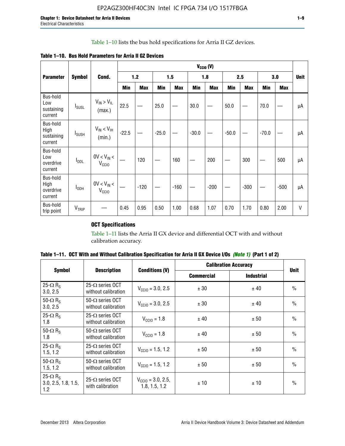# Table 1–10 lists the bus hold specifications for Arria II GZ devices.

**Table 1–10. Bus Hold Parameters for Arria II GZ Devices**

|                                           |                          |                                      | $V_{\text{CCIO}}(V)$ |            |         |            |         |            |         |            |         |            |              |
|-------------------------------------------|--------------------------|--------------------------------------|----------------------|------------|---------|------------|---------|------------|---------|------------|---------|------------|--------------|
| <b>Parameter</b>                          | <b>Symbol</b>            | Cond.                                |                      | $1.2$      |         | 1.5        |         | 1.8        |         | 2.5        |         | 3.0        | <b>Unit</b>  |
|                                           |                          |                                      | Min                  | <b>Max</b> | Min     | <b>Max</b> | Min     | <b>Max</b> | Min     | <b>Max</b> | Min     | <b>Max</b> |              |
| Bus-hold<br>Low<br>sustaining<br>current  | $I_{SUSL}$               | $V_{IN} > V_{IL}$<br>(max.)          | 22.5                 |            | 25.0    |            | 30.0    |            | 50.0    |            | 70.0    |            | μA           |
| Bus-hold<br>High<br>sustaining<br>current | <b>I</b> <sub>SUSH</sub> | $V_{IN}$ < $V_{IH}$<br>(min.)        | $-22.5$              |            | $-25.0$ |            | $-30.0$ |            | $-50.0$ |            | $-70.0$ |            | μA           |
| Bus-hold<br>Low<br>overdrive<br>current   | $I_{ODL}$                | $0V < V_{IN}$<br>V <sub>CCIO</sub>   |                      | 120        |         | 160        |         | 200        |         | 300        |         | 500        | μA           |
| Bus-hold<br>High<br>overdrive<br>current  | I <sub>ODH</sub>         | $0V < V_{IN} <$<br>V <sub>CCIO</sub> |                      | $-120$     |         | $-160$     |         | $-200$     |         | $-300$     |         | $-500$     | μA           |
| Bus-hold<br>trip point                    | V <sub>TRIP</sub>        |                                      | 0.45                 | 0.95       | 0.50    | 1.00       | 0.68    | 1.07       | 0.70    | 1.70       | 0.80    | 2.00       | $\mathsf{V}$ |

# **OCT Specifications**

Table 1–11 lists the Arria II GX device and differential OCT with and without calibration accuracy.

|                                                           |                                                |                                                | <b>Calibration Accuracy</b> |                   |               |
|-----------------------------------------------------------|------------------------------------------------|------------------------------------------------|-----------------------------|-------------------|---------------|
| <b>Symbol</b>                                             | <b>Description</b>                             | <b>Conditions (V)</b>                          | <b>Commercial</b>           | <b>Industrial</b> | <b>Unit</b>   |
| 25- $\Omega$ R <sub>s</sub><br>3.0, 2.5                   | $25-\Omega$ series OCT<br>without calibration  | $V_{\text{CC10}} = 3.0, 2.5$                   | ± 30                        | ± 40              | $\frac{0}{0}$ |
| 50- $\Omega$ R <sub>S</sub><br>3.0, 2.5                   | $50-\Omega$ series OCT<br>without calibration  | $V_{\text{CC10}} = 3.0, 2.5$                   | ± 30                        | ± 40              | $\frac{0}{0}$ |
| 25- $\Omega$ R <sub>S</sub><br>1.8                        | 25- $\Omega$ series OCT<br>without calibration | $V_{\text{CCI0}} = 1.8$                        | ± 40                        | ± 50              | $\frac{0}{0}$ |
| 50- $\Omega$ R <sub>s</sub><br>1.8                        | $50-\Omega$ series OCT<br>without calibration  | $V_{\text{CC10}} = 1.8$                        | ± 40                        | ± 50              | $\frac{0}{0}$ |
| 25- $\Omega$ R <sub>S</sub><br>1.5, 1.2                   | $25-\Omega$ series OCT<br>without calibration  | $V_{\text{CC10}} = 1.5, 1.2$                   | ± 50                        | ± 50              | $\frac{0}{0}$ |
| 50- $\Omega$ R <sub>s</sub><br>1.5, 1.2                   | $50-\Omega$ series OCT<br>without calibration  | $V_{\text{CC10}} = 1.5, 1.2$                   | ± 50                        | ± 50              | $\frac{0}{0}$ |
| 25- $\Omega$ R <sub>s</sub><br>3.0, 2.5, 1.8, 1.5,<br>1.2 | 25- $\Omega$ series OCT<br>with calibration    | $V_{\text{CC10}} = 3.0, 2.5,$<br>1.8, 1.5, 1.2 | ±10                         | ± 10              | $\frac{0}{0}$ |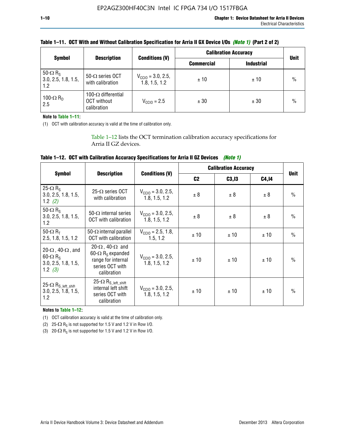|                                                           | <b>Description</b>                                       |                                                | <b>Calibration Accuracy</b> |                   |               |
|-----------------------------------------------------------|----------------------------------------------------------|------------------------------------------------|-----------------------------|-------------------|---------------|
| <b>Symbol</b>                                             |                                                          | <b>Conditions (V)</b>                          | <b>Commercial</b>           | <b>Industrial</b> | <b>Unit</b>   |
| 50- $\Omega$ R <sub>S</sub><br>3.0, 2.5, 1.8, 1.5,<br>1.2 | 50- $\Omega$ series OCT<br>with calibration              | $V_{\text{CCIO}} = 3.0, 2.5,$<br>1.8, 1.5, 1.2 | ±10                         | ±10               | $\frac{0}{0}$ |
| 100- $\Omega$ R <sub>D</sub><br>2.5                       | 100- $\Omega$ differential<br>OCT without<br>calibration | $V_{CCl0} = 2.5$                               | ± 30                        | ± 30              | $\%$          |

# **Table 1–11. OCT With and Without Calibration Specification for Arria II GX Device I/Os** *(Note 1)* **(Part 2 of 2)**

**Note to Table 1–11:**

(1) OCT with calibration accuracy is valid at the time of calibration only.

Table 1–12 lists the OCT termination calibration accuracy specifications for Arria II GZ devices.

| Table 1–12. OCT with Calibration Accuracy Specifications for Arria II GZ Devices (Note 1) |  |  |  |
|-------------------------------------------------------------------------------------------|--|--|--|
|-------------------------------------------------------------------------------------------|--|--|--|

|                                                                                                       |                                                                                                                                 |                                                | <b>Calibration Accuracy</b> |        | <b>Unit</b> |               |
|-------------------------------------------------------------------------------------------------------|---------------------------------------------------------------------------------------------------------------------------------|------------------------------------------------|-----------------------------|--------|-------------|---------------|
| <b>Symbol</b>                                                                                         | <b>Description</b>                                                                                                              | <b>Conditions (V)</b>                          | C <sub>2</sub>              | C3, I3 | C4,14       |               |
| 25- $\Omega$ R <sub>s</sub><br>3.0, 2.5, 1.8, 1.5,<br>1.2 $(2)$                                       | $25-\Omega$ series OCT<br>with calibration                                                                                      | $V_{CGI0} = 3.0, 2.5,$<br>1.8, 1.5, 1.2        | ± 8                         | ± 8    | ± 8         | $\frac{0}{0}$ |
| 50- $\Omega$ R <sub>s</sub><br>3.0, 2.5, 1.8, 1.5,<br>1.2                                             | 50- $\Omega$ internal series<br>OCT with calibration                                                                            | $V_{\text{CC10}} = 3.0, 2.5,$<br>1.8, 1.5, 1.2 | ± 8                         | ± 8    | ± 8         | $\frac{0}{0}$ |
| 50- $\Omega$ R <sub>T</sub><br>2.5, 1.8, 1.5, 1.2                                                     | 50- $\Omega$ internal parallel<br><b>OCT</b> with calibration                                                                   | $V_{\text{CC10}} = 2.5, 1.8,$<br>1.5.1.2       | ± 10                        | ± 10   | ± 10        | $\frac{0}{0}$ |
| 20- $\Omega$ , 40- $\Omega$ , and<br>$60 - \Omega$ R <sub>S</sub><br>3.0, 2.5, 1.8, 1.5,<br>1.2 $(3)$ | 20- $\Omega$ , 40- $\Omega$ and<br>60- $\Omega$ R <sub>s</sub> expanded<br>range for internal<br>series OCT with<br>calibration | $V_{\text{CC10}} = 3.0, 2.5,$<br>1.8, 1.5, 1.2 | ± 10                        | ± 10   | ± 10        | $\frac{0}{0}$ |
| 25- $\Omega$ R <sub>S</sub> left_shift<br>3.0, 2.5, 1.8, 1.5,<br>1.2                                  | $25-\Omega R_{S\_left\_shift}$<br>internal left shift<br>series OCT with<br>calibration                                         | $V_{\text{CC10}} = 3.0, 2.5,$<br>1.8, 1.5, 1.2 | ± 10                        | ±10    | ± 10        | $\frac{0}{0}$ |

**Notes to Table 1–12:**

(1) OCT calibration accuracy is valid at the time of calibration only.

(2) 25- $\Omega$  R<sub>S</sub> is not supported for 1.5 V and 1.2 V in Row I/O.

(3)  $20-\Omega$  R<sub>S</sub> is not supported for 1.5 V and 1.2 V in Row I/O.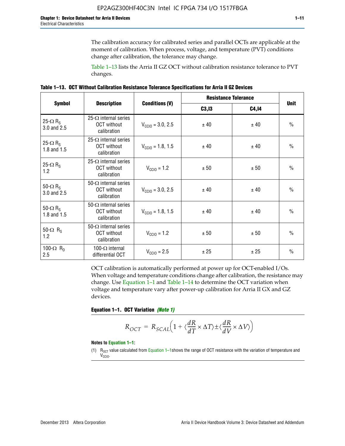The calibration accuracy for calibrated series and parallel OCTs are applicable at the moment of calibration. When process, voltage, and temperature (PVT) conditions change after calibration, the tolerance may change.

Table 1–13 lists the Arria II GZ OCT without calibration resistance tolerance to PVT changes.

|  | Table 1–13. OCT Without Calibration Resistance Tolerance Specifications for Arria II GZ Devices |  |  |  |
|--|-------------------------------------------------------------------------------------------------|--|--|--|
|--|-------------------------------------------------------------------------------------------------|--|--|--|

|                                            | <b>Description</b>                                                |                              | <b>Resistance Tolerance</b> | <b>Unit</b>  |               |
|--------------------------------------------|-------------------------------------------------------------------|------------------------------|-----------------------------|--------------|---------------|
| <b>Symbol</b>                              |                                                                   | <b>Conditions (V)</b>        | C3, I3                      | <b>C4,14</b> |               |
| 25- $\Omega$ R <sub>S</sub><br>3.0 and 2.5 | $25-\Omega$ internal series<br><b>OCT</b> without<br>calibration  | $V_{\text{CC10}} = 3.0, 2.5$ | ± 40                        | ± 40         | $\frac{0}{0}$ |
| 25- $\Omega$ R <sub>S</sub><br>1.8 and 1.5 | 25- $\Omega$ internal series<br><b>OCT</b> without<br>calibration | $V_{CGI0} = 1.8, 1.5$        | ± 40                        | ± 40         | $\frac{0}{0}$ |
| 25- $\Omega$ R <sub>S</sub><br>1.2         | 25- $\Omega$ internal series<br><b>OCT</b> without<br>calibration | $V_{\text{CC10}} = 1.2$      | ± 50                        | ± 50         | $\frac{0}{0}$ |
| 50- $\Omega$ R <sub>S</sub><br>3.0 and 2.5 | $50-\Omega$ internal series<br><b>OCT</b> without<br>calibration  | $V_{\text{CC10}} = 3.0, 2.5$ | ± 40                        | ± 40         | $\frac{0}{0}$ |
| 50- $\Omega$ R <sub>S</sub><br>1.8 and 1.5 | 50- $\Omega$ internal series<br><b>OCT</b> without<br>calibration | $V_{\text{CC10}} = 1.8, 1.5$ | ± 40                        | ± 40         | $\frac{0}{0}$ |
| 50- $\Omega$ R <sub>s</sub><br>1.2         | 50- $\Omega$ internal series<br><b>OCT</b> without<br>calibration | $V_{\text{CC10}} = 1.2$      | ± 50                        | ± 50         | $\frac{0}{0}$ |
| 100- $\Omega$ R <sub>D</sub><br>2.5        | 100- $\Omega$ internal<br>differential OCT                        | $V_{\text{CC10}} = 2.5$      | ± 25                        | ± 25         | $\frac{0}{0}$ |

OCT calibration is automatically performed at power up for OCT-enabled I/Os. When voltage and temperature conditions change after calibration, the resistance may change. Use Equation 1–1 and Table 1–14 to determine the OCT variation when voltage and temperature vary after power-up calibration for Arria II GX and GZ devices.

**Equation 1–1. OCT Variation** *(Note 1)*

$$
R_{OCT} = R_{SCAL} \Big( 1 + \langle \frac{dR}{dT} \times \Delta T \rangle \pm \langle \frac{dR}{dV} \times \Delta V \rangle \Big)
$$

#### **Notes to Equation 1–1:**

(1)  $R_{OCT}$  value calculated from Equation 1–1shows the range of OCT resistance with the variation of temperature and V<sub>CCIO</sub>.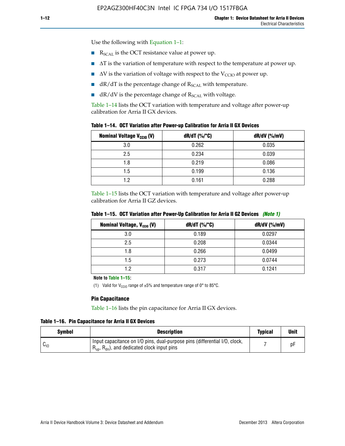Use the following with Equation 1–1:

- $\blacksquare$  R<sub>SCAL</sub> is the OCT resistance value at power up.
- $\blacksquare$   $\Delta T$  is the variation of temperature with respect to the temperature at power up.
- $\blacksquare$   $\Delta V$  is the variation of voltage with respect to the V<sub>CCIO</sub> at power up.
- $\blacksquare$  dR/dT is the percentage change of  $R_{\text{SCAL}}$  with temperature.
- $\blacksquare$  dR/dV is the percentage change of R<sub>SCAL</sub> with voltage.

Table 1–14 lists the OCT variation with temperature and voltage after power-up calibration for Arria II GX devices.

|  |  |  |  | Table 1–14. OCT Variation after Power-up Calibration for Arria II GX Devices |
|--|--|--|--|------------------------------------------------------------------------------|
|--|--|--|--|------------------------------------------------------------------------------|

| <b>Nominal Voltage V<sub>CCIO</sub> (V)</b> | $dR/dT$ (%/°C) | $dR/dV$ (%/mV) |
|---------------------------------------------|----------------|----------------|
| 3.0                                         | 0.262          | 0.035          |
| 2.5                                         | 0.234          | 0.039          |
| 1.8                                         | 0.219          | 0.086          |
| 1.5                                         | 0.199          | 0.136          |
| 1.2                                         | 0.161          | 0.288          |

Table 1–15 lists the OCT variation with temperature and voltage after power-up calibration for Arria II GZ devices.

| <b>Nominal Voltage, V<sub>ccio</sub> (V)</b> | $dR/dT$ (%/°C) | dR/dV (%/mV) |
|----------------------------------------------|----------------|--------------|
| 3.0                                          | 0.189          | 0.0297       |
| 2.5                                          | 0.208          | 0.0344       |
| 1.8                                          | 0.266          | 0.0499       |
| 1.5                                          | 0.273          | 0.0744       |
| 1.2                                          | 0.317          | 0.1241       |

**Table 1–15. OCT Variation after Power-Up Calibration for Arria II GZ Devices** *(Note 1)*

**Note to Table 1–15:**

(1) Valid for V<sub>CCIO</sub> range of  $\pm 5\%$  and temperature range of 0° to 85°C.

#### **Pin Capacitance**

Table 1–16 lists the pin capacitance for Arria II GX devices.

**Table 1–16. Pin Capacitance for Arria II GX Devices**

| <b>Symbol</b> | <b>Description</b>                                                                                                                               | <b>Typical</b> | Unit |
|---------------|--------------------------------------------------------------------------------------------------------------------------------------------------|----------------|------|
| $v_{10}$      | Input capacitance on I/O pins, dual-purpose pins (differential I/O, clock,<br>$R_{\text{up}}$ , $R_{\text{dn}}$ , and dedicated clock input pins |                | D۲   |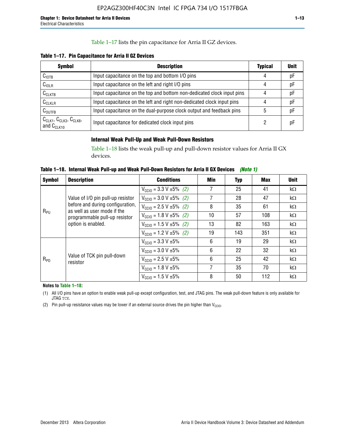### Table 1–17 lists the pin capacitance for Arria II GZ devices.

**Table 1–17. Pin Capacitance for Arria II GZ Devices** 

| <b>Symbol</b>                                    | <b>Description</b>                                                     | <b>Typical</b> | <b>Unit</b> |
|--------------------------------------------------|------------------------------------------------------------------------|----------------|-------------|
| C <sub>IOTB</sub>                                | Input capacitance on the top and bottom I/O pins                       | 4              | pF          |
| C <sub>IOLR</sub>                                | Input capacitance on the left and right I/O pins                       | 4              | pF          |
| $C_{CLKTB}$                                      | Input capacitance on the top and bottom non-dedicated clock input pins |                | рF          |
| $C_{CLKLR}$                                      | Input capacitance on the left and right non-dedicated clock input pins |                | pF          |
| $C_{\text{OUTFB}}$                               | Input capacitance on the dual-purpose clock output and feedback pins   | 5              | pF          |
| $CCLK1$ , $CCLK3$ , $CCLK8$ ,<br>and $C_{CLK10}$ | Input capacitance for dedicated clock input pins                       |                | рF          |

# **Internal Weak Pull-Up and Weak Pull-Down Resistors**

Table 1–18 lists the weak pull-up and pull-down resistor values for Arria II GX devices.

**Table 1–18. Internal Weak Pull-up and Weak Pull-Down Resistors for Arria II GX Devices** *(Note 1)* 

| <b>Symbol</b> | <b>Description</b>                                              | <b>Conditions</b>                             | Min | Typ | Max | <b>Unit</b> |
|---------------|-----------------------------------------------------------------|-----------------------------------------------|-----|-----|-----|-------------|
|               |                                                                 | $V_{\text{CC10}} = 3.3 \text{ V} \pm 5\%$ (2) | 7   | 25  | 41  | $k\Omega$   |
| $R_{PU}$      | Value of I/O pin pull-up resistor                               | $V_{\text{CC10}} = 3.0 V \pm 5\%$ (2)         | 7   | 28  | 47  | $k\Omega$   |
|               | before and during configuration,<br>as well as user mode if the | $V_{\text{CC10}} = 2.5 V \pm 5\%$ (2)         | 8   | 35  | 61  | $k\Omega$   |
|               | programmable pull-up resistor<br>option is enabled.             | $V_{\text{CC10}} = 1.8 \text{ V} \pm 5\%$ (2) | 10  | 57  | 108 | $k\Omega$   |
|               |                                                                 | $V_{\text{CC10}} = 1.5 \text{ V} \pm 5\%$ (2) | 13  | 82  | 163 | $k\Omega$   |
|               |                                                                 | $V_{\text{CC10}} = 1.2 V \pm 5\%$ (2)         | 19  | 143 | 351 | $k\Omega$   |
|               |                                                                 | $V_{\text{CC10}} = 3.3 V \pm 5\%$             | 6   | 19  | 29  | $k\Omega$   |
|               |                                                                 | $V_{\text{CC10}} = 3.0 V \pm 5\%$             | 6   | 22  | 32  | $k\Omega$   |
| $R_{PD}$      | Value of TCK pin pull-down<br>resistor                          | $V_{\text{CC10}} = 2.5 V \pm 5\%$             | 6   | 25  | 42  | $k\Omega$   |
|               |                                                                 | $V_{CCD} = 1.8 V \pm 5\%$                     | 7   | 35  | 70  | $k\Omega$   |
|               |                                                                 | $V_{\text{CC10}} = 1.5 V \pm 5\%$             | 8   | 50  | 112 | $k\Omega$   |

**Notes to Table 1–18:**

(1) All I/O pins have an option to enable weak pull-up except configuration, test, and JTAG pins. The weak pull-down feature is only available for JTAG TCK.

(2) Pin pull-up resistance values may be lower if an external source drives the pin higher than  $V_{\text{CCIO}}$ .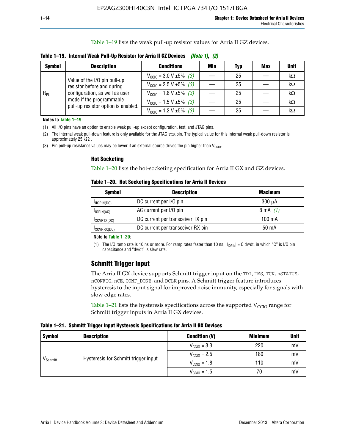Table 1–19 lists the weak pull-up resistor values for Arria II GZ devices.

**Table 1–19. Internal Weak Pull-Up Resistor for Arria II GZ Devices** *(Note 1)***,** *(2)*

| <b>Symbol</b> | <b>Description</b>                                                                                                              | <b>Conditions</b>                                    | Min | Typ | <b>Max</b> | <b>Unit</b> |
|---------------|---------------------------------------------------------------------------------------------------------------------------------|------------------------------------------------------|-----|-----|------------|-------------|
|               | Value of the I/O pin pull-up                                                                                                    | $V_{\text{CC10}} = 3.0 \text{ V} \pm 5\%$ (3)        |     | 25  |            | kΩ          |
| $R_{PU}$      | resistor before and during<br>configuration, as well as user<br>mode if the programmable<br>pull-up resistor option is enabled. | $V_{\text{CC10}} = 2.5 V \pm 5\%$ (3)                |     | 25  |            | kΩ          |
|               |                                                                                                                                 | $V_{\text{CC10}} = 1.8 \text{ V } \pm 5\% \quad (3)$ |     | 25  |            | kΩ          |
|               |                                                                                                                                 | $V_{\text{CC10}} = 1.5 \text{ V} \pm 5\%$ (3)        |     | 25  |            | kΩ          |
|               |                                                                                                                                 | $V_{\text{CC10}} = 1.2 V \pm 5\%$ (3)                |     | 25  |            | kΩ          |

**Notes to Table 1–19:**

(1) All I/O pins have an option to enable weak pull-up except configuration, test, and JTAG pins.

(2) The internal weak pull-down feature is only available for the JTAG TCK pin. The typical value for this internal weak pull-down resistor is approximately 25 k $\Omega$ .

(3) Pin pull-up resistance values may be lower if an external source drives the pin higher than  $V_{\text{CCIO}}$ .

#### **Hot Socketing**

Table 1–20 lists the hot-socketing specification for Arria II GX and GZ devices.

**Table 1–20. Hot Socketing Specifications for Arria II Devices** 

| <b>Symbol</b> | <b>Description</b>                | <b>Maximum</b>     |
|---------------|-----------------------------------|--------------------|
| IIOPIN(DC)    | DC current per I/O pin            | $300 \mu A$        |
| $I$ IOPIN(AC) | AC current per I/O pin            | $8 \text{ mA}$ (1) |
| IXCVRTX(DC)   | DC current per transceiver TX pin | 100 mA             |
| IXCVRRX(DC)   | DC current per transceiver RX pin | 50 mA              |

#### **Note to Table 1–20:**

(1) The I/O ramp rate is 10 ns or more. For ramp rates faster than 10 ns,  $|I_{10\text{PIN}}| = C$  dv/dt, in which "C" is I/O pin capacitance and "dv/dt" is slew rate.

# **Schmitt Trigger Input**

The Arria II GX device supports Schmitt trigger input on the TDI, TMS, TCK, nSTATUS, nCONFIG, nCE, CONF\_DONE, and DCLK pins. A Schmitt trigger feature introduces hysteresis to the input signal for improved noise immunity, especially for signals with slow edge rates.

Table 1–21 lists the hysteresis specifications across the supported  $V<sub>CCIO</sub>$  range for Schmitt trigger inputs in Arria II GX devices.

**Table 1–21. Schmitt Trigger Input Hysteresis Specifications for Arria II GX Devices**

| <b>Symbol</b>        | <b>Description</b>                   | <b>Condition (V)</b>    | <b>Minimum</b> | <b>Unit</b> |
|----------------------|--------------------------------------|-------------------------|----------------|-------------|
|                      |                                      | $V_{\text{CGI0}} = 3.3$ | 220            | mV          |
|                      | Hysteresis for Schmitt trigger input | $V_{\text{CCIO}} = 2.5$ | 180            | mV          |
| V <sub>Schmitt</sub> |                                      | $V_{\text{CCIO}} = 1.8$ | 110            | mV          |
|                      |                                      | $V_{\text{CCIO}} = 1.5$ | 70             | mV          |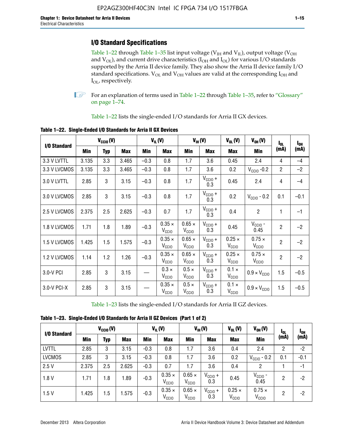# **I/O Standard Specifications**

Table 1–22 through Table 1–35 list input voltage ( $V_{IH}$  and  $V_{IL}$ ), output voltage ( $V_{OH}$ and  $V_{OL}$ ), and current drive characteristics ( $I_{OH}$  and  $I_{OL}$ ) for various I/O standards supported by the Arria II device family. They also show the Arria II device family I/O standard specifications.  $V_{OL}$  and  $V_{OH}$  values are valid at the corresponding  $I_{OH}$  and I<sub>OL</sub>, respectively.

**1.** For an explanation of terms used in Table 1–22 through Table 1–35, refer to "Glossary" on page 1–74.

Table 1–22 lists the single-ended I/O standards for Arria II GX devices.

| I/O Standard |       | $V_{CClO}(V)$ |            |        | $V_{IL}(V)$                        |                                    | $V_{\text{IH}}(V)$         | $V_{OL}(V)$                        | $V_{OH} (V)$                       | $I_{0L}$       |                  |
|--------------|-------|---------------|------------|--------|------------------------------------|------------------------------------|----------------------------|------------------------------------|------------------------------------|----------------|------------------|
|              | Min   | <b>Typ</b>    | <b>Max</b> | Min    | <b>Max</b>                         | Min                                | <b>Max</b>                 | <b>Max</b>                         | Min                                | (mA)           | $I_{0H}$<br>(mA) |
| 3.3 V LVTTL  | 3.135 | 3.3           | 3.465      | $-0.3$ | 0.8                                | 1.7                                | 3.6                        | 0.45                               | 2.4                                | 4              | $-4$             |
| 3.3 V LVCMOS | 3.135 | 3.3           | 3.465      | $-0.3$ | 0.8                                | 1.7                                | 3.6                        | 0.2                                | $V_{\text{CCIO}}$ -0.2             | $\overline{2}$ | $-2$             |
| 3.0 V LVTTL  | 2.85  | 3             | 3.15       | $-0.3$ | 0.8                                | 1.7                                | $V_{CCIO} +$<br>0.3        | 0.45                               | 2.4                                | 4              | $-4$             |
| 3.0 V LVCMOS | 2.85  | 3             | 3.15       | $-0.3$ | 0.8                                | 1.7                                | $V_{CC10} +$<br>0.3        | 0.2                                | $V_{CGI0} - 0.2$                   | 0.1            | $-0.1$           |
| 2.5 V LVCMOS | 2.375 | 2.5           | 2.625      | $-0.3$ | 0.7                                | 1.7                                | $V_{CCIO} +$<br>0.3        | 0.4                                | $\overline{2}$                     | 1              | $-1$             |
| 1.8 V LVCMOS | 1.71  | 1.8           | 1.89       | $-0.3$ | $0.35 \times$<br>$V_{\rm CClO}$    | $0.65 \times$<br>$V_{\rm CClO}$    | $V_{CC10} +$<br>0.3        | 0.45                               | $V_{CGIO}$ -<br>0.45               | $\overline{2}$ | $-2$             |
| 1.5 V LVCMOS | 1.425 | 1.5           | 1.575      | $-0.3$ | $0.35 \times$<br>$V_{\rm CClO}$    | $0.65 \times$<br>V <sub>CClO</sub> | $V_{CC10}$ +<br>0.3        | $0.25 \times$<br>V <sub>CCIO</sub> | $0.75 \times$<br>V <sub>CCIO</sub> | $\overline{2}$ | $-2$             |
| 1.2 V LVCMOS | 1.14  | 1.2           | 1.26       | $-0.3$ | $0.35 \times$<br>V <sub>CCIO</sub> | $0.65 \times$<br>V <sub>CCIO</sub> | $V_{CC10} +$<br>0.3        | $0.25 \times$<br>V <sub>CCIO</sub> | $0.75 \times$<br>V <sub>CCIO</sub> | $\overline{2}$ | $-2$             |
| 3.0-V PCI    | 2.85  | 3             | 3.15       |        | $0.3 \times$<br>$V_{\rm CClO}$     | $0.5 \times$<br>V <sub>CCIO</sub>  | $V_{CC10} +$<br>0.3        | $0.1 \times$<br>V <sub>CCIO</sub>  | $0.9 \times V_{\text{CC10}}$       | 1.5            | $-0.5$           |
| 3.0-V PCI-X  | 2.85  | 3             | 3.15       |        | $0.35 \times$<br>V <sub>CCIO</sub> | $0.5 \times$<br>V <sub>CCIO</sub>  | $V_{\text{CC10}} +$<br>0.3 | $0.1 \times$<br>V <sub>CCIO</sub>  | $0.9 \times V_{\text{CC10}}$       | 1.5            | $-0.5$           |

**Table 1–22. Single-Ended I/O Standards for Arria II GX Devices**

Table 1–23 lists the single-ended I/O standards for Arria II GZ devices.

|  |  |  | Table 1-23. Single-Ended I/O Standards for Arria II GZ Devices (Part 1 of 2) |  |
|--|--|--|------------------------------------------------------------------------------|--|
|--|--|--|------------------------------------------------------------------------------|--|

|               |       | $V_{\text{CCIO}}(V)$ |            |            | $V_{IL}(V)$                        |                                    | $V_{IH} (V)$               | $V_{OL}(V)$                        | $V_{OH} (V)$                       | l <sub>ol</sub> | 1 <sub>0H</sub> |
|---------------|-------|----------------------|------------|------------|------------------------------------|------------------------------------|----------------------------|------------------------------------|------------------------------------|-----------------|-----------------|
| I/O Standard  | Min   | Typ                  | <b>Max</b> | <b>Min</b> | <b>Max</b>                         | Min                                | <b>Max</b>                 | <b>Max</b>                         | <b>Min</b>                         | (mA)            | (mA)            |
| <b>LVTTL</b>  | 2.85  | 3                    | 3.15       | $-0.3$     | 0.8                                | 1.7                                | 3.6                        | 0.4                                | 2.4                                | 2               | $-2$            |
| <b>LVCMOS</b> | 2.85  | 3                    | 3.15       | $-0.3$     | 0.8                                | 1.7                                | 3.6                        | 0.2                                | $V_{\text{CCIO}}$ - 0.2            | 0.1             | $-0.1$          |
| 2.5V          | 2.375 | 2.5                  | 2.625      | $-0.3$     | 0.7                                | 1.7                                | 3.6                        | 0.4                                | 2                                  |                 | $-1$            |
| 1.8V          | 1.71  | 1.8                  | 1.89       | $-0.3$     | $0.35 \times$<br>V <sub>CCIO</sub> | $0.65 \times$<br>V <sub>CCIO</sub> | $V_{\text{CC1O}} +$<br>0.3 | 0.45                               | $V_{CGIO}$ -<br>0.45               | 2               | -2              |
| 1.5V          | 1.425 | 1.5                  | .575       | $-0.3$     | $0.35 \times$<br>V <sub>CCIO</sub> | $0.65 \times$<br>V <sub>CCIO</sub> | $V_{\text{CC10}} +$<br>0.3 | $0.25 \times$<br>V <sub>CCIO</sub> | $0.75 \times$<br>V <sub>CCIO</sub> | 2               | -2              |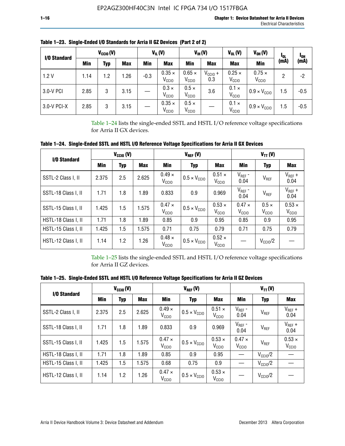| I/O Standard |            | $V_{CCl0} (V)$ |      |        | $V_{IL}(V)$                        |                                    | $V_{IH} (V)$        | $V_{OL}(V)$                        | $V_{OH} (V)$                       | <b>I</b> OL | l <sub>oh</sub> |
|--------------|------------|----------------|------|--------|------------------------------------|------------------------------------|---------------------|------------------------------------|------------------------------------|-------------|-----------------|
|              | <b>Min</b> | Typ            | Max  | Min    | <b>Max</b>                         | Min                                | <b>Max</b>          | <b>Max</b>                         | Min                                | (mA)        | (mA)            |
| 1.2V         | 1.14       | 1.2            | .26  | $-0.3$ | $0.35 \times$<br>V <sub>CCIO</sub> | $0.65 \times$<br>V <sub>CCIO</sub> | $V_{CC10}$ +<br>0.3 | $0.25 \times$<br>V <sub>CCIO</sub> | $0.75 \times$<br>V <sub>CCIO</sub> | 2           | -2              |
| 3.0-V PCI    | 2.85       | 3              | 3.15 |        | $0.3 \times$<br>V <sub>CCIO</sub>  | $0.5 \times$<br>V <sub>CCIO</sub>  | 3.6                 | $0.1 \times$<br>V <sub>CCIO</sub>  | $0.9 \times V_{\text{CC10}}$       | 1.5         | $-0.5$          |
| 3.0-V PCI-X  | 2.85       | 3              | 3.15 |        | $0.35 \times$<br>V <sub>CCIO</sub> | $0.5 \times$<br>V <sub>CCIO</sub>  |                     | $0.1 \times$<br>V <sub>CCIO</sub>  | $0.9 \times V_{\text{CC10}}$       | 1.5         | $-0.5$          |

**Table 1–23. Single-Ended I/O Standards for Arria II GZ Devices (Part 2 of 2)**

Table 1–24 lists the single-ended SSTL and HSTL I/O reference voltage specifications for Arria II GX devices.

**Table 1–24. Single-Ended SSTL and HSTL I/O Reference Voltage Specifications for Arria II GX Devices**

| I/O Standard        |       | $V_{\text{CCIO}}(V)$ |            |                                    | $V_{REF}(V)$                 |                                    | $V_{TT} (V)$                    |                                   |                                    |  |
|---------------------|-------|----------------------|------------|------------------------------------|------------------------------|------------------------------------|---------------------------------|-----------------------------------|------------------------------------|--|
|                     | Min   | <b>Typ</b>           | <b>Max</b> | Min                                | <b>Typ</b>                   | Max                                | Min                             | <b>Typ</b>                        | <b>Max</b>                         |  |
| SSTL-2 Class I, II  | 2.375 | 2.5                  | 2.625      | $0.49 \times$<br>V <sub>CCD</sub>  | $0.5 \times V_{\text{CCIO}}$ | $0.51 \times$<br>V <sub>CCIO</sub> | $V_{REF}$ -<br>0.04             | $V_{REF}$                         | $V_{REF}$ +<br>0.04                |  |
| SSTL-18 Class I, II | 1.71  | 1.8                  | 1.89       | 0.833                              | 0.9                          | 0.969                              | $V_{REF}$ -<br>0.04             | $V_{REF}$                         | $V_{REF}$ +<br>0.04                |  |
| SSTL-15 Class I, II | 1.425 | 1.5                  | 1.575      | $0.47 \times$<br>V <sub>CCD</sub>  | $0.5 \times V_{\text{CC10}}$ | $0.53 \times$<br>V <sub>CCIO</sub> | $0.47 \times$<br>$V_{\rm CClO}$ | $0.5 \times$<br>V <sub>CCIO</sub> | $0.53 \times$<br>V <sub>CCIO</sub> |  |
| HSTL-18 Class I, II | 1.71  | 1.8                  | 1.89       | 0.85                               | 0.9                          | 0.95                               | 0.85                            | 0.9                               | 0.95                               |  |
| HSTL-15 Class I, II | 1.425 | 1.5                  | 1.575      | 0.71                               | 0.75                         | 0.79                               | 0.71                            | 0.75                              | 0.79                               |  |
| HSTL-12 Class I, II | 1.14  | 1.2                  | 1.26       | $0.48 \times$<br>V <sub>CCIO</sub> | $0.5 \times V_{\text{CC10}}$ | $0.52 \times$<br>V <sub>CCIO</sub> |                                 | $V_{\text{CClO}}/2$               |                                    |  |

Table 1–25 lists the single-ended SSTL and HSTL I/O reference voltage specifications for Arria II GZ devices.

**Table 1–25. Single-Ended SSTL and HSTL I/O Reference Voltage Specifications for Arria II GZ Devices** 

| I/O Standard        |       | $V_{\text{CCIO}}(V)$ |            |                                    | $V_{REF}(V)$                 |                                    | $V_{TT}(V)$                       |                     |                                    |  |
|---------------------|-------|----------------------|------------|------------------------------------|------------------------------|------------------------------------|-----------------------------------|---------------------|------------------------------------|--|
|                     | Min   | <b>Typ</b>           | <b>Max</b> | Min                                | Typ                          | <b>Max</b>                         | Min                               | Typ                 | Max                                |  |
| SSTL-2 Class I, II  | 2.375 | 2.5                  | 2.625      | $0.49 \times$<br>V <sub>CCIO</sub> | $0.5 \times V_{\text{CC10}}$ | $0.51 \times$<br>V <sub>CCIO</sub> | $V_{REF}$ -<br>0.04               | V <sub>REF</sub>    | $V_{REF}$ +<br>0.04                |  |
| SSTL-18 Class I, II | 1.71  | 1.8                  | 1.89       | 0.833                              | 0.9                          | 0.969                              | $V_{REF}$ -<br>0.04               | V <sub>REF</sub>    | $V_{REF}$ +<br>0.04                |  |
| SSTL-15 Class I, II | 1.425 | 1.5                  | 1.575      | $0.47 \times$<br>V <sub>CCIO</sub> | $0.5 \times V_{\text{CC10}}$ | $0.53 \times$<br>V <sub>CCIO</sub> | $0.47 \times$<br>V <sub>CCD</sub> | V <sub>REF</sub>    | $0.53 \times$<br>V <sub>CCIO</sub> |  |
| HSTL-18 Class I, II | 1.71  | 1.8                  | 1.89       | 0.85                               | 0.9                          | 0.95                               |                                   | $V_{\text{CC10}}/2$ |                                    |  |
| HSTL-15 Class I, II | 1.425 | 1.5                  | 1.575      | 0.68                               | 0.75                         | 0.9                                |                                   | $V_{\rm CC10}$ /2   |                                    |  |
| HSTL-12 Class I, II | 1.14  | 1.2                  | 1.26       | $0.47 \times$<br>V <sub>CCIO</sub> | $0.5 \times V_{\text{CC10}}$ | $0.53 \times$<br>V <sub>CCIO</sub> |                                   | $V_{\text{CC10}}/2$ |                                    |  |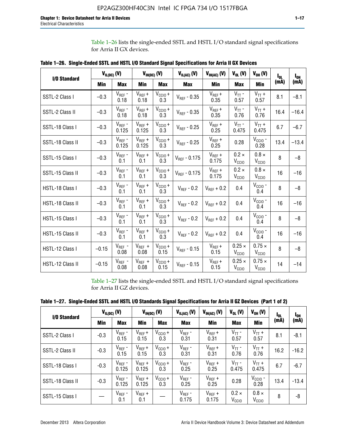Table 1–26 lists the single-ended SSTL and HSTL I/O standard signal specifications for Arria II GX devices.

| <b>I/O Standard</b> | $V_{IL(DC)}(V)$ |                                      |                      | $V_{IH(DC)}(V)$             | $V_{IL(AC)}(V)$   | $V_{IH(AC)}$ (V)     | $V_{OL}$ (V)                       | $V_{OH} (V)$                       | l <sub>ol.</sub> | $I_{0H}$ |
|---------------------|-----------------|--------------------------------------|----------------------|-----------------------------|-------------------|----------------------|------------------------------------|------------------------------------|------------------|----------|
|                     | Min             | <b>Max</b>                           | Min                  | <b>Max</b>                  | <b>Max</b>        | Min                  | <b>Max</b>                         | <b>Min</b>                         | (mA)             | (mA)     |
| SSTL-2 Class I      | $-0.3$          | $V_{REF}$ -<br>0.18                  | $V_{REF} +$<br>0.18  | $V_{\text{CCIO}} +$<br>0.3  | $V_{REF}$ - 0.35  | $V_{REF} +$<br>0.35  | $V_{TT}$ -<br>0.57                 | $V_{TT}$ +<br>0.57                 | 8.1              | $-8.1$   |
| SSTL-2 Class II     | $-0.3$          | $V_{REF}$ -<br>0.18                  | $V_{REF} +$<br>0.18  | $V_{CCIO} +$<br>0.3         | $V_{REF} - 0.35$  | $V_{REF} +$<br>0.35  | $V_{TT}$ -<br>0.76                 | $V_{TT}$ +<br>0.76                 | 16.4             | $-16.4$  |
| SSTL-18 Class I     | $-0.3$          | $V_{REF}$ -<br>0.125                 | $V_{REF}$ +<br>0.125 | $V_{\text{CC1O}} +$<br>0.3  | $V_{REF}$ - 0.25  | $V_{REF}$ +<br>0.25  | $V_{TT}$ -<br>0.475                | $V_{TT}$ +<br>0.475                | 6.7              | $-6.7$   |
| SSTL-18 Class II    | $-0.3$          | $V_{REF}$ -<br>0.125                 | $V_{REF}$ +<br>0.125 | $V_{\text{CCIO}} +$<br>0.3  | $V_{REF}$ - 0.25  | $V_{REF}$ +<br>0.25  | 0.28                               | $V_{CGIO}$ -<br>0.28               | 13.4             | $-13.4$  |
| SSTL-15 Class I     | $-0.3$          | $V_{REF}$ -<br>0.1                   | $V_{REF}$ +<br>0.1   | $V_{\text{CCIO}} +$<br>0.3  | $V_{REF}$ - 0.175 | $V_{REF}$ +<br>0.175 | $0.2 \times$<br>V <sub>CCIO</sub>  | $0.8 \times$<br>V <sub>CCIO</sub>  | 8                | $-8$     |
| SSTL-15 Class II    | $-0.3$          | $V_{REF}$ -<br>0.1                   | $V_{REF}$ +<br>0.1   | $V_{\text{CCIO}} +$<br>0.3  | $V_{REF} - 0.175$ | $V_{REF}$ +<br>0.175 | $0.2 \times$<br>V <sub>CCIO</sub>  | $0.8 \times$<br>V <sub>CCIO</sub>  | 16               | $-16$    |
| HSTL-18 Class I     | $-0.3$          | $V_{REF}$ -<br>0.1                   | $V_{REF}$ +<br>0.1   | $V_{\text{CCIO}} +$<br>0.3  | $V_{REF} - 0.2$   | $V_{REF}$ + 0.2      | 0.4                                | $V_{CGIO}$ -<br>0.4                | 8                | $-8$     |
| HSTL-18 Class II    | $-0.3$          | $V_{REF}$ -<br>0.1                   | $V_{REF}$ +<br>0.1   | $V_{\text{CC1O}} +$<br>0.3  | $V_{REF}$ - 0.2   | $V_{REF}$ + 0.2      | 0.4                                | $V_{\text{CCIO}}$ -<br>0.4         | 16               | $-16$    |
| HSTL-15 Class I     | $-0.3$          | $V_{REF}$ -<br>0.1                   | $V_{REF}$ +<br>0.1   | $V_{\text{CC1O}} +$<br>0.3  | $V_{REF} - 0.2$   | $V_{REF}$ + 0.2      | 0.4                                | $V_{\text{CCIO}}$ -<br>0.4         | 8                | $-8$     |
| HSTL-15 Class II    | $-0.3$          | $\mathsf{V}_{\mathsf{REF}}$ -<br>0.1 | $V_{REF}$ +<br>0.1   | $V_{\text{CCIO}} +$<br>0.3  | $V_{REF}$ - 0.2   | $V_{REF}$ + 0.2      | 0.4                                | $V_{CCIO}$ -<br>0.4                | 16               | $-16$    |
| HSTL-12 Class I     | $-0.15$         | $V_{REF}$ -<br>0.08                  | $V_{REF}$ +<br>0.08  | $V_{CClO} +$<br>0.15        | $V_{REF} - 0.15$  | $V_{REF} +$<br>0.15  | $0.25 \times$<br>V <sub>CCIO</sub> | $0.75 \times$<br>V <sub>CCIO</sub> | 8                | $-8$     |
| HSTL-12 Class II    | $-0.15$         | $V_{REF}$ -<br>0.08                  | $V_{REF}$ +<br>0.08  | $V_{\text{CCIO}} +$<br>0.15 | $V_{REF}$ - 0.15  | $V_{REF} +$<br>0.15  | $0.25 \times$<br>V <sub>CCIO</sub> | $0.75 \times$<br>V <sub>CCIO</sub> | 14               | $-14$    |

**Table 1–26. Single-Ended SSTL and HSTL I/O Standard Signal Specifications for Arria II GX Devices** 

Table 1–27 lists the single-ended SSTL and HSTL I/O standard signal specifications for Arria II GZ devices.

| I/O Standard     |        | $V_{IL(DC)}(V)$      |                      | $V_{IH(DC)}(V)$     | $V_{IL(AC)}(V)$      | $V_{IH(AC)}(V)$      | $V_{OL}$ (V)                      | $V_{OH} (V)$                   | $I_{0L}$ | l <sub>oh</sub> |
|------------------|--------|----------------------|----------------------|---------------------|----------------------|----------------------|-----------------------------------|--------------------------------|----------|-----------------|
|                  | Min    | <b>Max</b>           | <b>Min</b>           | <b>Max</b>          | <b>Max</b>           | Min                  | <b>Max</b>                        | Min                            | (mA)     | (mA)            |
| SSTL-2 Class I   | $-0.3$ | $V_{REF}$ -<br>0.15  | $V_{REF} +$<br>0.15  | $V_{CClO} +$<br>0.3 | $V_{REF}$ -<br>0.31  | $V_{REF} +$<br>0.31  | $V_{TT}$ -<br>0.57                | $V_{TT}$ +<br>0.57             | 8.1      | $-8.1$          |
| SSTL-2 Class II  | $-0.3$ | $V_{REF}$ -<br>0.15  | $V_{REF} +$<br>0.15  | $V_{CClO} +$<br>0.3 | $V_{REF}$ -<br>0.31  | $V_{REF} +$<br>0.31  | $V_{TT}$ -<br>0.76                | $V_{TT}$ +<br>0.76             | 16.2     | $-16.2$         |
| SSTL-18 Class I  | $-0.3$ | $V_{REF}$ -<br>0.125 | $V_{REF}$ +<br>0.125 | $V_{CClO} +$<br>0.3 | $V_{REF}$ -<br>0.25  | $V_{REF}$ +<br>0.25  | $V_{TT}$ -<br>0.475               | $V_{TT}$ +<br>0.475            | 6.7      | $-6.7$          |
| SSTL-18 Class II | $-0.3$ | $V_{REF}$ -<br>0.125 | $V_{REF}$ +<br>0.125 | $V_{CC10} +$<br>0.3 | $V_{REF}$ -<br>0.25  | $V_{REF}$ +<br>0.25  | 0.28                              | $V_{\rm CCIO}$ -<br>0.28       | 13.4     | $-13.4$         |
| SSTL-15 Class I  |        | $V_{REF}$ -<br>0.1   | $V_{REF}$ +<br>0.1   |                     | $V_{REF}$ -<br>0.175 | $V_{REF}$ +<br>0.175 | $0.2 \times$<br>V <sub>CCIO</sub> | $0.8 \times$<br>$V_{\rm CClO}$ | 8        | -8              |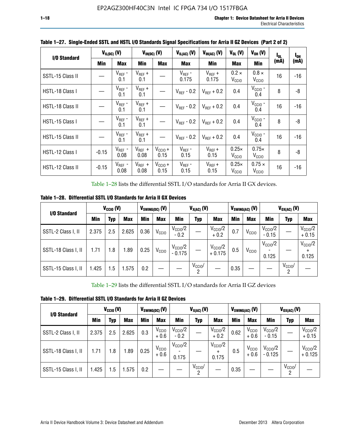| I/O Standard            |            | $V_{IL(DC)}$ (V)    |                     | $V_{IH(DC)}$ (V)     |                        | $V_{IH(AC)}(V)$        | $V_{OL}$ (V)                      | $V_{OH} (V)$                       | $I_{0L}$ | $I_{0H}$ |
|-------------------------|------------|---------------------|---------------------|----------------------|------------------------|------------------------|-----------------------------------|------------------------------------|----------|----------|
|                         | <b>Min</b> | <b>Max</b>          | Min                 | <b>Max</b>           | <b>Max</b>             | Min                    | <b>Max</b>                        | Min                                | (mA)     | (mA)     |
| SSTL-15 Class II        |            | $V_{REF}$ -<br>0.1  | $V_{REF}$ +<br>0.1  |                      | $V_{REF}$ -<br>0.175   | $V_{REF}$ +<br>0.175   | $0.2 \times$<br>V <sub>CCIO</sub> | $0.8 \times$<br>V <sub>CCIO</sub>  | 16       | -16      |
| HSTL-18 Class I         |            | $V_{REF}$ -<br>0.1  | $V_{REF}$ +<br>0.1  |                      | $V_{\text{RFF}}$ - 0.2 | $V_{RFF}$ + 0.2        | 0.4                               | $V_{\rm CCIO}$ -<br>0.4            | 8        | -8       |
| <b>HSTL-18 Class II</b> |            | $V_{REF}$ -<br>0.1  | $V_{REF}$ +<br>0.1  |                      | $V_{\text{RFF}}$ - 0.2 | $V_{RFF}$ + 0.2        | 0.4                               | $V_{\text{CCIO}}$ -<br>0.4         | 16       | $-16$    |
| HSTL-15 Class I         |            | $V_{REF}$ -<br>0.1  | $V_{REF}$ +<br>0.1  |                      | $V_{\text{RFF}}$ - 0.2 | $V_{\text{RFF}} + 0.2$ | 0.4                               | $V_{CCIO}$ -<br>0.4                | 8        | -8       |
| HSTL-15 Class II        |            | $V_{REF}$ -<br>0.1  | $V_{REF}$ +<br>0.1  |                      | $V_{\text{RFF}}$ - 0.2 | $V_{RFF}$ + 0.2        | 0.4                               | $VCCIO$ -<br>0.4                   | 16       | $-16$    |
| HSTL-12 Class I         | $-0.15$    | $V_{REF}$ -<br>0.08 | $V_{REF}$ +<br>0.08 | $V_{CCIO} +$<br>0.15 | $V_{REF}$ -<br>0.15    | $V_{REF} +$<br>0.15    | $0.25\times$<br>V <sub>CCIO</sub> | $0.75\times$<br>V <sub>CCIO</sub>  | 8        | -8       |
| HSTL-12 Class II        | $-0.15$    | $V_{REF}$ -<br>0.08 | $V_{REF}$ +<br>0.08 | $V_{CCI0} +$<br>0.15 | $V_{REF}$ -<br>0.15    | $V_{REF} +$<br>0.15    | $0.25\times$<br>V <sub>CCIO</sub> | $0.75 \times$<br>V <sub>CCIO</sub> | 16       | $-16$    |

**Table 1–27. Single-Ended SSTL and HSTL I/O Standards Signal Specifications for Arria II GZ Devices (Part 2 of 2)**

Table 1–28 lists the differential SSTL I/O standards for Arria II GX devices.

**Table 1–28. Differential SSTL I/O Standards for Arria II GX Devices**

|                     | $V_{\text{CCIO}}(V)$<br>I/O Standard |     |            |            | $V_{SWING(DC)}$ (V) | $V_{X(AC)}(V)$                  |                 |                                 | $V_{SWING(AC)}$ (V) |                   | $V_{OX(AC)}$ (V)             |                 |                                |
|---------------------|--------------------------------------|-----|------------|------------|---------------------|---------------------------------|-----------------|---------------------------------|---------------------|-------------------|------------------------------|-----------------|--------------------------------|
|                     | Min                                  | Typ | <b>Max</b> | <b>Min</b> | <b>Max</b>          | Min                             | Typ             | <b>Max</b>                      | <b>Min</b>          | <b>Max</b>        | Min                          | Typ             | <b>Max</b>                     |
| SSTL-2 Class I, II  | 2.375                                | 2.5 | 2.625      | 0.36       | V <sub>CCIO</sub>   | $V_{\text{CC10}}/2$<br>$-0.2$   |                 | $V_{\rm CC10}$ /2<br>$+0.2$     | 0.7                 | V <sub>CCIO</sub> | $V_{\rm CC10}$ /2<br>$-0.15$ |                 | $V_{\text{CCIO}}/2$<br>$+0.15$ |
| SSTL-18 Class I, II | 1.71                                 | 1.8 | l.89       | 0.25       | V <sub>CCIO</sub>   | $V_{\text{CCIO}}/2$<br>$-0.175$ |                 | $V_{\text{CC10}}/2$<br>$+0.175$ | 0.5                 | V <sub>CCIO</sub> | $V_{\text{CC10}}/2$<br>0.125 |                 | $V_{\text{CCIO}}/2$<br>0.125   |
| SSTL-15 Class I, II | 1.425                                | 1.5 | .575       | 0.2        |                     |                                 | $V_{CCIO}$<br>2 |                                 | 0.35                |                   |                              | $V_{CCIO}$<br>റ |                                |

Table 1–29 lists the differential SSTL I/O standards for Arria II GZ devices

**Table 1–29. Differential SSTL I/O Standards for Arria II GZ Devices**

| I/O Standard        | $V_{\text{CCIO}}(V)$ |     |            | $V_{SWING(DC)}(V)$ | $V_{X(AC)}(V)$              |                            |                              |                                           | V <sub>swing(ac)</sub> (V) | $V_{OX(AC)}(V)$             |                                |                 |                                 |
|---------------------|----------------------|-----|------------|--------------------|-----------------------------|----------------------------|------------------------------|-------------------------------------------|----------------------------|-----------------------------|--------------------------------|-----------------|---------------------------------|
|                     | Min                  | Typ | <b>Max</b> | Min                | <b>Max</b>                  | Min                        | <b>Typ</b>                   | <b>Max</b>                                | Min                        | <b>Max</b>                  | Min                            | Typ             | <b>Max</b>                      |
| SSTL-2 Class I, II  | 2.375                | 2.5 | 2.625      | 0.3                | V <sub>CCIO</sub><br>$+0.6$ | $V_{\rm CClO}/2$<br>$-0.2$ |                              | $V_{\text{CC10}}/2$<br>$+0.2$             | 0.62                       | V <sub>CCIO</sub><br>$+0.6$ | $V_{\text{CC10}}/2$<br>$-0.15$ |                 | $V_{\text{CC10}}/2$<br>$+0.15$  |
| SSTL-18 Class I, II | 1.71                 | 1.8 | 1.89       | 0.25               | V <sub>CCIO</sub><br>$+0.6$ | $V_{\rm CClO}/2$<br>0.175  |                              | $V_{\text{CCIO}}/2$<br>$\ddot{}$<br>0.175 | 0.5                        | V <sub>CCIO</sub><br>$+0.6$ | $V_{\text{CC10}}/2$<br>- 0.125 |                 | $V_{\text{CC10}}/2$<br>$+0.125$ |
| SSTL-15 Class I, II | 1.425                | 1.5 | .575       | 0.2                |                             |                            | $V_{CCIO}$<br>$\overline{2}$ |                                           | 0.35                       |                             |                                | $V_{CClO}$<br>2 |                                 |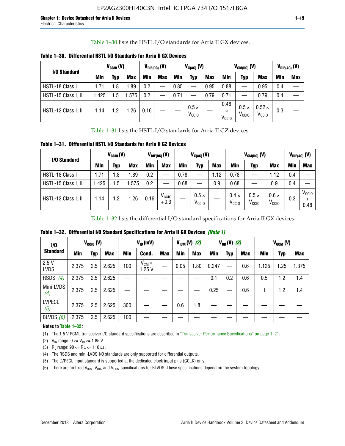Table 1–30 lists the HSTL I/O standards for Arria II GX devices.

| I/O Standard        | $V_{CGI0} (V)$ |            |            | $V_{\text{DIF(DC)}}$ (V) |            | $V_{X(AC)}(V)$ |                                   |            |                                       | $V_{CM(DC)}(V)$                   | $V_{DIF(AC)}(V)$                   |     |            |
|---------------------|----------------|------------|------------|--------------------------|------------|----------------|-----------------------------------|------------|---------------------------------------|-----------------------------------|------------------------------------|-----|------------|
|                     | <b>Min</b>     | Typ        | <b>Max</b> | Min                      | <b>Max</b> | <b>Min</b>     | Typ                               | <b>Max</b> | Min                                   | Typ                               | <b>Max</b>                         | Min | <b>Max</b> |
| HSTL-18 Class I     | 1.71           | . 8        | .89        | 0.2                      | —          | 0.85           |                                   | 0.95       | 0.88                                  |                                   | 0.95                               | 0.4 |            |
| HSTL-15 Class I, II | l.425          | .5         | .575       | 0.2                      |            | 0.71           |                                   | 0.79       | 0.71                                  |                                   | 0.79                               | 0.4 |            |
| HSTL-12 Class I, II | 1.14           | $\cdot$ .2 | .26        | 0.16                     |            |                | $0.5 \times$<br>V <sub>CCIO</sub> |            | 0.48<br>$\times$<br>V <sub>CCIO</sub> | $0.5 \times$<br>V <sub>CCIO</sub> | $0.52 \times$<br>V <sub>CCIO</sub> | 0.3 |            |

**Table 1–30. Differential HSTL I/O Standards for Arria II GX Devices**

Table 1–31 lists the HSTL I/O standards for Arria II GZ devices.

**Table 1–31. Differential HSTL I/O Standards for Arria II GZ Devices**

| I/O Standard        | $V_{\text{CCIO}}(V)$ |         |            | $V_{\text{DIF(DC)}}(V)$ |                             | $V_{X(AC)}(V)$ |                                   |            | $V_{CM(DC)}$ (V)                  | $V_{DIF(AC)}$ (V)                 |                                   |     |                           |
|---------------------|----------------------|---------|------------|-------------------------|-----------------------------|----------------|-----------------------------------|------------|-----------------------------------|-----------------------------------|-----------------------------------|-----|---------------------------|
|                     | Min                  | Typ     | <b>Max</b> | Min                     | <b>Max</b>                  | Min            | Typ                               | <b>Max</b> | <b>Min</b>                        | Typ                               | <b>Max</b>                        | Min | <b>Max</b>                |
| HSTL-18 Class I     | 71، ا                | 1.8     | .89        | 0.2                     | —                           | 0.78           |                                   | 1.12       | 0.78                              |                                   | 1.12                              | 0.4 |                           |
| HSTL-15 Class I, II | .425                 | $1.5\,$ | .575       | 0.2                     | —                           | 0.68           |                                   | 0.9        | 0.68                              |                                   | 0.9                               | 0.4 |                           |
| HSTL-12 Class I, II | l.14                 | 1.2     | .26        | 0.16                    | V <sub>CCIO</sub><br>$+0.3$ |                | $0.5 \times$<br>V <sub>CCIO</sub> |            | $0.4 \times$<br>V <sub>CCIO</sub> | $0.5 \times$<br>V <sub>CCIO</sub> | $0.6 \times$<br>V <sub>CCIO</sub> | 0.3 | V <sub>CCIO</sub><br>0.48 |

Table 1–32 lists the differential I/O standard specifications for Arria II GX devices.

**Table 1–32. Differential I/O Standard Specifications for Arria II GX Devices** *(Note 1)*

| 1/0                  |       | $V_{CGI0} (V)$ |            |     | $V_{ID}$ (mV)       |            |      | $V_{IGM} (V)$ (2)<br>$V_{OD} (V)$ (3) |       |            | $V_{OCM}$ (V) |       |      |            |
|----------------------|-------|----------------|------------|-----|---------------------|------------|------|---------------------------------------|-------|------------|---------------|-------|------|------------|
| <b>Standard</b>      | Min   | Typ            | <b>Max</b> | Min | Cond.               | <b>Max</b> | Min  | <b>Max</b>                            | Min   | <b>Typ</b> | <b>Max</b>    | Min   | Typ  | <b>Max</b> |
| 2.5V<br><b>LVDS</b>  | 2.375 | 2.5            | 2.625      | 100 | $V_{CM} =$<br>1.25V |            | 0.05 | 1.80                                  | 0.247 |            | 0.6           | 1.125 | 1.25 | 1.375      |
| <b>RSDS</b><br>(4)   | 2.375 | 2.5            | 2.625      |     |                     |            |      |                                       | 0.1   | 0.2        | 0.6           | 0.5   | 1.2  | 1.4        |
| Mini-LVDS<br>(4)     | 2.375 | 2.5            | 2.625      |     |                     |            |      |                                       | 0.25  |            | 0.6           |       | 1.2  | 1.4        |
| <b>LVPECL</b><br>(5) | 2.375 | 2.5            | 2.625      | 300 |                     |            | 0.6  | 1.8                                   |       |            |               |       |      |            |
| BLVDS $(6)$          | 2.375 | 2.5            | 2.625      | 100 |                     |            |      |                                       |       |            |               |       |      |            |

### **Notes to Table 1–32***:*

(1) The 1.5 V PCML transceiver I/O standard specifications are described in "Transceiver Performance Specifications" on page 1–21.

(2)  $V_{IN}$  range:  $0 \le V_{IN} \le 1.85$  V.

(3) R<sub>L</sub> range:  $90 \leq R$ L  $\leq 110 \Omega$ .

- (4) The RSDS and mini-LVDS I/O standards are only supported for differential outputs.
- (5) The LVPECL input standard is supported at the dedicated clock input pins (GCLK) only.
- (6) There are no fixed  $V_{ICM}$ ,  $V_{OD}$ , and  $V_{OCM}$  specifications for BLVDS. These specifications depend on the system topology.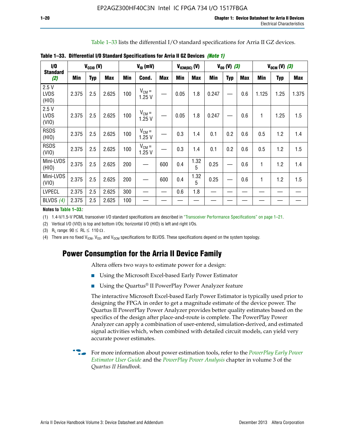| Table 1–33 lists the differential I/O standard specifications for Arria II GZ devices. |  |
|----------------------------------------------------------------------------------------|--|
|----------------------------------------------------------------------------------------|--|

| I/O                          |       | $V_{CClO}$ (V) |            | $V_{ID}$ (mV) |                     |            | $V_{ICM(DC)}$ (V) |            | $V_{OD} (V) (3)$ |            |            | $V_{OCM} (V) (3)$ |            |            |
|------------------------------|-------|----------------|------------|---------------|---------------------|------------|-------------------|------------|------------------|------------|------------|-------------------|------------|------------|
| <b>Standard</b><br>(2)       | Min   | <b>Typ</b>     | <b>Max</b> | Min           | Cond.               | <b>Max</b> | <b>Min</b>        | <b>Max</b> | Min              | <b>Typ</b> | <b>Max</b> | Min               | <b>Typ</b> | <b>Max</b> |
| 2.5V<br><b>LVDS</b><br>(HIO) | 2.375 | 2.5            | 2.625      | 100           | $V_{CM} =$<br>1.25V |            | 0.05              | 1.8        | 0.247            |            | 0.6        | 1.125             | 1.25       | 1.375      |
| 2.5V<br><b>LVDS</b><br>(VIO) | 2.375 | 2.5            | 2.625      | 100           | $V_{CM} =$<br>1.25V |            | 0.05              | 1.8        | 0.247            |            | 0.6        | 1                 | 1.25       | 1.5        |
| <b>RSDS</b><br>(HIO)         | 2.375 | 2.5            | 2.625      | 100           | $V_{CM} =$<br>1.25V |            | 0.3               | 1.4        | 0.1              | 0.2        | 0.6        | 0.5               | 1.2        | 1.4        |
| <b>RSDS</b><br>(VIO)         | 2.375 | 2.5            | 2.625      | 100           | $V_{CM} =$<br>1.25V |            | 0.3               | 1.4        | 0.1              | 0.2        | 0.6        | 0.5               | 1.2        | 1.5        |
| Mini-LVDS<br>(HIO)           | 2.375 | 2.5            | 2.625      | 200           | —                   | 600        | 0.4               | 1.32<br>5  | 0.25             |            | 0.6        | 1                 | 1.2        | 1.4        |
| Mini-LVDS<br>(VIO)           | 2.375 | 2.5            | 2.625      | 200           |                     | 600        | 0.4               | 1.32<br>5  | 0.25             |            | 0.6        | 1                 | 1.2        | 1.5        |
| <b>LVPECL</b>                | 2.375 | 2.5            | 2.625      | 300           |                     |            | 0.6               | 1.8        |                  |            |            |                   |            |            |
| BLVDS $(4)$                  | 2.375 | 2.5            | 2.625      | 100           |                     |            |                   |            |                  |            |            |                   |            |            |

**Table 1–33. Differential I/O Standard Specifications for Arria II GZ Devices** *(Note 1)*

#### **Notes to Table 1–33***:*

(1) 1.4-V/1.5-V PCML transceiver I/O standard specifications are described in "Transceiver Performance Specifications" on page 1–21.

(2) Vertical I/O (VIO) is top and bottom I/Os; horizontal I/O (HIO) is left and right I/Os.

(3) R<sub>l</sub> range:  $90 \leq R L \leq 110 \Omega$ .

(4) There are no fixed  $V_{ICM}$ ,  $V_{OD}$ , and  $V_{OCM}$  specifications for BLVDS. These specifications depend on the system topology.

# **Power Consumption for the Arria II Device Family**

Altera offers two ways to estimate power for a design:

- Using the Microsoft Excel-based Early Power Estimator
- Using the Quartus<sup>®</sup> II PowerPlay Power Analyzer feature

The interactive Microsoft Excel-based Early Power Estimator is typically used prior to designing the FPGA in order to get a magnitude estimate of the device power. The Quartus II PowerPlay Power Analyzer provides better quality estimates based on the specifics of the design after place-and-route is complete. The PowerPlay Power Analyzer can apply a combination of user-entered, simulation-derived, and estimated signal activities which, when combined with detailed circuit models, can yield very accurate power estimates.

f For more information about power estimation tools, refer to the *[PowerPlay Early Power](http://www.altera.com/literature/ug/ug_epe.pdf?GSA_pos=5&WT.oss_r=1&WT.oss=powerplay early power estimator)  [Estimator User Guide](http://www.altera.com/literature/ug/ug_epe.pdf?GSA_pos=5&WT.oss_r=1&WT.oss=powerplay early power estimator)* and the *[PowerPlay Power Analysis](http://www.altera.com/literature/hb/qts/qts_qii53013.pdf)* chapter in volume 3 of the *Quartus II Handbook*.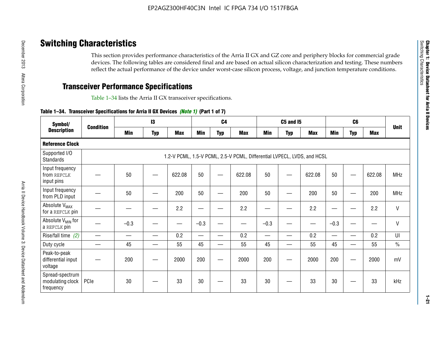# **Switching Characteristics**

This section provides performance characteristics of the Arria II GX and GZ core and periphery blocks for commercial grade devices. The following tables are considered final and are based on actual silicon characterization and testing. These numbers reflect the actual performance of the device under worst-case silicon process, voltage, and junction temperature conditions.

# **Transceiver Performance Specifications**

Table 1–34 lists the Arria II GX transceiver specifications.

### **Table 1–34. Transceiver Specifications for Arria II GX Devices** *(Note 1)* **(Part 1 of 7)**

| Symbol/                                          |                  |            | $\mathbf{13}$ |            |            | C <sub>4</sub>           |                                                                         |            | <b>C5 and 15</b> |            |            | C <sub>6</sub>           |            |               |
|--------------------------------------------------|------------------|------------|---------------|------------|------------|--------------------------|-------------------------------------------------------------------------|------------|------------------|------------|------------|--------------------------|------------|---------------|
| <b>Description</b>                               | <b>Condition</b> | <b>Min</b> | <b>Typ</b>    | <b>Max</b> | <b>Min</b> | <b>Typ</b>               | <b>Max</b>                                                              | <b>Min</b> | <b>Typ</b>       | <b>Max</b> | <b>Min</b> | <b>Typ</b>               | <b>Max</b> | <b>Unit</b>   |
| <b>Reference Clock</b>                           |                  |            |               |            |            |                          |                                                                         |            |                  |            |            |                          |            |               |
| Supported I/O<br><b>Standards</b>                |                  |            |               |            |            |                          | 1.2-V PCML, 1.5-V PCML, 2.5-V PCML, Differential LVPECL, LVDS, and HCSL |            |                  |            |            |                          |            |               |
| Input frequency<br>from REFCLK<br>input pins     |                  | 50         |               | 622.08     | 50         |                          | 622.08                                                                  | 50         | —                | 622.08     | 50         |                          | 622.08     | <b>MHz</b>    |
| Input frequency<br>from PLD input                |                  | 50         |               | 200        | 50         |                          | 200                                                                     | 50         |                  | 200        | 50         |                          | 200        | MHz           |
| Absolute V <sub>MAX</sub><br>for a REFCLK pin    |                  |            |               | 2.2        |            |                          | 2.2                                                                     | —          |                  | 2.2        |            |                          | 2.2        | $\mathsf{V}$  |
| Absolute V <sub>MIN</sub> for<br>a REFCLK pin    |                  | $-0.3$     |               |            | $-0.3$     |                          |                                                                         | $-0.3$     | -                |            | $-0.3$     |                          | —          | $\mathsf{V}$  |
| Rise/fall time (2)                               |                  |            | —             | 0.2        | —          | —                        | 0.2                                                                     |            | —                | 0.2        | —          | $\overline{\phantom{0}}$ | 0.2        | UI            |
| Duty cycle                                       |                  | 45         |               | 55         | 45         | $\overline{\phantom{0}}$ | 55                                                                      | 45         | —                | 55         | 45         |                          | 55         | $\frac{0}{0}$ |
| Peak-to-peak<br>differential input<br>voltage    |                  | 200        |               | 2000       | 200        |                          | 2000                                                                    | 200        | —                | 2000       | 200        |                          | 2000       | mV            |
| Spread-spectrum<br>modulating clock<br>frequency | PCIe             | 30         |               | 33         | 30         |                          | 33                                                                      | 30         |                  | 33         | 30         |                          | 33         | kHz           |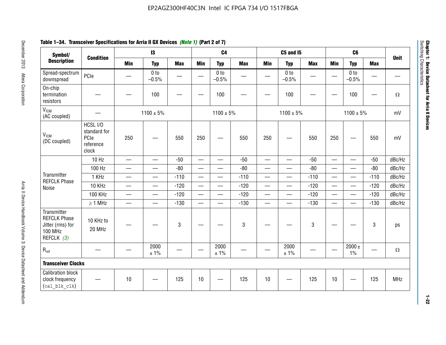# **Table 1–34. Transceiver Specifications for Arria II GX Devices** *(Note 1)* **(Part 2 of 7)**

| Symbol/                                                                                |                                                        |                          | $\mathbf{13}$              |                          |                          | C <sub>4</sub>             |            |                          | <b>C5 and 15</b>           |            |                          | C <sub>6</sub>             |                          |             |
|----------------------------------------------------------------------------------------|--------------------------------------------------------|--------------------------|----------------------------|--------------------------|--------------------------|----------------------------|------------|--------------------------|----------------------------|------------|--------------------------|----------------------------|--------------------------|-------------|
| <b>Description</b>                                                                     | <b>Condition</b>                                       | <b>Min</b>               | <b>Typ</b>                 | <b>Max</b>               | <b>Min</b>               | <b>Typ</b>                 | <b>Max</b> | <b>Min</b>               | <b>Typ</b>                 | <b>Max</b> | <b>Min</b>               | <b>Typ</b>                 | <b>Max</b>               | <b>Unit</b> |
| Spread-spectrum<br>downspread                                                          | PCIe                                                   |                          | 0 <sub>to</sub><br>$-0.5%$ | $\overline{\phantom{0}}$ | $\hspace{0.05cm}$        | 0 <sub>to</sub><br>$-0.5%$ | —          |                          | 0 <sub>to</sub><br>$-0.5%$ |            |                          | 0 <sub>to</sub><br>$-0.5%$ | $\overline{\phantom{0}}$ |             |
| On-chip<br>termination<br>resistors                                                    |                                                        |                          | 100                        | —                        | $\frac{1}{2}$            | 100                        |            |                          | 100                        |            | <u>—</u>                 | 100                        |                          | $\Omega$    |
| V <sub>ICM</sub><br>(AC coupled)                                                       |                                                        |                          | $1100 \pm 5\%$             |                          |                          | $1100 \pm 5\%$             |            |                          | $1100 \pm 5\%$             |            |                          | $1100 \pm 5\%$             |                          | mV          |
| V <sub>ICM</sub><br>(DC coupled)                                                       | HCSL I/O<br>standard for<br>PCIe<br>reference<br>clock | 250                      |                            | 550                      | 250                      | $\hspace{0.05cm}$          | 550        | 250                      | $\hspace{0.05cm}$          | 550        | 250                      |                            | 550                      | mV          |
|                                                                                        | $10$ Hz                                                | $\overline{\phantom{0}}$ | $\overline{\phantom{0}}$   | $-50$                    |                          |                            | $-50$      | $\overline{\phantom{0}}$ |                            | $-50$      | $\overline{\phantom{0}}$ | $\equiv$                   | $-50$                    | dBc/Hz      |
|                                                                                        | 100 Hz                                                 | $\overline{\phantom{0}}$ | $\overline{\phantom{0}}$   | $-80$                    | $\overline{\phantom{0}}$ |                            | $-80$      | $\overline{\phantom{0}}$ | $\overline{\phantom{0}}$   | $-80$      |                          | $\overline{\phantom{0}}$   | $-80$                    | dBc/Hz      |
| Transmitter<br><b>REFCLK Phase</b>                                                     | 1 KHz                                                  |                          | $\overline{\phantom{0}}$   | $-110$                   |                          | $\qquad \qquad -$          | $-110$     | $\overline{\phantom{0}}$ |                            | $-110$     |                          |                            | $-110$                   | dBc/Hz      |
| Noise                                                                                  | 10 KHz                                                 | $\overline{\phantom{m}}$ | $\overline{\phantom{0}}$   | $-120$                   |                          | $\overline{\phantom{0}}$   | $-120$     | $\overline{\phantom{0}}$ |                            | $-120$     |                          | $\overline{\phantom{0}}$   | $-120$                   | dBc/Hz      |
|                                                                                        | <b>100 KHz</b>                                         | $\overline{\phantom{0}}$ | $\overline{\phantom{0}}$   | $-120$                   |                          | $\overline{\phantom{0}}$   | $-120$     | $\overline{\phantom{0}}$ | $\qquad \qquad$            | $-120$     | $\overline{\phantom{0}}$ | $\overline{\phantom{0}}$   | $-120$                   | dBc/Hz      |
|                                                                                        | $\geq 1$ MHz                                           | $\overline{\phantom{0}}$ | $\overline{\phantom{0}}$   | $-130$                   |                          | $\overline{\phantom{m}}$   | $-130$     | $\qquad \qquad$          | $\qquad \qquad -$          | $-130$     | $\overline{\phantom{0}}$ | $\overline{\phantom{0}}$   | $-130$                   | dBc/Hz      |
| Transmitter<br><b>REFCLK Phase</b><br>Jitter (rms) for<br><b>100 MHz</b><br>REFCLK (3) | 10 KHz to<br>20 MHz                                    |                          |                            | $\sqrt{3}$               |                          |                            | 3          |                          |                            | 3          |                          |                            | 3                        | ps          |
| $R_{ref}$                                                                              |                                                        |                          | 2000<br>± 1%               |                          | $\hspace{0.05cm}$        | 2000<br>± 1%               |            |                          | 2000<br>± 1%               |            |                          | 2000 $\pm$<br>$1\%$        | —                        | $\Omega$    |
| <b>Transceiver Clocks</b>                                                              |                                                        |                          |                            |                          |                          |                            |            |                          |                            |            |                          |                            |                          |             |
| <b>Calibration block</b><br>clock frequency<br>(cal blk clk)                           |                                                        | 10                       |                            | 125                      | 10                       |                            | 125        | 10                       |                            | 125        | 10                       |                            | 125                      | MHz         |

December 2013 Altera Corporation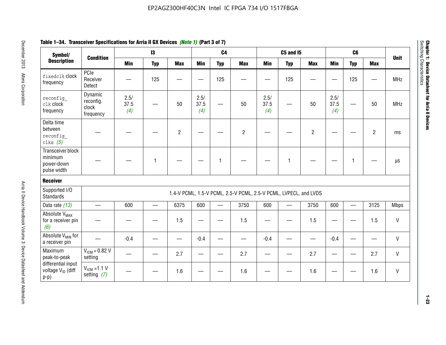| Symbol/                                                       |                                            |                     | 13                       |                |                     | C <sub>4</sub>           |                                                                  |                     | <b>C5 and 15</b>         |                |                     | C <sub>6</sub>           |                |              |
|---------------------------------------------------------------|--------------------------------------------|---------------------|--------------------------|----------------|---------------------|--------------------------|------------------------------------------------------------------|---------------------|--------------------------|----------------|---------------------|--------------------------|----------------|--------------|
| <b>Description</b>                                            | <b>Condition</b>                           | <b>Min</b>          | <b>Typ</b>               | <b>Max</b>     | <b>Min</b>          | <b>Typ</b>               | <b>Max</b>                                                       | <b>Min</b>          | <b>Typ</b>               | <b>Max</b>     | <b>Min</b>          | <b>Typ</b>               | <b>Max</b>     | <b>Unit</b>  |
| fixedclk Clock<br>frequency                                   | PCIe<br>Receiver<br>Detect                 |                     | 125                      |                |                     | 125                      |                                                                  |                     | 125                      |                |                     | 125                      |                | <b>MHz</b>   |
| reconfig<br>clk clock<br>frequency                            | Dynamic<br>reconfig.<br>clock<br>frequency | 2.5/<br>37.5<br>(4) |                          | 50             | 2.5/<br>37.5<br>(4) | $\overline{\phantom{0}}$ | 50                                                               | 2.5/<br>37.5<br>(4) | $\overline{\phantom{0}}$ | 50             | 2.5/<br>37.5<br>(4) |                          | 50             | <b>MHz</b>   |
| Delta time<br>between<br>reconfig<br>clks $(5)$               |                                            |                     |                          | $\overline{c}$ |                     |                          | $\overline{2}$                                                   |                     |                          | $\overline{2}$ |                     |                          | $\overline{2}$ | ms           |
| Transceiver block<br>minimum<br>power-down<br>pulse width     |                                            |                     | $\mathbf{1}$             |                |                     | 1                        |                                                                  |                     | $\overline{1}$           |                |                     | 1                        |                | $\mu s$      |
| <b>Receiver</b>                                               |                                            |                     |                          |                |                     |                          |                                                                  |                     |                          |                |                     |                          |                |              |
| Supported I/O<br><b>Standards</b>                             |                                            |                     |                          |                |                     |                          | 1.4-V PCML, 1.5-V PCML, 2.5-V PCML, 2.5-V PCML, LVPECL, and LVDS |                     |                          |                |                     |                          |                |              |
| Data rate (13)                                                | $\equiv$                                   | 600                 | $\overline{\phantom{0}}$ | 6375           | 600                 |                          | 3750                                                             | 600                 | $\overline{\phantom{0}}$ | 3750           | 600                 | $\overline{\phantom{0}}$ | 3125           | <b>Mbps</b>  |
| Absolute V <sub>MAX</sub><br>for a receiver pin<br>(6)        |                                            |                     |                          | 1.5            |                     |                          | 1.5                                                              |                     |                          | 1.5            |                     |                          | 1.5            | V            |
| Absolute V <sub>MIN</sub> for<br>a receiver pin               |                                            | $-0.4$              |                          |                | $-0.4$              |                          |                                                                  | $-0.4$              |                          |                | $-0.4$              |                          |                | V            |
| Maximum<br>peak-to-peak                                       | $V_{ICM} = 0.82 V$<br>setting              |                     |                          | 2.7            |                     |                          | 2.7                                                              |                     |                          | 2.7            |                     |                          | 2.7            | V            |
| differential input<br>voltage V <sub>ID</sub> (diff<br>$p-p)$ | $V_{IGM}$ =1.1 V<br>setting $(7)$          |                     |                          | 1.6            |                     |                          | 1.6                                                              |                     |                          | 1.6            |                     |                          | 1.6            | $\mathsf{V}$ |

**Chapter 1: Device Datasheet for Arria II Devices**

Chapter 1: Device Datasheet for Arria II Devices<br>Switching Characteristics

Switching Characteristics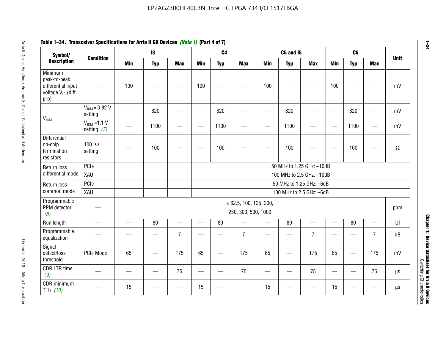#### **Arris 2: Device Handbook Volume 3: Device Datasheet Addents Device Datasheet Addents December 2013 Altera Corporation Minimum peaks-to-peak differential input voltage Video Minimum peaks-to-peak diff particular and the V<sub>ICM</sub>**  $V_{ICM} = 0.82 V$ setting | 一 | 820 | 一 | ― | 820 | 一 | ― | 820 | ― | ― | 820 | ― | mV  $V_{ICM}$  =1.1 V setting *(7)* | - | 1100 | - | - | 1100 | - | - | 1100 | - | - | 1100 | - | mV **Differential** on-chip termination resistors100– $\Omega$ setting | — | 100 | — | — | 100 | — | — | 100 | — | — | 100 | —  $\Omega$ Return loss differential mode PCIee | | | | 50 MHz to 1.25 GHz: –10dB XAUI 100 MHz to 2.5 GHz: –10dB Return loss common modePCIe 50 MHz to 1.25 GHz: –6dBXAUI 100 MHz to 2.5 GHz: –6dB Programmable PPM detector *(8)* ± 62.5, 100, 125, 200, 250, 300, 500, 1000 ppm Run length | ― | ― | 80 | ― | 80 | ― | 80 | ― | UI Programmable -rogrammasic | — | — | — | 7 |— | – | 7 |— | – | 7 |— | – | 7 | dB<br>equalization | — | — | — | 7 |— | 7 | — | 7 | — | 7 | — | 7 | dB Signal detect/loss thresholdPCIe Mode | 65 | — | 175 | 65 | — | 175 | 65 | — | 175 | 65 | — | 175 | mV CDR LTR time *(9)* – | – | – | <sup>75</sup> | – | <sup>75</sup> | – | <sup>75</sup> | – | <sup>75</sup> | – | <sup>75</sup> | – | <sup>75</sup> | <sup>18</sup> CDR minimum T1b *(10)* — <sup>15</sup> — — <sup>15</sup> — <sup>15</sup> — — <sup>15</sup> — — µs **Symbol/ Description Condition I3 C4 C5 and I5 C6UnitMin Typ Max Min Typ Max Min Typ Max Min Typ Max**

# **Table 1–34. Transceiver Specifications for Arria II GX Devices** *(Note 1)* **(Part 4 of 7)**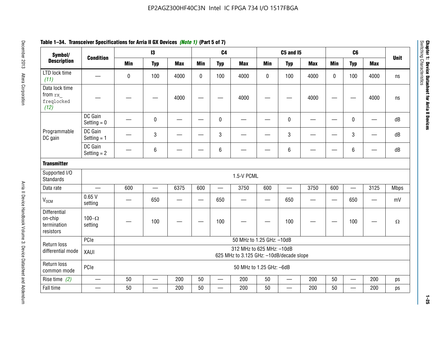| Symbol/                                             |                          |             | $\mathbf{I}3$            |            |             | C <sub>4</sub> |                                                                       |            | <b>C5 and 15</b>         |                          |                 | C <sub>6</sub>           |                 |             |
|-----------------------------------------------------|--------------------------|-------------|--------------------------|------------|-------------|----------------|-----------------------------------------------------------------------|------------|--------------------------|--------------------------|-----------------|--------------------------|-----------------|-------------|
| <b>Description</b>                                  | <b>Condition</b>         | <b>Min</b>  | <b>Typ</b>               | <b>Max</b> | <b>Min</b>  | <b>Typ</b>     | <b>Max</b>                                                            | <b>Min</b> | <b>Typ</b>               | <b>Max</b>               | <b>Min</b>      | <b>Typ</b>               | <b>Max</b>      | <b>Unit</b> |
| LTD lock time<br>(11)                               |                          | $\mathbf 0$ | 100                      | 4000       | $\mathbf 0$ | 100            | 4000                                                                  | 0          | 100                      | 4000                     | $\mathbf{0}$    | 100                      | 4000            | ns          |
| Data lock time<br>from rx<br>freqlocked<br>(12)     |                          |             |                          | 4000       |             |                | 4000                                                                  |            |                          | 4000                     |                 |                          | 4000            | ns          |
|                                                     | DC Gain<br>Setting $= 0$ |             | $\mathbf 0$              |            |             | $\mathbf 0$    |                                                                       |            | $\mathbf{0}$             | $\overline{\phantom{0}}$ |                 | 0                        |                 | dB          |
| Programmable<br>DC gain                             | DC Gain<br>Setting $= 1$ |             | 3                        |            |             | 3              |                                                                       |            | 3                        |                          |                 | 3                        |                 | dB          |
|                                                     | DC Gain<br>Setting $= 2$ |             | 6                        |            |             | $\,6\,$        |                                                                       |            | $6\phantom{1}6$          |                          |                 | $\,6\,$                  |                 | dB          |
| <b>Transmitter</b>                                  |                          |             |                          |            |             |                |                                                                       |            |                          |                          |                 |                          |                 |             |
| Supported I/O<br><b>Standards</b>                   |                          |             |                          |            |             |                | 1.5-V PCML                                                            |            |                          |                          |                 |                          |                 |             |
| Data rate                                           |                          | 600         | $\qquad \qquad$          | 6375       | 600         |                | 3750                                                                  | 600        | $\overline{\phantom{0}}$ | 3750                     | 600             | $\qquad \qquad$          | 3125            | <b>Mbps</b> |
| $V_{OCM}$                                           | 0.65V<br>setting         |             | 650                      |            |             | 650            |                                                                       | —          | 650                      |                          | $\qquad \qquad$ | 650                      | $\qquad \qquad$ | mV          |
| Differential<br>on-chip<br>termination<br>resistors | 100 $-\Omega$<br>setting |             | 100                      |            |             | 100            |                                                                       |            | 100                      |                          |                 | 100                      |                 | $\Omega$    |
| Return loss                                         | PCIe                     |             |                          |            |             |                | 50 MHz to 1.25 GHz: -10dB                                             |            |                          |                          |                 |                          |                 |             |
| differential mode                                   | XAUI                     |             |                          |            |             |                | 312 MHz to 625 MHz: -10dB<br>625 MHz to 3.125 GHz: -10dB/decade slope |            |                          |                          |                 |                          |                 |             |
| Return loss<br>common mode                          | PCIe                     |             |                          |            |             |                | 50 MHz to 1.25 GHz: -6dB                                              |            |                          |                          |                 |                          |                 |             |
| Rise time $(2)$                                     |                          | 50          | $\overline{\phantom{0}}$ | 200        | 50          |                | 200                                                                   | 50         | $\overline{\phantom{0}}$ | 200                      | 50              | $\overline{\phantom{m}}$ | 200             | ps          |
| Fall time                                           |                          | 50          |                          | 200        | 50          |                | 200                                                                   | 50         |                          | 200                      | 50              |                          | 200             | ps          |

# **Table 1–34. Transceiver Specifications for Arria II GX Devices** *(Note 1)* **(Part 5 of 7)**

**1–25**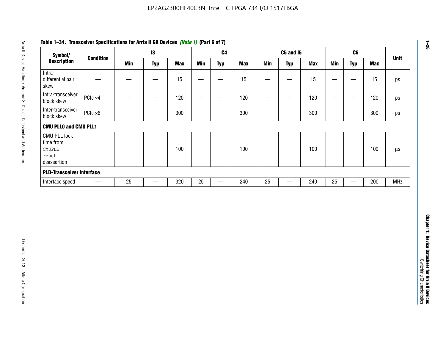| Symbol/                                                            |                          |            | $\mathbf{I}3$                    |            |                          | C <sub>4</sub>                    |            |                 | <b>C5 and 15</b>         |            |            | C6                                |            | <b>Unit</b> |
|--------------------------------------------------------------------|--------------------------|------------|----------------------------------|------------|--------------------------|-----------------------------------|------------|-----------------|--------------------------|------------|------------|-----------------------------------|------------|-------------|
| <b>Description</b>                                                 | <b>Condition</b>         | <b>Min</b> | <b>Typ</b>                       | <b>Max</b> | <b>Min</b>               | <b>Typ</b>                        | <b>Max</b> | <b>Min</b>      | <b>Typ</b>               | <b>Max</b> | <b>Min</b> | <b>Typ</b>                        | <b>Max</b> |             |
| Intra-<br>differential pair<br>skew                                |                          |            | $\overline{\phantom{m}}$         | 15         | $\overline{\phantom{0}}$ | $\overline{\phantom{0}}$          | 15         | —               | $\qquad \qquad$          | 15         |            | $\qquad \qquad -$                 | 15         |             |
| Intra-transceiver<br>block skew                                    | PCIe ×4                  |            | $\overbrace{\phantom{12322111}}$ | 120        | $\hspace{0.05cm}$        | $\qquad \qquad$                   | 120        | $\qquad \qquad$ | $\overline{\phantom{m}}$ | 120        |            | $\overbrace{\phantom{aaaaa}}$     | 120        |             |
| Inter-transceiver<br>block skew                                    | $PCle \times 8$          |            |                                  | 300        | —                        | $\hspace{0.05cm}$                 | 300        | —               | $\overline{\phantom{0}}$ | 300        |            | $\hspace{0.05cm}$                 | 300        |             |
| <b>CMU PLLO and CMU PLL1</b>                                       |                          |            |                                  |            |                          |                                   |            |                 |                          |            |            |                                   |            |             |
| <b>CMU PLL lock</b><br>time from<br>CMUPLL<br>reset<br>deassertion |                          |            |                                  | 100        | $\overline{\phantom{m}}$ | —                                 | 100        |                 |                          | 100        |            | $\hspace{0.05cm}$                 | 100        |             |
| <b>PLD-Transceiver Interface</b>                                   |                          |            |                                  |            |                          |                                   |            |                 |                          |            |            |                                   |            |             |
| Interface speed                                                    | $\overline{\phantom{m}}$ | 25         |                                  | 320        | 25                       | $\overbrace{\phantom{123221111}}$ | 240        | $25\,$          | —                        | 240        | 25         | $\overbrace{\phantom{123221111}}$ | 200        | <b>MHz</b>  |
|                                                                    |                          |            |                                  |            |                          |                                   |            |                 |                          |            |            |                                   |            |             |
|                                                                    |                          |            |                                  |            |                          |                                   |            |                 |                          |            |            |                                   |            |             |
|                                                                    |                          |            |                                  |            |                          |                                   |            |                 |                          |            |            |                                   |            |             |

# **Table 1–34. Transceiver Specifications for Arria II GX Devices** *(Note 1)* **(Part 6 of 7)**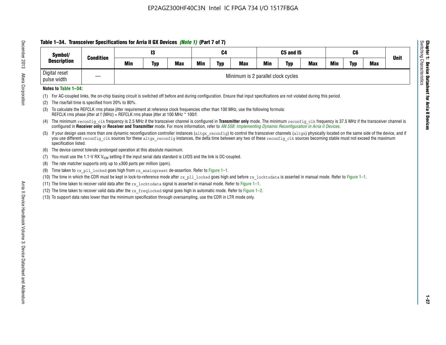# **Table 1–34. Transceiver Specifications for Arria II GX Devices** *(Note 1)* **(Part 7 of 7)**

| Symbol/<br><b>Condition</b>  |                               |     | 13         |            |            | C <sub>4</sub> |                                    |            | C5 and I5  |            |            | C <sub>6</sub> |            | <b>Unit</b> |
|------------------------------|-------------------------------|-----|------------|------------|------------|----------------|------------------------------------|------------|------------|------------|------------|----------------|------------|-------------|
| <b>Description</b>           |                               | Min | <b>Typ</b> | <b>Max</b> | <b>Min</b> | <b>Typ</b>     | <b>Max</b>                         | <b>Min</b> | <b>Typ</b> | <b>Max</b> | <b>Min</b> | <b>Typ</b>     | <b>Max</b> |             |
| Digital reset<br>pulse width | $\overbrace{\phantom{aaaaa}}$ |     |            |            |            |                | Minimum is 2 parallel clock cycles |            |            |            |            |                |            |             |

### **Notes to Table 1–34:**

- (1) For AC-coupled links, the on-chip biasing circuit is switched off before and during configuration. Ensure that input specifications are not violated during this period.
- (2) The rise/fall time is specified from 20% to 80%.
- (3) To calculate the REFCLK rms phase jitter requirement at reference clock frequencies other than 100 MHz, use the following formula: REFCLK rms phase jitter at f (MHz) = REFCLK rms phase jitter at 100 MHz \* 100/f.
- (4) The minimum reconfig clk frequency is 2.5 MHz if the transceiver channel is configured in **Transmitter only** mode. The minimum reconfig clk frequency is 37.5 MHz if the transceiver channel is configured in **Receiver only** or **Receiver and Transmitter** mode. For more information, refer to *AN [558: Implementing Dynamic Reconfiguration in Arria II Devices](www.altera.com/literature/hb/arria-ii-gx/an558.pdf)*.
- (5) If your design uses more than one dynamic reconfiguration controller instances (altgx reconfig) to control the transceiver channels (altgx) physically located on the same side of the device, and if you use different reconfig clk sources for these altgx reconfig instances, the delta time between any two of these reconfig clk sources becoming stable must not exceed the maximum specification listed.
- (6) The device cannot tolerate prolonged operation at this absolute maximum.
- (7) You must use the 1.1-V RX  $V_{ICM}$  setting if the input serial data standard is LVDS and the link is DC-coupled.
- (8) The rate matcher supports only up to  $\pm 300$  parts per million (ppm).
- (9) Time taken to rx\_pll\_locked goes high from rx\_analogreset de-assertion. Refer to Figure 1–1.
- (10) The time in which the CDR must be kept in lock-to-reference mode after rx pll locked goes high and before rx locktodata is asserted in manual mode. Refer to Figure 1-1.
- (11) The time taken to recover valid data after the  $rx$  locktodata signal is asserted in manual mode. Refer to Figure 1–1.
- (12) The time taken to recover valid data after the  $rx$  freqlocked signal goes high in automatic mode. Refer to Figure 1–2.
- (13) To support data rates lower than the minimum specification through oversampling, use the CDR in LTR mode only.

**Chapter 1: Device Datasheet for Arria II Devices**

**Device Datasheet for Arria II Devices** 

Switching Characteristics

Chapter 1: Device Datas<br>Switching Characteristics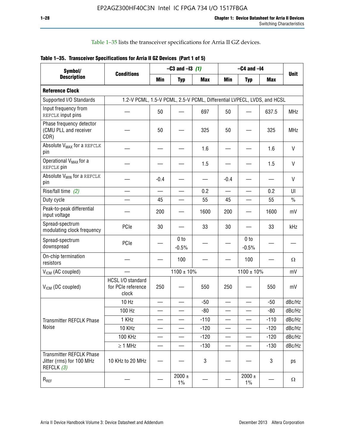Table 1–35 lists the transceiver specifications for Arria II GZ devices.

|  | Table 1-35. Transceiver Specifications for Arria II GZ Devices (Part 1 of 5) |  |
|--|------------------------------------------------------------------------------|--|
|  |                                                                              |  |

| Symbol/                                                                   |                                                                         |                          | $-C3$ and $-13$ (1)        |            |                          | $-C4$ and $-I4$            |            |             |
|---------------------------------------------------------------------------|-------------------------------------------------------------------------|--------------------------|----------------------------|------------|--------------------------|----------------------------|------------|-------------|
| <b>Description</b>                                                        | <b>Conditions</b>                                                       | Min                      | <b>Typ</b>                 | <b>Max</b> | <b>Min</b>               | <b>Typ</b>                 | <b>Max</b> | <b>Unit</b> |
| <b>Reference Clock</b>                                                    |                                                                         |                          |                            |            |                          |                            |            |             |
| Supported I/O Standards                                                   | 1.2-V PCML, 1.5-V PCML, 2.5-V PCML, Differential LVPECL, LVDS, and HCSL |                          |                            |            |                          |                            |            |             |
| Input frequency from<br>REFCLK input pins                                 |                                                                         | 50                       |                            | 697        | 50                       |                            | 637.5      | <b>MHz</b>  |
| Phase frequency detector<br>(CMU PLL and receiver<br>CDR)                 |                                                                         | 50                       |                            | 325        | 50                       |                            | 325        | <b>MHz</b>  |
| Absolute V <sub>MAX</sub> for a REFCLK<br>pin                             |                                                                         |                          |                            | 1.6        |                          |                            | 1.6        | $\vee$      |
| Operational V <sub>MAX</sub> for a<br>REFCLK pin                          |                                                                         |                          |                            | 1.5        |                          |                            | 1.5        | V           |
| Absolute V <sub>MIN</sub> for a REFCLK<br>pin                             |                                                                         | $-0.4$                   |                            |            | $-0.4$                   |                            |            | V           |
| Rise/fall time (2)                                                        |                                                                         | $\overline{\phantom{0}}$ |                            | 0.2        | $\overline{\phantom{0}}$ | $\overline{\phantom{0}}$   | 0.2        | UI          |
| Duty cycle                                                                |                                                                         | 45                       |                            | 55         | 45                       |                            | 55         | $\%$        |
| Peak-to-peak differential<br>input voltage                                |                                                                         | 200                      |                            | 1600       | 200                      |                            | 1600       | mV          |
| Spread-spectrum<br>modulating clock frequency                             | PCIe                                                                    | 30                       |                            | 33         | 30                       |                            | 33         | kHz         |
| Spread-spectrum<br>downspread                                             | PCIe                                                                    |                          | 0 <sub>to</sub><br>$-0.5%$ |            |                          | 0 <sub>to</sub><br>$-0.5%$ |            |             |
| On-chip termination<br>resistors                                          |                                                                         |                          | 100                        |            |                          | 100                        |            | Ω           |
| $V_{IGM}$ (AC coupled)                                                    |                                                                         |                          | $1100 \pm 10\%$            |            |                          | $1100 \pm 10\%$            |            | mV          |
| V <sub>ICM</sub> (DC coupled)                                             | HCSL I/O standard<br>for PCIe reference<br>clock                        | 250                      |                            | 550        | 250                      |                            | 550        | mV          |
|                                                                           | 10 Hz                                                                   | $\overline{\phantom{0}}$ |                            | $-50$      | $\sim$                   |                            | $-50$      | dBc/Hz      |
|                                                                           | 100 Hz                                                                  |                          |                            | $-80$      |                          |                            | $-80$      | dBc/Hz      |
| Transmitter REFCLK Phase                                                  | 1 KHz                                                                   |                          | $\overline{\phantom{0}}$   | $-110$     | $\overline{\phantom{0}}$ | —                          | $-110$     | dBc/Hz      |
| Noise                                                                     | 10 KHz                                                                  |                          |                            | $-120$     |                          |                            | $-120$     | dBc/Hz      |
|                                                                           | <b>100 KHz</b>                                                          |                          |                            | $-120$     | $\overline{\phantom{0}}$ | $\qquad \qquad -$          | $-120$     | dBc/Hz      |
|                                                                           | $\geq 1$ MHz                                                            |                          |                            | $-130$     | $\overline{\phantom{0}}$ | $\overline{\phantom{0}}$   | $-130$     | dBc/Hz      |
| <b>Transmitter REFCLK Phase</b><br>Jitter (rms) for 100 MHz<br>REFCLK (3) | 10 KHz to 20 MHz                                                        |                          |                            | 3          |                          |                            | 3          | ps          |
| $R_{REF}$                                                                 |                                                                         |                          | $2000 \pm$<br>$1\%$        |            |                          | 2000 $\pm$<br>$1\%$        |            | $\Omega$    |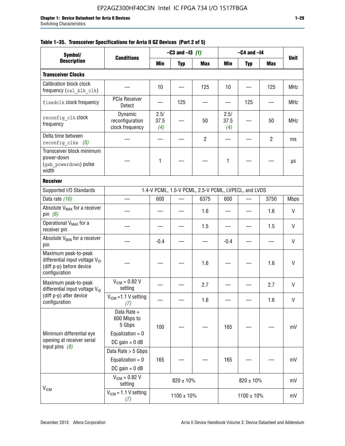| Symbol/                                                                                                         |                                                                                |                     | $-C3$ and $-I3$ (1) |                                                      |                     | $-C4$ and $-I4$          |                |              |
|-----------------------------------------------------------------------------------------------------------------|--------------------------------------------------------------------------------|---------------------|---------------------|------------------------------------------------------|---------------------|--------------------------|----------------|--------------|
| <b>Description</b>                                                                                              | <b>Conditions</b>                                                              | Min                 | <b>Typ</b>          | <b>Max</b>                                           | Min                 | <b>Typ</b>               | <b>Max</b>     | <b>Unit</b>  |
| <b>Transceiver Clocks</b>                                                                                       |                                                                                |                     |                     |                                                      |                     |                          |                |              |
| <b>Calibration block clock</b><br>frequency (cal blk clk)                                                       |                                                                                | 10                  |                     | 125                                                  | 10                  |                          | 125            | <b>MHz</b>   |
| fixedclk clock frequency                                                                                        | <b>PCIe Receiver</b><br>Detect                                                 |                     | 125                 |                                                      |                     | 125                      |                | <b>MHz</b>   |
| reconfig clk Clock<br>frequency                                                                                 | Dynamic<br>reconfiguration<br>clock frequency                                  | 2.5/<br>37.5<br>(4) |                     | 50                                                   | 2.5/<br>37.5<br>(4) |                          | 50             | <b>MHz</b>   |
| Delta time between<br>reconfig clks $(5)$                                                                       |                                                                                |                     |                     | $\overline{2}$                                       |                     |                          | $\overline{2}$ | ms           |
| Transceiver block minimum<br>power-down<br>(gxb powerdown) pulse<br>width                                       |                                                                                | 1                   |                     |                                                      | 1                   |                          |                | μs           |
| <b>Receiver</b>                                                                                                 |                                                                                |                     |                     |                                                      |                     |                          |                |              |
| Supported I/O Standards                                                                                         |                                                                                |                     |                     | 1.4-V PCML, 1.5-V PCML, 2.5-V PCML, LVPECL, and LVDS |                     |                          |                |              |
| Data rate (16)                                                                                                  |                                                                                | 600                 |                     | 6375                                                 | 600                 | $\overline{\phantom{0}}$ | 3750           | <b>Mbps</b>  |
| Absolute V <sub>MAX</sub> for a receiver<br>pin $(6)$                                                           |                                                                                |                     |                     | 1.6                                                  |                     |                          | 1.6            | V            |
| Operational V <sub>MAX</sub> for a<br>receiver pin                                                              |                                                                                |                     |                     | 1.5                                                  |                     |                          | 1.5            | $\mathsf{V}$ |
| Absolute $V_{MIN}$ for a receiver<br>pin                                                                        |                                                                                | $-0.4$              |                     |                                                      | $-0.4$              |                          |                | V            |
| Maximum peak-to-peak<br>differential input voltage $V_{\text{ID}}$<br>(diff p-p) before device<br>configuration |                                                                                |                     |                     | 1.6                                                  |                     |                          | 1.6            | V            |
| Maximum peak-to-peak<br>differential input voltage V <sub>ID</sub>                                              | $V_{IGM} = 0.82 V$<br>setting                                                  |                     |                     | 2.7                                                  |                     |                          | 2.7            | V            |
| (diff p-p) after device<br>configuration                                                                        | $V_{ICM}$ = 1.1 V setting<br>(7)                                               |                     |                     | 1.6                                                  |                     |                          | 1.6            | V            |
| Minimum differential eye<br>opening at receiver serial                                                          | Data Rate =<br>600 Mbps to<br>5 Gbps<br>Equalization = $0$<br>DC gain = $0$ dB | 100                 |                     |                                                      | 165                 |                          |                | mV           |
| input pins $(8)$                                                                                                | Data Rate > 5 Gbps<br>Equalization = $0$<br>$DC$ gain = 0 dB                   | 165                 |                     |                                                      | 165                 |                          |                | mV           |
| V <sub>ICM</sub>                                                                                                | $V_{ICM} = 0.82 V$<br>setting                                                  |                     | $820 \pm 10\%$      |                                                      |                     | $820 \pm 10\%$           |                | mV           |
|                                                                                                                 | $VICM = 1.1 V setting$<br>(7)                                                  |                     | $1100 \pm 10\%$     |                                                      |                     | $1100 \pm 10\%$          |                | mV           |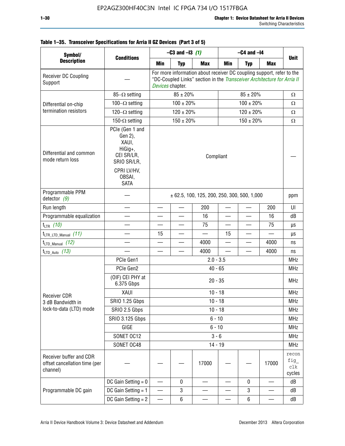| Table 1-35. Transceiver Specifications for Arria II GZ Devices (Part 3 of 5) |  |  |
|------------------------------------------------------------------------------|--|--|
|                                                                              |  |  |

| Symbol/<br><b>Description</b>                                        |                                                                                                                     | $-C3$ and $-13$ (1)                                                                                                                                                  |                |            | $-C4$ and $-I4$          |                          |                               | <b>Unit</b>                   |
|----------------------------------------------------------------------|---------------------------------------------------------------------------------------------------------------------|----------------------------------------------------------------------------------------------------------------------------------------------------------------------|----------------|------------|--------------------------|--------------------------|-------------------------------|-------------------------------|
|                                                                      | <b>Conditions</b>                                                                                                   | Min                                                                                                                                                                  | <b>Typ</b>     | <b>Max</b> | Min                      | <b>Typ</b>               | <b>Max</b>                    |                               |
| Receiver DC Coupling<br>Support                                      |                                                                                                                     | For more information about receiver DC coupling support, refer to the<br>"DC-Coupled Links" section in the Transceiver Architecture for Arria II<br>Devices chapter. |                |            |                          |                          |                               |                               |
|                                                                      | $85-\Omega$ setting                                                                                                 |                                                                                                                                                                      | $85 \pm 20\%$  |            |                          | $\Omega$                 |                               |                               |
| Differential on-chip                                                 | $100-\Omega$ setting                                                                                                |                                                                                                                                                                      | $100 \pm 20\%$ |            |                          | $\Omega$                 |                               |                               |
| termination resistors                                                | $120-\Omega$ setting                                                                                                |                                                                                                                                                                      | $120 \pm 20\%$ |            |                          | $\Omega$                 |                               |                               |
|                                                                      | 150- $\Omega$ setting                                                                                               |                                                                                                                                                                      | $150 \pm 20\%$ |            | $150 \pm 20\%$           |                          |                               | $\Omega$                      |
| Differential and common<br>mode return loss                          | PCIe (Gen 1 and<br>Gen 2),<br>XAUI,<br>HiGig+,<br>CEI SR/LR,<br>SRIO SR/LR,<br>CPRI LV/HV,<br>OBSAI,<br><b>SATA</b> | Compliant                                                                                                                                                            |                |            |                          |                          |                               |                               |
| Programmable PPM<br>detector $(9)$                                   |                                                                                                                     | $\pm$ 62.5, 100, 125, 200, 250, 300, 500, 1,000                                                                                                                      |                |            |                          |                          | ppm                           |                               |
| Run length                                                           |                                                                                                                     |                                                                                                                                                                      |                | 200        |                          |                          | 200                           | UI                            |
| Programmable equalization                                            |                                                                                                                     |                                                                                                                                                                      |                | 16         |                          |                          | 16                            | dB                            |
| $t_{LTR}$ (10)                                                       |                                                                                                                     |                                                                                                                                                                      |                | 75         | ш,                       |                          | 75                            | μs                            |
| $t_{\text{LTR\_LTD\_Manual}}$ (11)                                   |                                                                                                                     | 15                                                                                                                                                                   |                |            | 15                       | $\overline{\phantom{0}}$ |                               | μs                            |
| $t_{\text{LTD\_Manual}}$ (12)                                        |                                                                                                                     |                                                                                                                                                                      |                | 4000       |                          |                          | 4000                          | ns                            |
| $t_{LTD\_Auto}$ (13)                                                 |                                                                                                                     |                                                                                                                                                                      |                | 4000       | $\overline{\phantom{0}}$ |                          | 4000                          | ns                            |
|                                                                      | PCIe Gen1                                                                                                           | $2.0 - 3.5$                                                                                                                                                          |                |            |                          |                          |                               |                               |
|                                                                      | PCIe Gen2                                                                                                           | $40 - 65$                                                                                                                                                            |                |            |                          |                          |                               |                               |
|                                                                      | (OIF) CEI PHY at<br>6.375 Gbps                                                                                      | $20 - 35$                                                                                                                                                            |                |            |                          |                          |                               | <b>MHz</b>                    |
| <b>Receiver CDR</b>                                                  | XAUI                                                                                                                | $10 - 18$                                                                                                                                                            |                |            |                          |                          |                               |                               |
| 3 dB Bandwidth in                                                    | SRIO 1.25 Gbps                                                                                                      | $10 - 18$                                                                                                                                                            |                |            |                          |                          |                               |                               |
| lock-to-data (LTD) mode                                              | SRIO 2.5 Gbps                                                                                                       | $10 - 18$                                                                                                                                                            |                |            |                          |                          |                               |                               |
|                                                                      | <b>SRIO 3.125 Gbps</b>                                                                                              | $6 - 10$                                                                                                                                                             |                |            |                          |                          |                               |                               |
|                                                                      | GIGE                                                                                                                | $6 - 10$                                                                                                                                                             |                |            |                          |                          |                               | <b>MHz</b>                    |
|                                                                      | SONET OC12                                                                                                          | $3 - 6$                                                                                                                                                              |                |            |                          |                          |                               | <b>MHz</b>                    |
|                                                                      | SONET OC48                                                                                                          |                                                                                                                                                                      |                | $14 - 19$  |                          |                          |                               | <b>MHz</b>                    |
| Receiver buffer and CDR<br>offset cancellation time (per<br>channel) |                                                                                                                     |                                                                                                                                                                      |                | 17000      |                          |                          | 17000                         | recon<br>fig<br>clk<br>cycles |
|                                                                      | DC Gain Setting $= 0$                                                                                               | $\overline{\phantom{0}}$                                                                                                                                             | 0              |            |                          | $\mathbf 0$              | $\overbrace{\phantom{aaaaa}}$ | dB                            |
| Programmable DC gain                                                 | DC Gain Setting $= 1$                                                                                               |                                                                                                                                                                      | 3              |            |                          | 3                        |                               | dB                            |
|                                                                      | DC Gain Setting $= 2$                                                                                               | $\overline{\phantom{0}}$                                                                                                                                             | 6              |            |                          | 6                        | $\overline{\phantom{0}}$      | dB                            |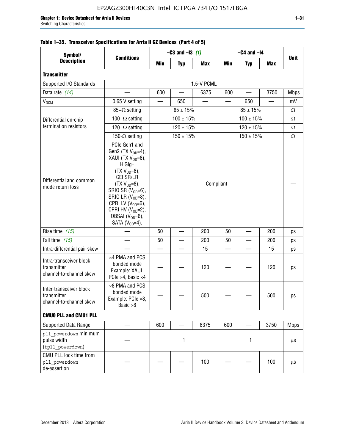| Symbol/                                                           |                                                                                                                                                                                                                                                                                         | $-C3$ and $-13$ (1) |                |            | $-C4$ and $-I4$          |                |                          |             |
|-------------------------------------------------------------------|-----------------------------------------------------------------------------------------------------------------------------------------------------------------------------------------------------------------------------------------------------------------------------------------|---------------------|----------------|------------|--------------------------|----------------|--------------------------|-------------|
| <b>Description</b>                                                | <b>Conditions</b>                                                                                                                                                                                                                                                                       | Min                 | <b>Typ</b>     | <b>Max</b> | <b>Min</b>               | <b>Typ</b>     | <b>Max</b>               | <b>Unit</b> |
| <b>Transmitter</b>                                                |                                                                                                                                                                                                                                                                                         |                     |                |            |                          |                |                          |             |
| Supported I/O Standards                                           |                                                                                                                                                                                                                                                                                         | 1.5-V PCML          |                |            |                          |                |                          |             |
| Data rate (14)                                                    |                                                                                                                                                                                                                                                                                         | 600                 |                | 6375       | 600                      |                | 3750                     | <b>Mbps</b> |
| $V_{OCM}$                                                         | 0.65 V setting                                                                                                                                                                                                                                                                          |                     | 650            |            |                          | 650            | $\overline{\phantom{0}}$ | mV          |
|                                                                   | $85-\Omega$ setting                                                                                                                                                                                                                                                                     |                     | $85 \pm 15\%$  |            |                          | Ω              |                          |             |
| Differential on-chip                                              | 100 $-\Omega$ setting                                                                                                                                                                                                                                                                   |                     | $100 \pm 15\%$ |            | $100 \pm 15%$            |                |                          | Ω           |
| termination resistors                                             | 120 $-\Omega$ setting                                                                                                                                                                                                                                                                   |                     | $120 \pm 15%$  |            |                          | Ω              |                          |             |
|                                                                   | 150- $\Omega$ setting                                                                                                                                                                                                                                                                   |                     | $150 \pm 15\%$ |            |                          | $150 \pm 15\%$ |                          | $\Omega$    |
| Differential and common<br>mode return loss                       | PCIe Gen1 and<br>Gen2 (TX $V_{OD} = 4$ ),<br>XAUI (TX $V_{OD} = 6$ ),<br>HiGig+<br>$(TX V_{OD} = 6)$ ,<br>CEI SR/LR<br>$(TX V_{OD} = 8),$<br>SRIO SR $(VOD=6)$ ,<br>SRIO LR $(V_{OD}=8)$ ,<br>CPRI LV $(V_{OD}=6)$ ,<br>CPRI HV $(V_{OD}=2)$ ,<br>OBSAI $(VOD=6)$ ,<br>SATA $(VOD=4)$ , |                     |                | Compliant  |                          |                |                          |             |
| Rise time (15)                                                    |                                                                                                                                                                                                                                                                                         | 50                  | 200            |            | 50                       |                | 200                      | ps          |
| Fall time (15)                                                    |                                                                                                                                                                                                                                                                                         | 50                  | —              | 200        | 50                       |                | 200                      | ps          |
| Intra-differential pair skew                                      |                                                                                                                                                                                                                                                                                         |                     |                | 15         | $\overline{\phantom{0}}$ |                | 15                       | ps          |
| Intra-transceiver block<br>transmitter<br>channel-to-channel skew | x4 PMA and PCS<br>bonded mode<br>Example: XAUI,<br>PCIe ×4, Basic ×4                                                                                                                                                                                                                    |                     |                | 120        |                          |                | 120                      | ps          |
| Inter-transceiver block<br>transmitter<br>channel-to-channel skew | ×8 PMA and PCS<br>bonded mode<br>Example: PCIe ×8,<br>Basic ×8                                                                                                                                                                                                                          |                     |                | 500        |                          |                | 500                      | ps          |
| <b>CMUO PLL and CMU1 PLL</b>                                      |                                                                                                                                                                                                                                                                                         |                     |                |            |                          |                |                          |             |
| Supported Data Range                                              |                                                                                                                                                                                                                                                                                         | 600                 |                | 6375       | 600                      |                | 3750                     | <b>Mbps</b> |
| pll powerdown minimum<br>pulse width<br>(tpll_powerdown)          |                                                                                                                                                                                                                                                                                         | 1                   |                |            | 1                        |                |                          | μS          |
| CMU PLL lock time from<br>pll powerdown<br>de-assertion           |                                                                                                                                                                                                                                                                                         |                     |                | 100        |                          |                | 100                      | μS          |

# **Table 1–35. Transceiver Specifications for Arria II GZ Devices (Part 4 of 5)**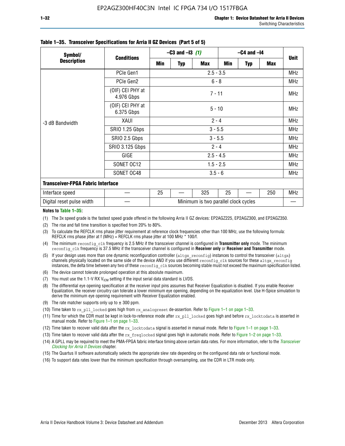| Symbol/                                  | <b>Conditions</b>              | $-C3$ and $-13$ (1)                  |          |            | $-C4$ and $-I4$ |            |     |             |  |  |
|------------------------------------------|--------------------------------|--------------------------------------|----------|------------|-----------------|------------|-----|-------------|--|--|
| <b>Description</b>                       |                                | Min                                  | Typ      | <b>Max</b> | Min             | <b>Typ</b> | Max | <b>Unit</b> |  |  |
|                                          | PCIe Gen1                      | $2.5 - 3.5$                          |          |            |                 |            |     |             |  |  |
| -3 dB Bandwidth                          | PCIe Gen2                      | $6 - 8$                              |          |            |                 |            |     |             |  |  |
|                                          | (OIF) CEI PHY at<br>4.976 Gbps | $7 - 11$                             |          |            |                 |            |     |             |  |  |
|                                          | (OIF) CEI PHY at<br>6.375 Gbps |                                      | $5 - 10$ |            |                 |            |     |             |  |  |
|                                          | XAUI                           | $2 - 4$                              |          |            |                 |            |     |             |  |  |
|                                          | SRIO 1.25 Gbps                 | $3 - 5.5$                            |          |            |                 |            |     |             |  |  |
|                                          | SRIO 2.5 Gbps                  | $3 - 5.5$                            |          |            |                 |            |     |             |  |  |
|                                          | <b>SRIO 3.125 Gbps</b>         | $2 - 4$                              |          |            |                 |            |     |             |  |  |
|                                          | GIGE                           | $2.5 - 4.5$                          |          |            |                 |            |     | <b>MHz</b>  |  |  |
|                                          | SONET OC12                     | $1.5 - 2.5$                          |          |            |                 |            |     | <b>MHz</b>  |  |  |
|                                          | SONET OC48                     | $3.5 - 6$                            |          |            |                 |            |     |             |  |  |
| <b>Transceiver-FPGA Fabric Interface</b> |                                |                                      |          |            |                 |            |     |             |  |  |
| Interface speed                          |                                | 25                                   |          | 325        | 25              |            | 250 | <b>MHz</b>  |  |  |
| Digital reset pulse width                |                                | Minimum is two parallel clock cycles |          |            |                 |            |     |             |  |  |

#### **Table 1–35. Transceiver Specifications for Arria II GZ Devices (Part 5 of 5)**

#### **Notes to Table 1–35:**

(1) The 3x speed grade is the fastest speed grade offered in the following Arria II GZ devices: EP2AGZ225, EP2AGZ300, and EP2AGZ350.

- (2) The rise and fall time transition is specified from 20% to 80%.
- (3) To calculate the REFCLK rms phase jitter requirement at reference clock frequencies other than 100 MHz, use the following formula: REFCLK rms phase jitter at f (MHz) = REFCLK rms phase jitter at 100 MHz  $*$  100/f.
- (4) The minimum reconfig clk frequency is 2.5 MHz if the transceiver channel is configured in **Transmitter only** mode. The minimum reconfig\_clk frequency is 37.5 MHz if the transceiver channel is configured in **Receiver only** or **Receiver and Transmitter** mode.
- (5) If your design uses more than one dynamic reconfiguration controller (altgx reconfig) instances to control the transceiver (altgx) channels physically located on the same side of the device AND if you use different reconfig clk sources for these altgx reconfig instances, the delta time between any two of these reconfig clk sources becoming stable must not exceed the maximum specification listed.
- (6) The device cannot tolerate prolonged operation at this absolute maximum.
- (7) You must use the 1.1-V RX  $V_{ICM}$  setting if the input serial data standard is LVDS.
- (8) The differential eye opening specification at the receiver input pins assumes that Receiver Equalization is disabled. If you enable Receiver Equalization, the receiver circuitry can tolerate a lower minimum eye opening, depending on the equalization level. Use H-Spice simulation to derive the minimum eye opening requirement with Receiver Equalization enabled.
- (9) The rate matcher supports only up to  $\pm$  300 ppm.
- (10) Time taken to rx\_pll\_locked goes high from rx\_analogreset de-assertion. Refer to Figure 1–1 on page 1–33.
- (11) Time for which the CDR must be kept in lock-to-reference mode after rx pll\_locked goes high and before rx\_locktodata is asserted in manual mode. Refer to Figure 1–1 on page 1–33.
- (12) Time taken to recover valid data after the rx locktodata signal is asserted in manual mode. Refer to Figure 1–1 on page 1–33.
- (13) Time taken to recover valid data after the rx\_freqlocked signal goes high in automatic mode. Refer to Figure 1–2 on page 1–33.
- (14) A GPLL may be required to meet the PMA-FPGA fabric interface timing above certain data rates. For more information, refer to the *[Transceiver](http://www.altera.com/literature/hb/arria-ii-gx/aiigx_52002.pdf)  [Clocking for Arria II Devices](http://www.altera.com/literature/hb/arria-ii-gx/aiigx_52002.pdf)* chapter.
- (15) The Quartus II software automatically selects the appropriate slew rate depending on the configured data rate or functional mode.
- (16) To support data rates lower than the minimum specification through oversampling, use the CDR in LTR mode only.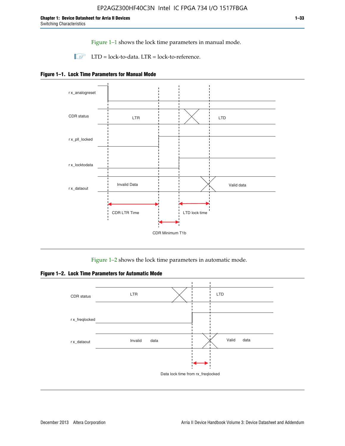Figure 1–1 shows the lock time parameters in manual mode.

 $\Box$  LTD = lock-to-data. LTR = lock-to-reference.





Figure 1–2 shows the lock time parameters in automatic mode.

**Figure 1–2. Lock Time Parameters for Automatic Mode**

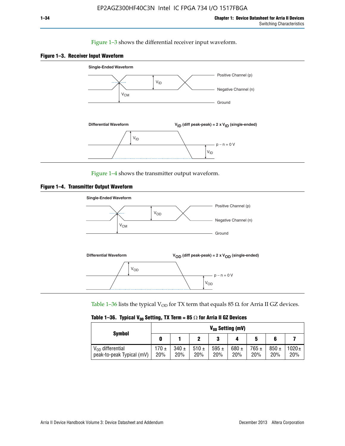#### Figure 1–3 shows the differential receiver input waveform.





Figure 1–4 shows the transmitter output waveform.





Table 1–36 lists the typical V<sub>OD</sub> for TX term that equals 85  $\Omega$  for Arria II GZ devices.

| <b>Symbol</b>                                      | $V_{0D}$ Setting (mV) |                  |                  |                  |                  |                  |                  |                   |
|----------------------------------------------------|-----------------------|------------------|------------------|------------------|------------------|------------------|------------------|-------------------|
|                                                    |                       |                  |                  | 2<br>J           |                  | 5                |                  |                   |
| $V_{OD}$ differential<br>peak-to-peak Typical (mV) | $170 \pm$<br>20%      | $340 \pm$<br>20% | 510 $\pm$<br>20% | 595 $\pm$<br>20% | 680 $\pm$<br>20% | $765 \pm$<br>20% | $850 \pm$<br>20% | $1020 \pm$<br>20% |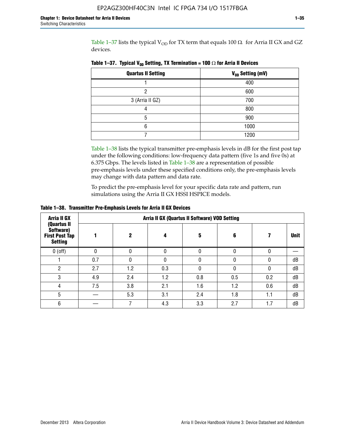Table 1-37 lists the typical  $V_{OD}$  for TX term that equals 100  $\Omega$  for Arria II GX and GZ devices.

| <b>Quartus II Setting</b> | V <sub>OD</sub> Setting (mV) |
|---------------------------|------------------------------|
|                           | 400                          |
| ŋ                         | 600                          |
| 3 (Arria II GZ)           | 700                          |
|                           | 800                          |
| 5                         | 900                          |
| հ                         | 1000                         |
|                           | 1200                         |

**Table 1–37. Typical V<sub>OD</sub> Setting, TX Termination = 100**  $\Omega$  for Arria II Devices

Table 1–38 lists the typical transmitter pre-emphasis levels in dB for the first post tap under the following conditions: low-frequency data pattern (five 1s and five 0s) at 6.375 Gbps. The levels listed in Table 1–38 are a representation of possible pre-emphasis levels under these specified conditions only, the pre-emphasis levels may change with data pattern and data rate.

To predict the pre-emphasis level for your specific data rate and pattern, run simulations using the Arria II GX HSSI HSPICE models.

| <b>Arria II GX</b>                                                  | Arria II GX (Quartus II Software) VOD Setting |     |     |     |     |     |             |  |
|---------------------------------------------------------------------|-----------------------------------------------|-----|-----|-----|-----|-----|-------------|--|
| (Quartus II<br>Software)<br><b>First Post Tap</b><br><b>Setting</b> |                                               | 2   | 4   | 5   | 6   |     | <b>Unit</b> |  |
| $0$ (off)                                                           | 0                                             |     | U   |     |     |     |             |  |
|                                                                     | 0.7                                           |     | U   |     |     |     | dB          |  |
| ŋ                                                                   | 2.7                                           | 1.2 | 0.3 |     |     |     | dB          |  |
| 3                                                                   | 4.9                                           | 2.4 | 1.2 | 0.8 | 0.5 | 0.2 | dB          |  |
| 4                                                                   | 7.5                                           | 3.8 | 2.1 | 1.6 | 1.2 | 0.6 | dB          |  |
| 5                                                                   |                                               | 5.3 | 3.1 | 2.4 | 1.8 | 1.1 | dB          |  |
| 6                                                                   |                                               |     | 4.3 | 3.3 | 2.7 | 1.7 | dB          |  |

**Table 1–38. Transmitter Pre-Emphasis Levels for Arria II GX Devices**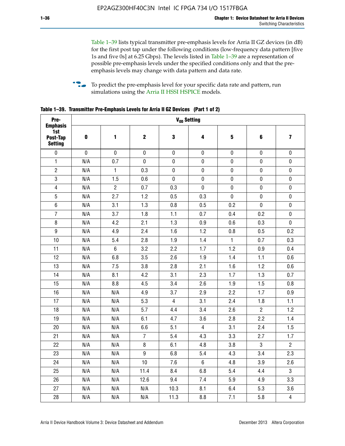Table 1–39 lists typical transmitter pre-emphasis levels for Arria II GZ devices (in dB) for the first post tap under the following conditions (low-frequency data pattern [five 1s and five 0s] at 6.25 Gbps). The levels listed in Table 1–39 are a representation of possible pre-emphasis levels under the specified conditions only and that the preemphasis levels may change with data pattern and data rate.

**follow** To predict the pre-emphasis level for your specific data rate and pattern, run simulations using the [Arria II HSSI HSPICE](http://www.altera.com/support/software/download/hspice/hsp-index.html) models.

| Pre-                                                 |           |                |                  |                | V <sub>OD</sub> Setting |              |                |                         |
|------------------------------------------------------|-----------|----------------|------------------|----------------|-------------------------|--------------|----------------|-------------------------|
| <b>Emphasis</b><br>1st<br>Post-Tap<br><b>Setting</b> | $\pmb{0}$ | 1              | $\mathbf 2$      | 3              | 4                       | 5            | 6              | $\overline{\mathbf{z}}$ |
| $\pmb{0}$                                            | $\pmb{0}$ | $\pmb{0}$      | $\pmb{0}$        | $\pmb{0}$      | $\pmb{0}$               | $\pmb{0}$    | $\pmb{0}$      | $\pmb{0}$               |
| $\mathbf{1}$                                         | N/A       | 0.7            | $\pmb{0}$        | $\pmb{0}$      | $\pmb{0}$               | $\pmb{0}$    | 0              | $\pmb{0}$               |
| $\overline{2}$                                       | N/A       | $\mathbf{1}$   | 0.3              | $\pmb{0}$      | $\pmb{0}$               | $\pmb{0}$    | $\pmb{0}$      | $\pmb{0}$               |
| $\sqrt{3}$                                           | N/A       | 1.5            | 0.6              | $\pmb{0}$      | $\pmb{0}$               | $\pmb{0}$    | $\pmb{0}$      | $\pmb{0}$               |
| $\overline{4}$                                       | N/A       | $\overline{2}$ | 0.7              | 0.3            | $\pmb{0}$               | $\pmb{0}$    | $\pmb{0}$      | $\pmb{0}$               |
| 5                                                    | N/A       | 2.7            | 1.2              | 0.5            | 0.3                     | $\mathbf 0$  | 0              | $\mathbf 0$             |
| $6\phantom{1}$                                       | N/A       | 3.1            | 1.3              | 0.8            | 0.5                     | 0.2          | $\mathbf 0$    | $\pmb{0}$               |
| $\overline{7}$                                       | N/A       | 3.7            | 1.8              | 1.1            | 0.7                     | 0.4          | 0.2            | $\pmb{0}$               |
| $\bf 8$                                              | N/A       | 4.2            | 2.1              | 1.3            | 0.9                     | 0.6          | 0.3            | $\pmb{0}$               |
| $\boldsymbol{9}$                                     | N/A       | 4.9            | 2.4              | 1.6            | 1.2                     | 0.8          | 0.5            | 0.2                     |
| 10                                                   | N/A       | 5.4            | 2.8              | 1.9            | 1.4                     | $\mathbf{1}$ | 0.7            | 0.3                     |
| 11                                                   | N/A       | $\,6\,$        | 3.2              | 2.2            | 1.7                     | 1.2          | 0.9            | 0.4                     |
| 12                                                   | N/A       | 6.8            | 3.5              | 2.6            | 1.9                     | 1.4          | 1.1            | 0.6                     |
| 13                                                   | N/A       | 7.5            | 3.8              | 2.8            | 2.1                     | 1.6          | 1.2            | 0.6                     |
| 14                                                   | N/A       | 8.1            | 4.2              | 3.1            | 2.3                     | 1.7          | 1.3            | 0.7                     |
| 15                                                   | N/A       | 8.8            | 4.5              | 3.4            | 2.6                     | 1.9          | 1.5            | 0.8                     |
| 16                                                   | N/A       | N/A            | 4.9              | 3.7            | 2.9                     | 2.2          | 1.7            | 0.9                     |
| 17                                                   | N/A       | N/A            | 5.3              | $\overline{4}$ | 3.1                     | 2.4          | 1.8            | 1.1                     |
| 18                                                   | N/A       | N/A            | 5.7              | 4.4            | 3.4                     | 2.6          | $\overline{2}$ | 1.2                     |
| 19                                                   | N/A       | N/A            | 6.1              | 4.7            | 3.6                     | 2.8          | 2.2            | 1.4                     |
| 20                                                   | N/A       | N/A            | 6.6              | 5.1            | $\overline{4}$          | 3.1          | 2.4            | 1.5                     |
| 21                                                   | N/A       | N/A            | $\overline{7}$   | 5.4            | 4.3                     | 3.3          | 2.7            | 1.7                     |
| 22                                                   | N/A       | N/A            | 8                | 6.1            | 4.8                     | 3.8          | 3              | $\overline{2}$          |
| 23                                                   | N/A       | N/A            | $\boldsymbol{9}$ | 6.8            | 5.4                     | 4.3          | 3.4            | 2.3                     |
| 24                                                   | N/A       | N/A            | 10               | 7.6            | $6\phantom{.}$          | 4.8          | 3.9            | 2.6                     |
| 25                                                   | N/A       | N/A            | 11.4             | 8.4            | 6.8                     | 5.4          | 4.4            | $\overline{3}$          |
| 26                                                   | N/A       | N/A            | 12.6             | 9.4            | 7.4                     | 5.9          | 4.9            | 3.3                     |
| 27                                                   | N/A       | N/A            | N/A              | 10.3           | 8.1                     | 6.4          | 5.3            | 3.6                     |
| 28                                                   | N/A       | N/A            | N/A              | 11.3           | 8.8                     | 7.1          | 5.8            | $\overline{\mathbf{4}}$ |

**Table 1–39. Transmitter Pre-Emphasis Levels for Arria II GZ Devices (Part 1 of 2)**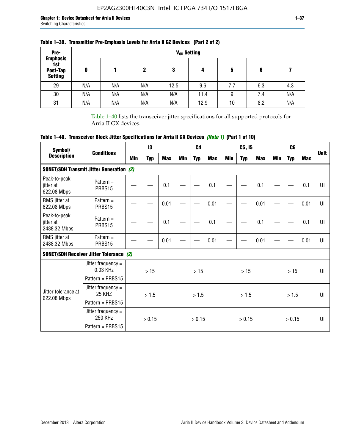| Pre-                                                 |     |     |          |      | V <sub>op</sub> Setting |     |     |     |
|------------------------------------------------------|-----|-----|----------|------|-------------------------|-----|-----|-----|
| <b>Emphasis</b><br>1st<br>Post-Tap<br><b>Setting</b> | 0   |     | 2<br>N/A | 3    | 4                       | 5   | 6   |     |
| 29                                                   | N/A | N/A |          | 12.5 | 9.6                     | 7.7 | 6.3 | 4.3 |
| 30                                                   | N/A | N/A | N/A      | N/A  | 11.4                    | 9   | 7.4 | N/A |
| 31                                                   | N/A | N/A | N/A      | N/A  | 12.9                    | 10  | 8.2 | N/A |

## **Table 1–39. Transmitter Pre-Emphasis Levels for Arria II GZ Devices (Part 2 of 2)**

Table 1–40 lists the transceiver jitter specifications for all supported protocols for Arria II GX devices.

# **Table 1–40. Transceiver Block Jitter Specifications for Arria II GX Devices** *(Note 1)* **(Part 1 of 10)**

| Symbol/                                   |                                                           |     | $\mathsf{I}3$ |            |     | C <sub>4</sub> |            |     | C5, I5     |            |     | C <sub>6</sub> |            |              |
|-------------------------------------------|-----------------------------------------------------------|-----|---------------|------------|-----|----------------|------------|-----|------------|------------|-----|----------------|------------|--------------|
| <b>Description</b>                        | <b>Conditions</b>                                         | Min | Typ           | <b>Max</b> | Min | <b>Typ</b>     | <b>Max</b> | Min | <b>Typ</b> | <b>Max</b> | Min | <b>Typ</b>     | <b>Max</b> | <b>Unit</b>  |
|                                           | <b>SONET/SDH Transmit Jitter Generation (2)</b>           |     |               |            |     |                |            |     |            |            |     |                |            |              |
| Peak-to-peak<br>jitter at<br>622.08 Mbps  | Pattern $=$<br>PRBS15                                     |     |               | 0.1        |     |                | 0.1        |     |            | 0.1        |     |                | 0.1        | UI           |
| RMS jitter at<br>622.08 Mbps              | Pattern $=$<br>PRBS15                                     |     |               | 0.01       |     |                | 0.01       |     |            | 0.01       |     |                | 0.01       | $\mathbf{U}$ |
| Peak-to-peak<br>jitter at<br>2488.32 Mbps | Pattern $=$<br>PRBS15                                     |     |               | 0.1        |     |                | 0.1        |     |            | 0.1        |     |                | 0.1        | UI           |
| RMS jitter at<br>2488.32 Mbps             | Pattern $=$<br>PRBS15                                     |     |               | 0.01       |     |                | 0.01       |     |            | 0.01       |     |                | 0.01       | UI           |
|                                           | <b>SONET/SDH Receiver Jitter Tolerance (2)</b>            |     |               |            |     |                |            |     |            |            |     |                |            |              |
|                                           | Jitter frequency =<br>$0.03$ KHz<br>Pattern = PRBS15      |     | >15           |            | >15 |                |            | >15 |            |            | >15 |                | UI         |              |
| Jitter tolerance at<br>622.08 Mbps        | Jitter frequency $=$<br><b>25 KHZ</b><br>Pattern = PRBS15 |     | > 1.5         |            |     | > 1.5          |            |     | > 1.5      |            |     | > 1.5          |            | Ш            |
|                                           | Jitter frequency $=$<br>250 KHz<br>Pattern = PRBS15       |     | > 0.15        |            |     | > 0.15         |            |     | > 0.15     |            |     | > 0.15         |            | $\mathbf{U}$ |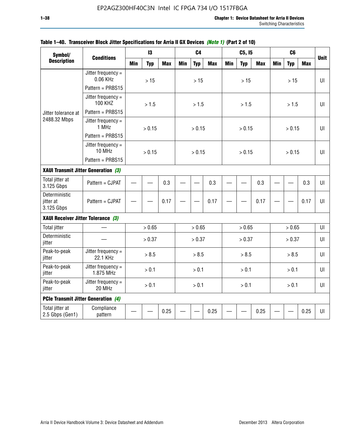| Symbol/                                    |                                        |            | 13         |            |            | C <sub>4</sub> |            |            | C5, I5     |            |            | C <sub>6</sub> |            |             |
|--------------------------------------------|----------------------------------------|------------|------------|------------|------------|----------------|------------|------------|------------|------------|------------|----------------|------------|-------------|
| <b>Description</b>                         | <b>Conditions</b>                      | <b>Min</b> | <b>Typ</b> | <b>Max</b> | <b>Min</b> | <b>Typ</b>     | <b>Max</b> | <b>Min</b> | <b>Typ</b> | <b>Max</b> | <b>Min</b> | <b>Typ</b>     | <b>Max</b> | <b>Unit</b> |
|                                            | Jitter frequency $=$<br>0.06 KHz       |            | $>15$      |            |            | $>15$          |            |            | >15        |            |            | $>15$          |            | UI          |
|                                            | Pattern = PRBS15                       |            |            |            |            |                |            |            |            |            |            |                |            |             |
|                                            | Jitter frequency $=$<br><b>100 KHZ</b> |            | > 1.5      |            |            | > 1.5          |            |            | > 1.5      |            |            | > 1.5          |            | UI          |
| Jitter tolerance at                        | Pattern = PRBS15                       |            |            |            |            |                |            |            |            |            |            |                |            |             |
| 2488.32 Mbps                               | Jitter frequency $=$<br>1 MHz          |            | > 0.15     |            |            | > 0.15         |            |            | > 0.15     |            |            | > 0.15         |            | $U\Gamma$   |
|                                            | Pattern = PRBS15                       |            |            |            |            |                |            |            |            |            |            |                |            |             |
|                                            | Jitter frequency $=$<br>10 MHz         |            | > 0.15     |            |            | > 0.15         |            |            | > 0.15     |            |            | > 0.15         |            | Ш           |
|                                            | Pattern = PRBS15                       |            |            |            |            |                |            |            |            |            |            |                |            |             |
| XAUI Transmit Jitter Generation (3)        |                                        |            |            |            |            |                |            |            |            |            |            |                |            |             |
| Total jitter at<br>3.125 Gbps              | Pattern = CJPAT                        | 0.3        |            |            |            | 0.3            |            |            | 0.3        |            |            | 0.3            | $U\Gamma$  |             |
| Deterministic<br>jitter at<br>3.125 Gbps   | Pattern = CJPAT                        |            | 0.17       |            |            |                | 0.17       |            |            | 0.17       |            |                | 0.17       | UI          |
| XAUI Receiver Jitter Tolerance (3)         |                                        |            |            |            |            |                |            |            |            |            |            |                |            |             |
| <b>Total jitter</b>                        |                                        |            | > 0.65     |            |            | > 0.65         |            |            | > 0.65     |            |            | > 0.65         |            | UI          |
| Deterministic<br>jitter                    |                                        |            | > 0.37     |            |            | > 0.37         |            |            | > 0.37     |            |            | > 0.37         |            | $U\Gamma$   |
| Peak-to-peak<br>jitter                     | Jitter frequency $=$<br>22.1 KHz       |            | > 8.5      |            |            | > 8.5          |            |            | > 8.5      |            |            | > 8.5          |            | Ш           |
| Peak-to-peak<br>jitter                     | Jitter frequency $=$<br>1.875 MHz      |            | > 0.1      |            |            | > 0.1          |            |            | > 0.1      |            |            | > 0.1          |            | UI          |
| Peak-to-peak<br>jitter                     | Jitter frequency =<br>20 MHz           |            | > 0.1      |            |            | > 0.1          |            |            | > 0.1      |            |            | > 0.1          |            | UI          |
| <b>PCIe Transmit Jitter Generation (4)</b> |                                        |            |            |            |            |                |            |            |            |            |            |                |            |             |
| Total jitter at<br>2.5 Gbps (Gen1)         | Compliance<br>pattern                  |            |            | 0.25       |            |                | 0.25       |            |            | 0.25       |            |                | 0.25       | $U\Gamma$   |

### **Table 1–40. Transceiver Block Jitter Specifications for Arria II GX Devices** *(Note 1)* **(Part 2 of 10)**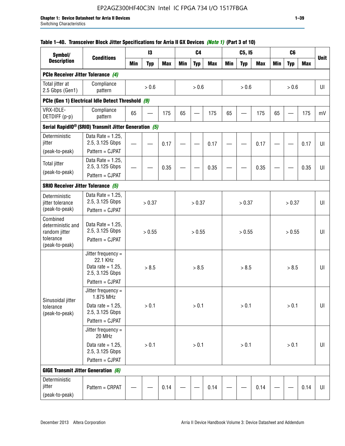# EP2AGZ300HF40C3N Intel IC FPGA 734 I/O 1517FBGA

### **Table 1–40. Transceiver Block Jitter Specifications for Arria II GX Devices** *(Note 1)* **(Part 3 of 10)**

| Symbol/                                             |                                                                           |            | 13         |            |            | C <sub>4</sub> |            |            | C5, I5     |            |            | C <sub>6</sub> |            |             |
|-----------------------------------------------------|---------------------------------------------------------------------------|------------|------------|------------|------------|----------------|------------|------------|------------|------------|------------|----------------|------------|-------------|
| <b>Description</b>                                  | <b>Conditions</b>                                                         | <b>Min</b> | <b>Typ</b> | <b>Max</b> | <b>Min</b> | <b>Typ</b>     | <b>Max</b> | <b>Min</b> | <b>Typ</b> | <b>Max</b> | <b>Min</b> | <b>Typ</b>     | <b>Max</b> | <b>Unit</b> |
| PCIe Receiver Jitter Tolerance (4)                  |                                                                           |            |            |            |            |                |            |            |            |            |            |                |            |             |
| Total jitter at<br>2.5 Gbps (Gen1)                  | Compliance<br>pattern                                                     |            | > 0.6      |            |            | > 0.6          |            |            | > 0.6      |            |            | > 0.6          |            | UI          |
|                                                     | PCIe (Gen 1) Electrical Idle Detect Threshold (9)                         |            |            |            |            |                |            |            |            |            |            |                |            |             |
| VRX-IDLE-<br>DETDIFF (p-p)                          | Compliance<br>pattern                                                     | 65         |            | 175        | 65         |                | 175        | 65         |            | 175        | 65         |                | 175        | mV          |
|                                                     | Serial RapidIO <sup>®</sup> (SRIO) Transmit Jitter Generation (5)         |            |            |            |            |                |            |            |            |            |            |                |            |             |
| Deterministic<br>jitter                             | Data Rate = $1.25$ ,<br>2.5, 3.125 Gbps                                   |            |            | 0.17       |            |                | 0.17       |            |            | 0.17       |            |                | 0.17       | UI          |
| (peak-to-peak)                                      | Pattern = CJPAT                                                           |            |            |            |            |                |            |            |            |            |            |                |            |             |
| <b>Total jitter</b><br>(peak-to-peak)               | Data Rate = $1.25$ ,<br>2.5, 3.125 Gbps                                   |            |            | 0.35       |            |                | 0.35       |            |            | 0.35       |            |                | 0.35       | UI          |
|                                                     | Pattern = CJPAT                                                           |            |            |            |            |                |            |            |            |            |            |                |            |             |
| <b>SRIO Receiver Jitter Tolerance (5)</b>           |                                                                           |            |            |            |            |                |            |            |            |            |            |                |            |             |
| Deterministic<br>jitter tolerance<br>(peak-to-peak) | Data Rate = $1.25$ ,<br>2.5, 3.125 Gbps<br>Pattern = CJPAT                |            | > 0.37     |            |            | > 0.37         |            |            | > 0.37     |            |            | > 0.37         |            | UI          |
| Combined<br>deterministic and<br>random jitter      | Data Rate = $1.25$ ,<br>2.5, 3.125 Gbps                                   |            | > 0.55     |            |            | > 0.55         |            |            | > 0.55     |            |            | > 0.55         |            | UI          |
| tolerance<br>(peak-to-peak)                         | Pattern = CJPAT                                                           |            |            |            |            |                |            |            |            |            |            |                |            |             |
|                                                     | Jitter frequency =<br>22.1 KHz<br>Data rate = $1.25$ ,<br>2.5, 3.125 Gbps |            | > 8.5      |            |            | > 8.5          |            |            | > 8.5      |            |            | > 8.5          |            | UI          |
|                                                     | Pattern = CJPAT                                                           |            |            |            |            |                |            |            |            |            |            |                |            |             |
| Sinusoidal jitter                                   | Jitter frequency $=$<br>1.875 MHz                                         |            |            |            |            |                |            |            |            |            |            |                |            |             |
| tolerance<br>(peak-to-peak)                         | Data rate = $1.25$ ,<br>2.5, 3.125 Gbps                                   |            | > 0.1      |            |            | > 0.1          |            |            | > 0.1      |            |            | > 0.1          |            | UI          |
|                                                     | Pattern = CJPAT                                                           |            |            |            |            |                |            |            |            |            |            |                |            |             |
|                                                     | Jitter frequency =<br>20 MHz                                              |            |            |            |            |                |            |            |            |            |            |                |            |             |
|                                                     | Data rate = $1.25$ ,<br>2.5, 3.125 Gbps                                   |            | > 0.1      |            |            | $> 0.1$        |            |            | > 0.1      |            |            | > 0.1          |            | UI          |
|                                                     | Pattern = CJPAT                                                           |            |            |            |            |                |            |            |            |            |            |                |            |             |
| <b>GIGE Transmit Jitter Generation (6)</b>          |                                                                           |            |            |            |            |                |            |            |            |            |            |                |            |             |
| Deterministic<br>jitter<br>(peak-to-peak)           | Pattern = CRPAT                                                           |            | 0.14       |            |            |                | 0.14       |            |            | 0.14       |            |                | 0.14       | UI          |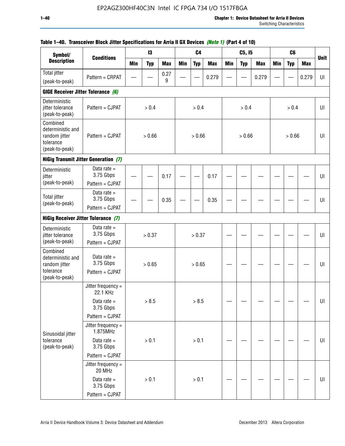| Symbol/                                                                       |                                                               |            | 13         |            |            | C <sub>4</sub> |            |     | C5, I5     |            |            | C <sub>6</sub> |            |             |
|-------------------------------------------------------------------------------|---------------------------------------------------------------|------------|------------|------------|------------|----------------|------------|-----|------------|------------|------------|----------------|------------|-------------|
| <b>Description</b>                                                            | <b>Conditions</b>                                             | <b>Min</b> | <b>Typ</b> | <b>Max</b> | <b>Min</b> | <b>Typ</b>     | <b>Max</b> | Min | <b>Typ</b> | <b>Max</b> | <b>Min</b> | <b>Typ</b>     | <b>Max</b> | <b>Unit</b> |
| Total jitter                                                                  | Pattern = CRPAT                                               |            |            | 0.27       |            |                | 0.279      |     |            | 0.279      |            |                | 0.279      | UI          |
| (peak-to-peak)                                                                |                                                               |            |            | 9          |            |                |            |     |            |            |            |                |            |             |
| GIGE Receiver Jitter Tolerance (6)                                            |                                                               |            |            |            |            |                |            |     |            |            |            |                |            |             |
| Deterministic<br>jitter tolerance<br>(peak-to-peak)                           | Pattern = CJPAT                                               |            | > 0.4      |            |            | > 0.4          |            |     | > 0.4      |            |            | > 0.4          |            | UI          |
| Combined<br>deterministic and<br>random jitter<br>tolerance<br>(peak-to-peak) | Pattern = CJPAT                                               |            | > 0.66     |            |            | > 0.66         |            |     | > 0.66     |            |            | > 0.66         |            | UI          |
|                                                                               | <b>HiGig Transmit Jitter Generation (7)</b>                   |            |            |            |            |                |            |     |            |            |            |                |            |             |
| Deterministic<br>jitter                                                       | Data rate $=$<br>3.75 Gbps                                    |            |            | 0.17       |            |                | 0.17       |     |            |            |            |                |            | UI          |
| (peak-to-peak)                                                                | Pattern = CJPAT                                               |            |            |            |            |                |            |     |            |            |            |                |            |             |
| <b>Total jitter</b><br>(peak-to-peak)                                         | Data rate $=$<br>3.75 Gbps                                    |            |            | 0.35       |            |                | 0.35       |     |            |            |            |                |            | UI          |
|                                                                               | Pattern = CJPAT<br><b>HiGig Receiver Jitter Tolerance (7)</b> |            |            |            |            |                |            |     |            |            |            |                |            |             |
|                                                                               |                                                               |            |            |            |            |                |            |     |            |            |            |                |            |             |
| Deterministic<br>jitter tolerance                                             | Data rate $=$<br>3.75 Gbps                                    |            | > 0.37     |            |            | > 0.37         |            |     |            |            |            |                |            | UI          |
| (peak-to-peak)<br>Combined                                                    | Pattern = CJPAT                                               |            |            |            |            |                |            |     |            |            |            |                |            |             |
| deterministic and<br>random jitter                                            | Data rate $=$<br>3.75 Gbps                                    |            | > 0.65     |            |            | > 0.65         |            |     |            |            |            |                |            | UI          |
| tolerance<br>(peak-to-peak)                                                   | Pattern = CJPAT                                               |            |            |            |            |                |            |     |            |            |            |                |            |             |
|                                                                               | Jitter frequency =<br>22.1 KHz                                |            |            |            |            |                |            |     |            |            |            |                |            |             |
|                                                                               | Data rate $=$<br>3.75 Gbps                                    |            | > 8.5      |            |            | > 8.5          |            |     |            |            |            |                |            | UI          |
|                                                                               | Pattern = CJPAT                                               |            |            |            |            |                |            |     |            |            |            |                |            |             |
| Sinusoidal jitter                                                             | Jitter frequency =<br>1.875MHz                                |            |            |            |            |                |            |     |            |            |            |                |            |             |
| tolerance<br>(peak-to-peak)                                                   | Data rate $=$<br>3.75 Gbps                                    |            | > 0.1      |            |            | > 0.1          |            |     |            |            |            |                |            | UI          |
|                                                                               | Pattern = CJPAT                                               |            |            |            |            |                |            |     |            |            |            |                |            |             |
|                                                                               | Jitter frequency $=$<br>20 MHz                                |            |            |            |            |                |            |     |            |            |            |                |            |             |
|                                                                               | Data rate $=$<br>3.75 Gbps                                    |            | > 0.1      |            |            | > 0.1          |            |     |            |            |            |                |            | UI          |
|                                                                               | Pattern = CJPAT                                               |            |            |            |            |                |            |     |            |            |            |                |            |             |

## **Table 1–40. Transceiver Block Jitter Specifications for Arria II GX Devices** *(Note 1)* **(Part 4 of 10)**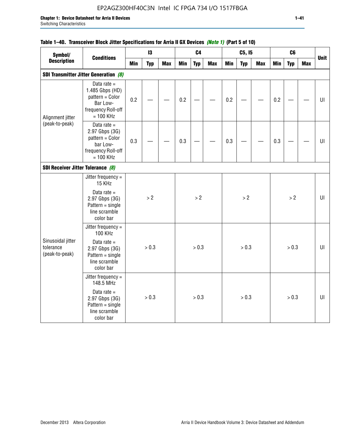# EP2AGZ300HF40C3N Intel IC FPGA 734 I/O 1517FBGA

## **Table 1–40. Transceiver Block Jitter Specifications for Arria II GX Devices** *(Note 1)* **(Part 5 of 10)**

| Symbol/                                          |                                                                                                      |     | 13         |            |            | C <sub>4</sub> |            |            | C5, I5     |            |     | C6         |            |             |
|--------------------------------------------------|------------------------------------------------------------------------------------------------------|-----|------------|------------|------------|----------------|------------|------------|------------|------------|-----|------------|------------|-------------|
| <b>Description</b>                               | <b>Conditions</b>                                                                                    | Min | <b>Typ</b> | <b>Max</b> | <b>Min</b> | <b>Typ</b>     | <b>Max</b> | <b>Min</b> | <b>Typ</b> | <b>Max</b> | Min | <b>Typ</b> | <b>Max</b> | <b>Unit</b> |
|                                                  | <b>SDI Transmitter Jitter Generation (8)</b>                                                         |     |            |            |            |                |            |            |            |            |     |            |            |             |
| Alignment jitter                                 | Data rate $=$<br>1.485 Gbps (HD)<br>pattern = Color<br>Bar Low-<br>frequency Roll-off<br>$= 100$ KHz | 0.2 |            |            | 0.2        |                |            | 0.2        |            |            | 0.2 |            |            | UI          |
| (peak-to-peak)                                   | Data rate $=$<br>2.97 Gbps (3G)<br>pattern = Color<br>bar Low-<br>frequency Roll-off<br>$= 100$ KHz  | 0.3 |            |            | 0.3        |                |            | 0.3        |            |            | 0.3 |            |            | UI          |
| SDI Receiver Jitter Tolerance (8)                |                                                                                                      |     |            |            |            |                |            |            |            |            |     |            |            |             |
|                                                  | Jitter frequency $=$<br>15 KHz                                                                       |     |            |            |            |                |            |            |            |            |     |            |            |             |
|                                                  | Data rate $=$<br>2.97 Gbps (3G)<br>$Pattern = single$<br>line scramble<br>color bar                  |     | > 2        |            |            | $>2$           |            |            | > 2        |            |     | $>2$       |            | U           |
|                                                  | Jitter frequency =<br><b>100 KHz</b>                                                                 |     |            |            |            |                |            |            |            |            |     |            |            |             |
| Sinusoidal jitter<br>tolerance<br>(peak-to-peak) | Data rate $=$<br>2.97 Gbps (3G)<br>$Pattern = single$<br>line scramble<br>color bar                  |     | > 0.3      |            |            | > 0.3          |            |            | > 0.3      |            |     | > 0.3      |            | UI          |
|                                                  | Jitter frequency $=$<br>148.5 MHz                                                                    |     |            |            |            |                |            |            |            |            |     |            |            |             |
|                                                  | Data rate $=$<br>2.97 Gbps (3G)<br>$Pattern = single$<br>line scramble<br>color bar                  |     | > 0.3      |            |            | > 0.3          |            |            | > 0.3      |            |     | > 0.3      |            | UI          |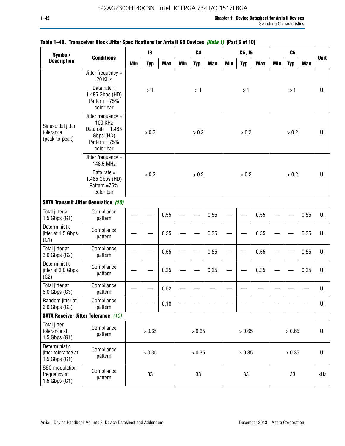| Symbol/                                                   |                                                                                                            |            | 13         |            |            | C <sub>4</sub> |            |            | C5, I5     |            |            | C <sub>6</sub> |            |             |
|-----------------------------------------------------------|------------------------------------------------------------------------------------------------------------|------------|------------|------------|------------|----------------|------------|------------|------------|------------|------------|----------------|------------|-------------|
| <b>Description</b>                                        | <b>Conditions</b>                                                                                          | <b>Min</b> | <b>Typ</b> | <b>Max</b> | <b>Min</b> | <b>Typ</b>     | <b>Max</b> | <b>Min</b> | <b>Typ</b> | <b>Max</b> | <b>Min</b> | <b>Typ</b>     | <b>Max</b> | <b>Unit</b> |
|                                                           | Jitter frequency =<br>20 KHz                                                                               |            |            |            |            |                |            |            |            |            |            |                |            |             |
|                                                           | Data rate $=$<br>1.485 Gbps (HD)<br>Pattern = $75%$<br>color bar                                           |            | >1         |            |            | >1             |            |            | >1         |            |            | >1             |            | UI          |
| Sinusoidal jitter<br>tolerance<br>(peak-to-peak)          | Jitter frequency $=$<br><b>100 KHz</b><br>Data rate = $1.485$<br>Gbps (HD)<br>Pattern = $75%$<br>color bar |            | > 0.2      |            |            | > 0.2          |            |            | > 0.2      |            |            | > 0.2          |            | UI          |
|                                                           | Jitter frequency $=$<br>148.5 MHz                                                                          |            |            |            |            |                |            |            |            |            |            |                |            |             |
|                                                           | Data rate $=$<br>1.485 Gbps (HD)<br>Pattern =75%<br>color bar                                              |            | > 0.2      |            |            | > 0.2          |            |            | > 0.2      |            |            | > 0.2          |            | U           |
|                                                           | <b>SATA Transmit Jitter Generation (10)</b>                                                                |            |            |            |            |                |            |            |            |            |            |                |            |             |
| Total jitter at<br>$1.5$ Gbps $(G1)$                      | Compliance<br>pattern                                                                                      |            | 0.55       |            |            |                | 0.55       |            |            | 0.55       |            |                | 0.55       | UI          |
| Deterministic<br>jitter at 1.5 Gbps<br>(G1)               | Compliance<br>pattern                                                                                      | 0.35       |            |            |            |                | 0.35       |            |            | 0.35       |            |                | 0.35       | UI          |
| Total jitter at<br>3.0 Gbps (G2)                          | Compliance<br>pattern                                                                                      |            |            | 0.55       |            |                | 0.55       |            |            | 0.55       |            |                | 0.55       | UI          |
| Deterministic<br>jitter at 3.0 Gbps<br>(G2)               | Compliance<br>pattern                                                                                      |            |            | 0.35       |            |                | 0.35       |            |            | 0.35       |            |                | 0.35       | UI          |
| Total jitter at<br>6.0 Gbps (G3)                          | Compliance<br>pattern                                                                                      |            |            | 0.52       |            |                |            |            |            |            |            |                |            | UI          |
| Random jitter at<br>6.0 Gbps (G3)                         | Compliance<br>pattern                                                                                      |            |            | 0.18       |            |                |            |            |            |            |            |                |            | UI          |
|                                                           | <b>SATA Receiver Jitter Tolerance</b> (10)                                                                 |            |            |            |            |                |            |            |            |            |            |                |            |             |
| <b>Total jitter</b><br>tolerance at<br>$1.5$ Gbps $(G1)$  | Compliance<br>pattern                                                                                      | > 0.65     |            |            |            | > 0.65         |            |            | > 0.65     |            |            | > 0.65         |            | $U\vert$    |
| Deterministic<br>jitter tolerance at<br>$1.5$ Gbps $(G1)$ | Compliance<br>pattern                                                                                      | > 0.35     |            |            |            | > 0.35         |            |            | > 0.35     |            |            | > 0.35         |            | $U\vert$    |
| SSC modulation<br>frequency at<br>$1.5$ Gbps $(G1)$       | Compliance<br>pattern                                                                                      |            | 33         |            |            | 33             |            |            | 33         |            |            | 33             |            | kHz         |

## **Table 1–40. Transceiver Block Jitter Specifications for Arria II GX Devices** *(Note 1)* **(Part 6 of 10)**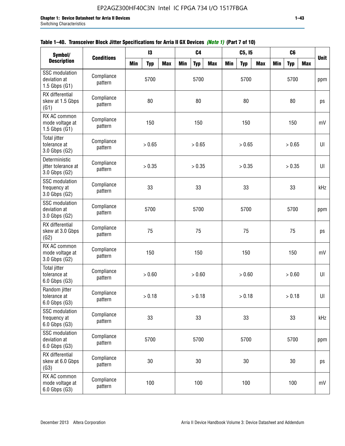| Symbol/                                                    |                       |      | 13         |            |            | C <sub>4</sub> |            |            | C5, 15     |            |            | C <sub>6</sub> |            |             |
|------------------------------------------------------------|-----------------------|------|------------|------------|------------|----------------|------------|------------|------------|------------|------------|----------------|------------|-------------|
| <b>Description</b>                                         | <b>Conditions</b>     | Min  | <b>Typ</b> | <b>Max</b> | <b>Min</b> | <b>Typ</b>     | <b>Max</b> | <b>Min</b> | <b>Typ</b> | <b>Max</b> | <b>Min</b> | <b>Typ</b>     | <b>Max</b> | <b>Unit</b> |
| <b>SSC</b> modulation<br>deviation at<br>$1.5$ Gbps $(G1)$ | Compliance<br>pattern |      | 5700       |            |            | 5700           |            |            | 5700       |            |            | 5700           |            | ppm         |
| RX differential<br>skew at 1.5 Gbps<br>(G1)                | Compliance<br>pattern |      | 80         |            |            | 80             |            |            | 80         |            |            | 80             |            | ps          |
| RX AC common<br>mode voltage at<br>1.5 Gbps $(G1)$         | Compliance<br>pattern |      | 150        |            |            | 150            |            |            | 150        |            |            | 150            |            | mV          |
| <b>Total jitter</b><br>tolerance at<br>3.0 Gbps (G2)       | Compliance<br>pattern |      | > 0.65     |            |            | > 0.65         |            |            | > 0.65     |            |            | > 0.65         |            | UI          |
| Deterministic<br>jitter tolerance at<br>3.0 Gbps (G2)      | Compliance<br>pattern |      | > 0.35     |            |            | > 0.35         |            |            | > 0.35     |            |            | > 0.35         |            | UI          |
| <b>SSC</b> modulation<br>frequency at<br>3.0 Gbps (G2)     | Compliance<br>pattern |      | 33         |            |            | 33             |            |            | 33         |            |            | 33             |            | kHz         |
| <b>SSC</b> modulation<br>deviation at<br>3.0 Gbps (G2)     | Compliance<br>pattern |      | 5700       |            |            | 5700           |            |            | 5700       |            |            | 5700           |            | ppm         |
| RX differential<br>skew at 3.0 Gbps<br>(G2)                | Compliance<br>pattern |      | 75         |            |            | 75             |            |            | 75         |            |            | 75             |            | ps          |
| RX AC common<br>mode voltage at<br>3.0 Gbps (G2)           | Compliance<br>pattern |      | 150        |            |            | 150            |            |            | 150        |            |            | 150            |            | mV          |
| Total jitter<br>tolerance at<br>6.0 Gbps (G3)              | Compliance<br>pattern |      | > 0.60     |            |            | > 0.60         |            |            | > 0.60     |            |            | > 0.60         |            | UI          |
| Random jitter<br>tolerance at<br>6.0 Gbps (G3)             | Compliance<br>pattern |      | > 0.18     |            |            | > 0.18         |            |            | > 0.18     |            |            | > 0.18         |            | UI          |
| <b>SSC</b> modulation<br>frequency at<br>6.0 Gbps (G3)     | Compliance<br>pattern |      | 33         |            |            | 33             |            |            | 33         |            |            | 33             |            | kHz         |
| SSC modulation<br>deviation at<br>6.0 Gbps (G3)            | Compliance<br>pattern | 5700 |            |            |            | 5700           |            |            | 5700       |            |            | 5700           |            | ppm         |
| RX differential<br>skew at 6.0 Gbps<br>(G3)                | Compliance<br>pattern |      | 30         |            |            | 30             |            |            | $30\,$     |            |            | 30             |            | ps          |
| RX AC common<br>mode voltage at<br>6.0 Gbps (G3)           | Compliance<br>pattern |      | 100        |            |            | 100            |            |            | 100        |            |            | 100            |            | mV          |

| Table 1–40. Transceiver Block Jitter Specifications for Arria II GX Devices <i>(Note 1)</i> (Part 7 of 10) |
|------------------------------------------------------------------------------------------------------------|
|------------------------------------------------------------------------------------------------------------|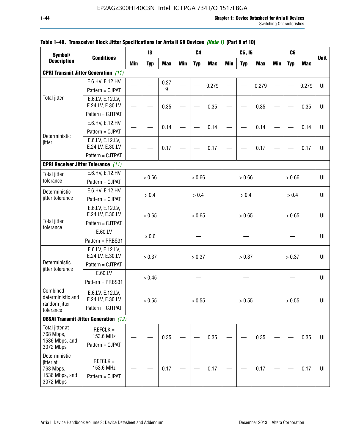| Symbol/<br><b>Description</b>              |                                              |            | 13         |            |            | C <sub>4</sub> |            |            | C5, I5     |            |            | C <sub>6</sub> |            |             |
|--------------------------------------------|----------------------------------------------|------------|------------|------------|------------|----------------|------------|------------|------------|------------|------------|----------------|------------|-------------|
|                                            | <b>Conditions</b>                            | <b>Min</b> | <b>Typ</b> | <b>Max</b> | <b>Min</b> | <b>Typ</b>     | <b>Max</b> | <b>Min</b> | <b>Typ</b> | <b>Max</b> | <b>Min</b> | <b>Typ</b>     | <b>Max</b> | <b>Unit</b> |
|                                            | <b>CPRI Transmit Jitter Generation (11)</b>  |            |            |            |            |                |            |            |            |            |            |                |            |             |
|                                            | E.6.HV, E.12.HV                              |            |            | 0.27       |            |                | 0.279      |            |            | 0.279      |            |                | 0.279      | UI          |
|                                            | Pattern = CJPAT                              |            |            | 9          |            |                |            |            |            |            |            |                |            |             |
| <b>Total jitter</b>                        | E.6.LV, E.12.LV,<br>E.24.LV, E.30.LV         |            |            | 0.35       |            |                | 0.35       |            |            | 0.35       |            |                | 0.35       | UI          |
|                                            | Pattern = CJTPAT                             |            |            |            |            |                |            |            |            |            |            |                |            |             |
|                                            | E.6.HV, E.12.HV                              |            |            | 0.14       |            |                | 0.14       |            |            | 0.14       |            |                | 0.14       | $U\Gamma$   |
| Deterministic                              | Pattern = CJPAT                              |            |            |            |            |                |            |            |            |            |            |                |            |             |
| jitter                                     | E.6.LV, E.12.LV,<br>E.24.LV, E.30.LV         |            |            | 0.17       |            |                | 0.17       |            |            | 0.17       |            |                | 0.17       | UI          |
|                                            | Pattern = CJTPAT                             |            |            |            |            |                |            |            |            |            |            |                |            |             |
| <b>CPRI Receiver Jitter Tolerance (11)</b> |                                              |            |            |            |            |                |            |            |            |            |            |                |            |             |
| <b>Total jitter</b>                        | E.6.HV, E.12.HV                              |            | > 0.66     |            |            | > 0.66         |            |            | > 0.66     |            |            | > 0.66         |            | UI          |
| tolerance                                  | Pattern = CJPAT                              |            |            |            |            |                |            |            |            |            |            |                |            |             |
| Deterministic                              | E.6.HV, E.12.HV                              |            | > 0.4      |            |            | > 0.4          |            |            | > 0.4      |            |            | > 0.4          |            | $U\Gamma$   |
| jitter tolerance                           | Pattern = CJPAT                              |            |            |            |            |                |            |            |            |            |            |                |            |             |
|                                            | E.6.LV, E.12.LV,<br>E.24.LV, E.30.LV         |            |            |            |            |                |            |            |            |            |            |                |            |             |
| <b>Total jitter</b>                        | Pattern = CJTPAT                             |            | > 0.65     |            |            | > 0.65         |            |            | > 0.65     |            |            | > 0.65         |            | UI          |
| tolerance                                  | E.60.LV                                      |            |            |            |            |                |            |            |            |            |            |                |            |             |
|                                            | Pattern = PRBS31                             |            | > 0.6      |            |            |                |            |            |            |            |            |                |            | UI          |
|                                            | E.6.LV, E.12.LV,                             |            |            |            |            |                |            |            |            |            |            |                |            |             |
|                                            | E.24.LV, E.30.LV                             |            | > 0.37     |            |            | > 0.37         |            |            | > 0.37     |            |            | > 0.37         |            | UI          |
| Deterministic<br>jitter tolerance          | Pattern = CJTPAT                             |            |            |            |            |                |            |            |            |            |            |                |            |             |
|                                            | E.60.LV                                      |            | > 0.45     |            |            |                |            |            |            |            |            |                |            | UI          |
|                                            | Pattern = PRBS31                             |            |            |            |            |                |            |            |            |            |            |                |            |             |
| Combined<br>deterministic and              | E.6.LV, E.12.LV,<br>E.24.LV, E.30.LV         |            | > 0.55     |            |            | > 0.55         |            |            | > 0.55     |            |            | > 0.55         |            | UI          |
| random jitter<br>tolerance                 | Pattern = CJTPAT                             |            |            |            |            |                |            |            |            |            |            |                |            |             |
|                                            | <b>OBSAI Transmit Jitter Generation</b> (12) |            |            |            |            |                |            |            |            |            |            |                |            |             |
| Total jitter at                            | $REFCLK =$                                   |            |            |            |            |                |            |            |            |            |            |                |            |             |
| 768 Mbps,                                  | 153.6 MHz                                    |            |            | 0.35       |            |                | 0.35       |            |            | 0.35       |            |                | 0.35       | UI          |
| 1536 Mbps, and<br>3072 Mbps                | Pattern = CJPAT                              |            |            |            |            |                |            |            |            |            |            |                |            |             |
| Deterministic                              |                                              |            |            |            |            |                |            |            |            |            |            |                |            |             |
| jitter at                                  | $REFCLK =$                                   |            |            |            |            |                |            |            |            |            |            |                |            |             |
| 768 Mbps,<br>1536 Mbps, and                | 153.6 MHz<br>Pattern = CJPAT                 |            |            | 0.17       |            |                | 0.17       |            |            | 0.17       |            |                | 0.17       | UI          |
| 3072 Mbps                                  |                                              |            |            |            |            |                |            |            |            |            |            |                |            |             |

## **Table 1–40. Transceiver Block Jitter Specifications for Arria II GX Devices** *(Note 1)* **(Part 8 of 10)**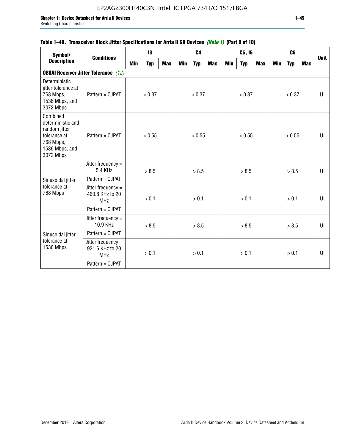## **Table 1–40. Transceiver Block Jitter Specifications for Arria II GX Devices** *(Note 1)* **(Part 9 of 10)**

| Symbol/                                                                                                    | <b>Conditions</b>                                     |     | 13         |            |     | C <sub>4</sub> |            |     | C5, I5     |            |     | C <sub>6</sub> |     | <b>Unit</b> |
|------------------------------------------------------------------------------------------------------------|-------------------------------------------------------|-----|------------|------------|-----|----------------|------------|-----|------------|------------|-----|----------------|-----|-------------|
| <b>Description</b>                                                                                         |                                                       | Min | <b>Typ</b> | <b>Max</b> | Min | <b>Typ</b>     | <b>Max</b> | Min | <b>Typ</b> | <b>Max</b> | Min | <b>Typ</b>     | Max |             |
|                                                                                                            | <b>OBSAI Receiver Jitter Tolerance</b> (12)           |     |            |            |     |                |            |     |            |            |     |                |     |             |
| Deterministic<br>jitter tolerance at<br>768 Mbps,<br>1536 Mbps, and<br>3072 Mbps                           | Pattern = CJPAT                                       |     | > 0.37     |            |     | > 0.37         |            |     | > 0.37     |            |     | > 0.37         |     | U           |
| Combined<br>deterministic and<br>random jitter<br>tolerance at<br>768 Mbps,<br>1536 Mbps, and<br>3072 Mbps | $Pattern = C.IPATH$                                   |     | > 0.55     |            |     | > 0.55         |            |     | > 0.55     |            |     | > 0.55         |     | UI          |
|                                                                                                            | Jitter frequency =<br>5.4 KHz                         |     | > 8.5      |            |     | > 8.5          |            |     | > 8.5      |            |     | > 8.5          |     | UI          |
| Sinusoidal jitter                                                                                          | Pattern = CJPAT                                       |     |            |            |     |                |            |     |            |            |     |                |     |             |
| tolerance at<br>768 Mbps                                                                                   | Jitter frequency $=$<br>460.8 KHz to 20<br><b>MHz</b> |     | > 0.1      |            |     | > 0.1          |            |     | > 0.1      |            |     | > 0.1          |     | UI          |
|                                                                                                            | Pattern = CJPAT                                       |     |            |            |     |                |            |     |            |            |     |                |     |             |
|                                                                                                            | Jitter frequency =<br>10.9 KHz                        |     | > 8.5      |            |     | > 8.5          |            |     | > 8.5      |            |     | > 8.5          |     | UI          |
| Sinusoidal jitter                                                                                          | Pattern = CJPAT                                       |     |            |            |     |                |            |     |            |            |     |                |     |             |
| tolerance at<br>1536 Mbps                                                                                  | Jitter frequency =<br>921.6 KHz to 20<br><b>MHz</b>   |     | > 0.1      |            |     | > 0.1          |            |     | > 0.1      |            |     | > 0.1          |     | UI          |
|                                                                                                            | Pattern = CJPAT                                       |     |            |            |     |                |            |     |            |            |     |                |     |             |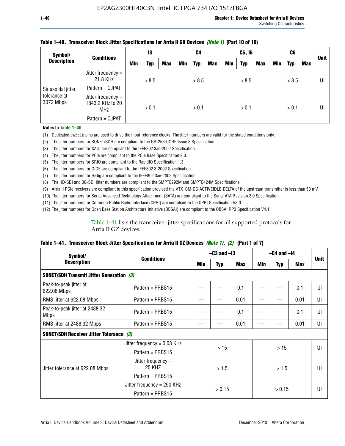| Symbol/<br><b>Conditions</b> |                                                        | 13  |       | C4         |     | C5, I5     |            |     | C6         |     |     | <b>Unit</b> |     |    |
|------------------------------|--------------------------------------------------------|-----|-------|------------|-----|------------|------------|-----|------------|-----|-----|-------------|-----|----|
| <b>Description</b>           |                                                        | Min | Typ   | <b>Max</b> | Min | <b>Typ</b> | <b>Max</b> | Min | <b>Typ</b> | Max | Min | Typ         | Max |    |
|                              | Jitter frequency $=$<br>21.8 KHz                       |     | > 8.5 |            |     | > 8.5      |            |     | > 8.5      |     |     | > 8.5       |     | UI |
| Sinusoidal jitter            | Pattern = CJPAT                                        |     |       |            |     |            |            |     |            |     |     |             |     |    |
| tolerance at<br>3072 Mbps    | Jitter frequency $=$<br>1843.2 KHz to 20<br><b>MHz</b> |     | > 0.1 |            |     | > 0.1      |            |     | > 0.1      |     |     | > 0.1       |     | UI |
|                              | Pattern = CJPAT                                        |     |       |            |     |            |            |     |            |     |     |             |     |    |

### **Table 1–40. Transceiver Block Jitter Specifications for Arria II GX Devices** *(Note 1)* **(Part 10 of 10)**

**Notes to Table 1–40:**

(1) Dedicated refclk pins are used to drive the input reference clocks. The jitter numbers are valid for the stated conditions only.

(2) The jitter numbers for SONET/SDH are compliant to the GR-253-CORE Issue 3 Specification.

(3) The jitter numbers for XAUI are compliant to the IEEE802.3ae-2002 Specification.

(4) The jitter numbers for PCIe are compliant to the PCIe Base Specification 2.0.

(5) The jitter numbers for SRIO are compliant to the RapidIO Specification 1.3.

(6) The jitter numbers for GIGE are compliant to the IEEE802.3-2002 Specification.

(7) The jitter numbers for HiGig are compliant to the IEEE802.3ae-2002 Specification.

(8) The HD-SDI and 3G-SDI jitter numbers are compliant to the SMPTE292M and SMPTE424M Specifications.

(9) Arria II PCIe receivers are compliant to this specification provided the VTX\_CM-DC-ACTIVEIDLE-DELTA of the upstream transmitter is less than 50 mV.

(10) The jitter numbers for Serial Advanced Technology Attachment (SATA) are compliant to the Serial ATA Revision 3.0 Specification.

(11) The jitter numbers for Common Public Radio Interface (CPRI) are compliant to the CPRI Specification V3.0.

(12) The jitter numbers for Open Base Station Architecture Initiative (OBSAI) are compliant to the OBSAI RP3 Specification V4.1.

Table 1–41 lists the transceiver jitter specifications for all supported protocols for Arria II GZ devices.

### **Table 1–41. Transceiver Block Jitter Specifications for Arria II GZ Devices** *(Note 1)***,** *(2)* **(Part 1 of 7)**

| Symbol/                                         |                                |      | $-C3$ and $-I3$ |            |       | $-C4$ and $-I4$ |      |             |  |
|-------------------------------------------------|--------------------------------|------|-----------------|------------|-------|-----------------|------|-------------|--|
| <b>Description</b>                              | <b>Conditions</b>              | Min  | <b>Typ</b>      | <b>Max</b> | Min   | <b>Typ</b>      | Max  | <b>Unit</b> |  |
| <b>SONET/SDH Transmit Jitter Generation (3)</b> |                                |      |                 |            |       |                 |      |             |  |
| Peak-to-peak jitter at<br>622.08 Mbps           | Pattern = $PRBS15$             |      |                 | 0.1        |       |                 | 0.1  | UI          |  |
| RMS jitter at 622.08 Mbps                       | Pattern = PRBS15               |      |                 | 0.01       |       |                 | 0.01 | UI          |  |
| Peak-to-peak jitter at 2488.32<br><b>Mbps</b>   | Pattern = $PRBS15$             |      |                 | 0.1        |       |                 | 0.1  | UI          |  |
| RMS jitter at 2488.32 Mbps                      | Pattern = PRBS15               |      |                 | 0.01       |       |                 | 0.01 | UI          |  |
| <b>SONET/SDH Receiver Jitter Tolerance (3)</b>  |                                |      |                 |            |       |                 |      |             |  |
|                                                 | Jitter frequency = $0.03$ KHz  |      | >15             |            |       | >15             |      | UI          |  |
|                                                 | Pattern = $PRBS15$             |      |                 |            |       |                 |      |             |  |
| Jitter tolerance at 622.08 Mbps                 | Jitter frequency $=$<br>25 KHZ | >1.5 |                 |            | > 1.5 |                 | UI   |             |  |
|                                                 | Pattern = $PRBS15$             |      |                 |            |       |                 |      |             |  |
|                                                 | Jitter frequency = 250 KHz     |      | > 0.15          |            |       | > 0.15          |      | UI          |  |
|                                                 | Pattern = PRBS15               |      |                 |            |       |                 |      |             |  |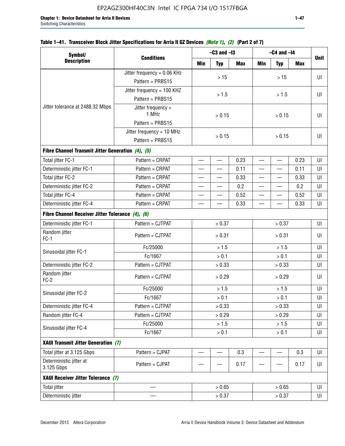| Table 1–41. Transceiver Block Jitter Specifications for Arria II GZ Devices <i>(Note 1), (2)</i> (Part 2 of 7) |  |  |  |  |  |  |  |
|----------------------------------------------------------------------------------------------------------------|--|--|--|--|--|--|--|
|----------------------------------------------------------------------------------------------------------------|--|--|--|--|--|--|--|

| Symbol/                                           |                               | $-C3$ and $-I3$                                                    |                          | $-C4$ and $-I4$ |                          |                          |            |             |
|---------------------------------------------------|-------------------------------|--------------------------------------------------------------------|--------------------------|-----------------|--------------------------|--------------------------|------------|-------------|
| <b>Description</b>                                | <b>Conditions</b>             | <b>Min</b>                                                         | <b>Typ</b>               | <b>Max</b>      | <b>Min</b>               | <b>Typ</b>               | <b>Max</b> | <b>Unit</b> |
|                                                   | Jitter frequency = $0.06$ KHz |                                                                    | $>15$                    |                 |                          | >15                      |            | UI          |
|                                                   | Pattern = PRBS15              |                                                                    |                          |                 |                          |                          |            |             |
|                                                   | Jitter frequency = 100 KHZ    |                                                                    | > 1.5                    |                 |                          | > 1.5                    |            | UI          |
|                                                   | Pattern = PRBS15              |                                                                    |                          |                 |                          |                          |            |             |
| Jitter tolerance at 2488.32 Mbps                  | Jitter frequency =<br>1 MHz   |                                                                    | > 0.15                   |                 |                          | > 0.15                   |            | UI          |
|                                                   | Pattern = PRBS15              |                                                                    |                          |                 |                          |                          |            |             |
|                                                   | Jitter frequency = $10$ MHz   |                                                                    |                          |                 |                          |                          |            |             |
|                                                   | Pattern = PRBS15              |                                                                    | > 0.15                   |                 |                          | > 0.15                   |            | UI          |
| Fibre Channel Transmit Jitter Generation (4), (5) |                               |                                                                    |                          |                 |                          |                          |            |             |
| Total jitter FC-1                                 | Pattern = CRPAT               |                                                                    | $\overline{\phantom{0}}$ | 0.23            | $\overline{\phantom{0}}$ |                          | 0.23       | UI          |
| Deterministic jitter FC-1                         | Pattern = CRPAT               |                                                                    |                          | 0.11            |                          |                          | 0.11       | UI          |
| Total jitter FC-2                                 | Pattern = CRPAT               | $\overline{\phantom{0}}$                                           | $\qquad \qquad$          | 0.33            | $\overline{\phantom{0}}$ | $\overline{\phantom{0}}$ | 0.33       | UI          |
| Deterministic jitter FC-2                         | Pattern = CRPAT               | $\equiv$                                                           | $\overline{\phantom{0}}$ | 0.2             | $\overline{\phantom{0}}$ | $\overline{\phantom{0}}$ | 0.2        | UI          |
| Total jitter FC-4                                 | Pattern = CRPAT               | $\equiv$                                                           | $\overline{\phantom{0}}$ | 0.52            | $\overline{\phantom{0}}$ |                          | 0.52       | UI          |
| Deterministic jitter FC-4                         | Pattern = CRPAT               | —                                                                  | —                        | 0.33            | $\overline{\phantom{0}}$ | —                        | 0.33       | UI          |
| Fibre Channel Receiver Jitter Tolerance (4), (6)  |                               |                                                                    |                          |                 |                          |                          |            |             |
| Deterministic jitter FC-1                         | Pattern = CJTPAT              |                                                                    | > 0.37                   | > 0.37          |                          |                          | UI         |             |
| Random jitter<br>$FC-1$                           | Pattern = CJTPAT              |                                                                    | > 0.31                   |                 | > 0.31                   |                          |            | UI          |
|                                                   | Fc/25000                      |                                                                    | > 1.5                    |                 | > 1.5                    |                          |            | UI          |
| Sinusoidal jitter FC-1                            | Fc/1667                       |                                                                    | $> 0.1$                  |                 |                          | > 0.1                    |            | UI          |
| Deterministic jitter FC-2                         | Pattern = CJTPAT              |                                                                    | > 0.33                   |                 |                          | > 0.33                   |            | UI          |
| Random jitter<br>$FC-2$                           | Pattern = CJTPAT              |                                                                    | > 0.29                   |                 |                          | > 0.29                   |            | UI          |
|                                                   | Fc/25000                      |                                                                    | > 1.5                    |                 |                          | > 1.5                    |            | UI          |
| Sinusoidal jitter FC-2                            | Fc/1667                       |                                                                    | > 0.1                    |                 |                          | > 0.1                    |            | UI          |
| Deterministic jitter FC-4                         | Pattern = CJTPAT              |                                                                    | > 0.33                   |                 |                          | > 0.33                   |            | UI          |
| Random jitter FC-4                                | Pattern = CJTPAT              |                                                                    | > 0.29                   |                 |                          | > 0.29                   |            | UI          |
| Sinusoidal jitter FC-4                            | Fc/25000                      |                                                                    | $>1.5$                   |                 |                          | > 1.5                    |            | UI          |
|                                                   | Fc/1667                       |                                                                    | > 0.1                    |                 |                          | $> 0.1$                  |            | UI          |
| XAUI Transmit Jitter Generation (7)               |                               |                                                                    |                          |                 |                          |                          |            |             |
| Total jitter at 3.125 Gbps                        | Pattern = CJPAT               | 0.3<br>0.3<br>$\overline{\phantom{a}}$<br>$\overline{\phantom{0}}$ |                          |                 | UI                       |                          |            |             |
| Deterministic jitter at<br>3.125 Gbps             | Pattern = CJPAT               |                                                                    |                          | 0.17            |                          |                          | 0.17       | UI          |
| XAUI Receiver Jitter Tolerance (7)                |                               |                                                                    |                          |                 |                          |                          |            |             |
| <b>Total jitter</b>                               |                               |                                                                    | > 0.65                   |                 |                          | > 0.65                   |            | UI          |
| Deterministic jitter                              |                               |                                                                    | > 0.37                   |                 |                          | > 0.37                   |            | UI          |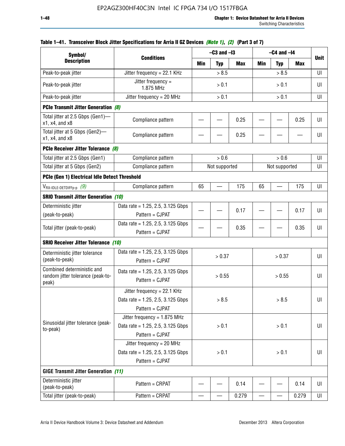| Symbol/                                                                  |                                                                                        | $-C3$ and $-I3$ |               |            | $-C4$ and $-I4$          |               |            |             |
|--------------------------------------------------------------------------|----------------------------------------------------------------------------------------|-----------------|---------------|------------|--------------------------|---------------|------------|-------------|
| <b>Description</b>                                                       | <b>Conditions</b>                                                                      | Min             | <b>Typ</b>    | <b>Max</b> | Min                      | <b>Typ</b>    | <b>Max</b> | <b>Unit</b> |
| Peak-to-peak jitter                                                      | Jitter frequency = $22.1$ KHz                                                          |                 | > 8.5         |            |                          | > 8.5         |            | UI          |
| Peak-to-peak jitter                                                      | Jitter frequency =<br>1.875 MHz                                                        |                 | > 0.1         |            |                          | > 0.1         |            | UI          |
| Peak-to-peak jitter                                                      | Jitter frequency = $20$ MHz                                                            |                 | > 0.1         |            |                          | > 0.1         |            | UI          |
| <b>PCIe Transmit Jitter Generation (8)</b>                               |                                                                                        |                 |               |            |                          |               |            |             |
| Total jitter at 2.5 Gbps (Gen1)-<br>$x1$ , $x4$ , and $x8$               | Compliance pattern                                                                     |                 |               | 0.25       |                          |               | 0.25       | UI          |
| Total jitter at 5 Gbps (Gen2)-<br>x1, x4, and x8                         | Compliance pattern                                                                     |                 |               | 0.25       |                          |               |            | UI          |
| PCIe Receiver Jitter Tolerance (8)                                       |                                                                                        |                 |               |            |                          |               |            |             |
| Total jitter at 2.5 Gbps (Gen1)                                          | Compliance pattern                                                                     |                 | > 0.6         |            |                          | > 0.6         |            | UI          |
| Total jitter at 5 Gbps (Gen2)                                            | Compliance pattern                                                                     |                 | Not supported |            |                          | Not supported |            | UI          |
| PCIe (Gen 1) Electrical Idle Detect Threshold                            |                                                                                        |                 |               |            |                          |               |            |             |
| $V_{\text{RX-IDLE-DETDIFFp-p}}$ (9)                                      | Compliance pattern                                                                     | 65              |               | 175        | 65                       |               | 175        | UI          |
| <b>SRIO Transmit Jitter Generation (10)</b>                              |                                                                                        |                 |               |            |                          |               |            |             |
| Deterministic jitter                                                     | Data rate = $1.25$ , 2.5, 3.125 Gbps                                                   |                 |               | 0.17       |                          |               | 0.17       | UI          |
| (peak-to-peak)                                                           | Pattern = CJPAT                                                                        |                 |               |            |                          |               |            |             |
| Total jitter (peak-to-peak)                                              | Data rate = 1.25, 2.5, 3.125 Gbps<br>Pattern = CJPAT                                   | 0.35            |               |            |                          | 0.35          | UI         |             |
| <b>SRIO Receiver Jitter Tolerance (10)</b>                               |                                                                                        |                 |               |            |                          |               |            |             |
| Deterministic jitter tolerance<br>(peak-to-peak)                         | Data rate = $1.25$ , 2.5, 3.125 Gbps<br>Pattern = CJPAT                                |                 | > 0.37        |            |                          | > 0.37        |            | UI          |
| Combined deterministic and<br>random jitter tolerance (peak-to-<br>peak) | Data rate = $1.25$ , 2.5, 3.125 Gbps<br>Pattern = CJPAT                                |                 | > 0.55        |            |                          | > 0.55        |            | UI          |
|                                                                          | Jitter frequency = $22.1$ KHz<br>Data rate = 1.25, 2.5, 3.125 Gbps<br>Pattern = CJPAT  |                 | > 8.5         |            |                          | > 8.5         |            | UI          |
| Sinusoidal jitter tolerance (peak-<br>to-peak)                           | Jitter frequency = $1.875$ MHz<br>Data rate = 1.25, 2.5, 3.125 Gbps<br>Pattern = CJPAT | > 0.1           |               |            |                          | > 0.1         |            | UI          |
|                                                                          | Jitter frequency = 20 MHz<br>Data rate = $1.25$ , 2.5, 3.125 Gbps<br>Pattern = CJPAT   | > 0.1<br>> 0.1  |               |            |                          | UI            |            |             |
| <b>GIGE Transmit Jitter Generation (11)</b>                              |                                                                                        |                 |               |            |                          |               |            |             |
| Deterministic jitter<br>(peak-to-peak)                                   | Pattern = CRPAT                                                                        |                 |               | 0.14       |                          |               | 0.14       | UI          |
| Total jitter (peak-to-peak)                                              | Pattern = CRPAT                                                                        |                 |               | 0.279      | $\overline{\phantom{0}}$ |               | 0.279      | UI          |

## **Table 1–41. Transceiver Block Jitter Specifications for Arria II GZ Devices** *(Note 1)***,** *(2)* **(Part 3 of 7)**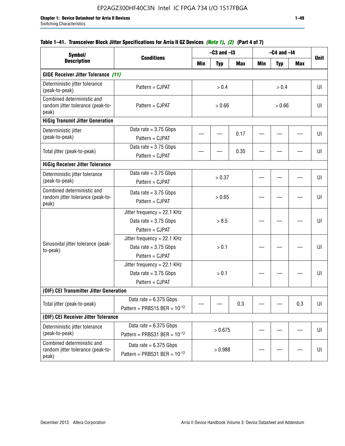## **Table 1–41. Transceiver Block Jitter Specifications for Arria II GZ Devices** *(Note 1)***,** *(2)* **(Part 4 of 7)**

| Symbol/                                                                  |                                                                             |        | $-C3$ and $-I3$ |            |        | $-C4$ and $-I4$ |            |             |
|--------------------------------------------------------------------------|-----------------------------------------------------------------------------|--------|-----------------|------------|--------|-----------------|------------|-------------|
| <b>Description</b>                                                       | <b>Conditions</b>                                                           | Min    | <b>Typ</b>      | <b>Max</b> | Min    | <b>Typ</b>      | <b>Max</b> | <b>Unit</b> |
| <b>GIGE Receiver Jitter Tolerance (11)</b>                               |                                                                             |        |                 |            |        |                 |            |             |
| Deterministic jitter tolerance<br>(peak-to-peak)                         | Pattern = CJPAT                                                             |        | > 0.4<br>> 0.4  |            |        |                 | UI         |             |
| Combined deterministic and<br>random jitter tolerance (peak-to-<br>peak) | Pattern = CJPAT                                                             |        | > 0.66          |            | > 0.66 |                 |            | UI          |
| <b>HiGig Transmit Jitter Generation</b>                                  |                                                                             |        |                 |            |        |                 |            |             |
| Deterministic jitter<br>(peak-to-peak)                                   | Data rate = $3.75$ Gbps<br>Pattern = CJPAT                                  |        |                 | 0.17       |        |                 |            | UI          |
| Total jitter (peak-to-peak)                                              | Data rate = $3.75$ Gbps<br>Pattern = CJPAT                                  |        |                 | 0.35       |        |                 |            | UI          |
| <b>HiGig Receiver Jitter Tolerance</b>                                   |                                                                             |        |                 |            |        |                 |            |             |
| Deterministic jitter tolerance<br>(peak-to-peak)                         | Data rate = $3.75$ Gbps<br>Pattern = CJPAT                                  | > 0.37 |                 |            |        |                 | UI         |             |
| Combined deterministic and<br>random jitter tolerance (peak-to-<br>peak) | Data rate = $3.75$ Gbps<br>Pattern = CJPAT                                  | > 0.65 |                 |            |        |                 | UI         |             |
|                                                                          | Jitter frequency = 22.1 KHz<br>Data rate = $3.75$ Gbps<br>Pattern = CJPAT   | > 8.5  |                 |            |        |                 | UI         |             |
| Sinusoidal jitter tolerance (peak-<br>to-peak)                           | Jitter frequency = $22.1$ KHz<br>Data rate = $3.75$ Gbps<br>Pattern = CJPAT |        | > 0.1           |            |        |                 |            | UI          |
|                                                                          | Jitter frequency = 22.1 KHz<br>Data rate = $3.75$ Gbps<br>Pattern = CJPAT   | > 0.1  |                 |            |        |                 | UI         |             |
| (OIF) CEI Transmitter Jitter Generation                                  |                                                                             |        |                 |            |        |                 |            |             |
| Total jitter (peak-to-peak)                                              | Data rate = $6.375$ Gbps<br>Pattern = PRBS15 BER = $10^{-12}$               |        |                 | 0.3        |        |                 | 0.3        | UI          |
| (OIF) CEI Receiver Jitter Tolerance                                      |                                                                             |        |                 |            |        |                 |            |             |
| Deterministic jitter tolerance<br>(peak-to-peak)                         | Data rate = $6.375$ Gbps<br>Pattern = PRBS31 BER = $10^{-12}$               |        | > 0.675         |            |        |                 |            | UI          |
| Combined deterministic and<br>random jitter tolerance (peak-to-<br>peak) | Data rate = $6.375$ Gbps<br>Pattern = PRBS31 BER = $10^{-12}$               |        | > 0.988         |            |        |                 |            | UI          |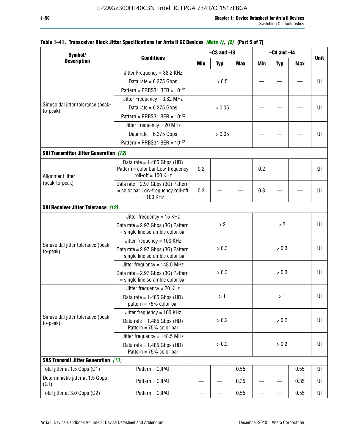| Symbol/                                        |                                                                        |                | $-C3$ and $-I3$ |            |            | $-C4$ and $-I4$ |            |             |
|------------------------------------------------|------------------------------------------------------------------------|----------------|-----------------|------------|------------|-----------------|------------|-------------|
| <b>Description</b>                             | <b>Conditions</b>                                                      | Min            | <b>Typ</b>      | <b>Max</b> | <b>Min</b> | <b>Typ</b>      | <b>Max</b> | <b>Unit</b> |
|                                                | Jitter Frequency = 38.2 KHz                                            |                |                 |            |            |                 |            |             |
|                                                | Data rate = $6.375$ Gbps                                               |                | > 0.5           |            |            |                 |            | UI          |
|                                                | Pattern = PRBS31 BER = $10^{-12}$                                      |                |                 |            |            |                 |            |             |
|                                                | Jitter Frequency = $3.82$ MHz                                          |                |                 |            |            |                 |            |             |
| Sinusoidal jitter tolerance (peak-<br>to-peak) | Data rate = $6.375$ Gbps                                               |                | > 0.05          |            |            |                 |            | UI          |
|                                                | Pattern = PRBS31 BER = $10^{-12}$                                      |                |                 |            |            |                 |            |             |
|                                                | Jitter Frequency = 20 MHz                                              |                |                 |            |            |                 |            |             |
|                                                | Data rate = $6.375$ Gbps                                               |                | > 0.05          |            |            |                 |            | UI          |
|                                                | Pattern = PRBS31 BER = $10^{-12}$                                      |                |                 |            |            |                 |            |             |
| <b>SDI Transmitter Jitter Generation (12)</b>  |                                                                        |                |                 |            |            |                 |            |             |
|                                                | Data rate = $1.485$ Gbps (HD)                                          |                |                 |            |            |                 |            |             |
| Alignment jitter                               | Pattern = color bar Low-frequency<br>roll-off $= 100$ KHz              | 0.2            |                 |            | 0.2        |                 |            | UI          |
| (peak-to-peak)                                 | Data rate = 2.97 Gbps (3G) Pattern                                     |                |                 |            |            |                 |            |             |
|                                                | = color bar Low-frequency roll-off<br>$= 100$ KHz                      | 0.3            |                 |            | 0.3        |                 |            | UI          |
| <b>SDI Receiver Jitter Tolerance (12)</b>      |                                                                        |                |                 |            |            |                 |            |             |
|                                                | Jitter frequency = 15 KHz                                              |                |                 |            |            |                 |            |             |
|                                                | Data rate = 2.97 Gbps (3G) Pattern<br>= single line scramble color bar |                | >2              |            | >2         |                 | UI         |             |
|                                                | Jitter frequency = $100$ KHz                                           |                |                 |            |            |                 |            |             |
| Sinusoidal jitter tolerance (peak-<br>to-peak) | Data rate = 2.97 Gbps (3G) Pattern<br>= single line scramble color bar |                | > 0.3           |            |            | > 0.3           |            | UI          |
|                                                | Jitter frequency = $148.5$ MHz                                         |                |                 |            |            |                 |            |             |
|                                                | Data rate = 2.97 Gbps (3G) Pattern<br>= single line scramble color bar |                | > 0.3           |            |            | > 0.3           |            | UI          |
|                                                | Jitter frequency = $20$ KHz                                            |                |                 |            |            |                 |            |             |
|                                                | Data rate = $1.485$ Gbps (HD)<br>pattern = $75%$ color bar             |                | >1              |            |            | >1              |            | UI          |
|                                                | Jitter frequency = $100$ KHz                                           |                |                 |            |            |                 |            |             |
| Sinusoidal jitter tolerance (peak-<br>to-peak) | Data rate = $1.485$ Gbps (HD)<br>Pattern = 75% color bar               |                | > 0.2           |            |            | > 0.2           |            | UI          |
|                                                | Jitter frequency = $148.5$ MHz                                         |                |                 |            |            |                 |            |             |
|                                                | Data rate = $1.485$ Gbps (HD)<br>Pattern = 75% color bar               | > 0.2<br>> 0.2 |                 |            | UI         |                 |            |             |
| <b>SAS Transmit Jitter Generation</b> (13)     |                                                                        |                |                 |            |            |                 |            |             |
| Total jitter at 1.5 Gbps (G1)                  | Pattern = CJPAT                                                        |                |                 | 0.55       |            |                 | 0.55       | UI          |
| Deterministic jitter at 1.5 Gbps<br>(G1)       | Pattern = CJPAT                                                        |                |                 | 0.35       |            |                 | 0.35       | UI          |
| Total jitter at 3.0 Gbps (G2)                  | Pattern = CJPAT                                                        |                |                 | 0.55       |            |                 | 0.55       | UI          |

## **Table 1–41. Transceiver Block Jitter Specifications for Arria II GZ Devices** *(Note 1)***,** *(2)* **(Part 5 of 7)**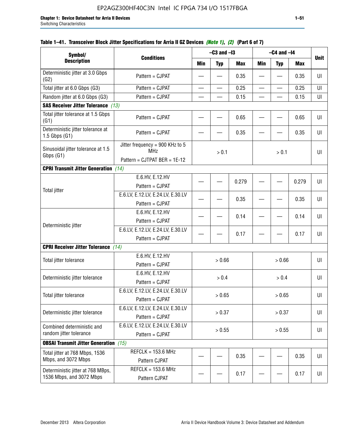| Symbol/                                                       |                                                                               |                  | $-C3$ and $-I3$ |            |            | $-C4$ and $-I4$ |            | <b>Unit</b> |
|---------------------------------------------------------------|-------------------------------------------------------------------------------|------------------|-----------------|------------|------------|-----------------|------------|-------------|
| <b>Description</b>                                            | <b>Conditions</b>                                                             | <b>Min</b>       | <b>Typ</b>      | <b>Max</b> | <b>Min</b> | <b>Typ</b>      | <b>Max</b> |             |
| Deterministic jitter at 3.0 Gbps<br>(G2)                      | Pattern = CJPAT                                                               |                  |                 | 0.35       |            |                 | 0.35       | U           |
| Total jitter at 6.0 Gbps (G3)                                 | Pattern = CJPAT                                                               |                  |                 | 0.25       |            |                 | 0.25       | UI          |
| Random jitter at 6.0 Gbps (G3)                                | Pattern = CJPAT                                                               |                  |                 | 0.15       |            |                 | 0.15       | UI          |
| <b>SAS Receiver Jitter Tolerance (13)</b>                     |                                                                               |                  |                 |            |            |                 |            |             |
| Total jitter tolerance at 1.5 Gbps<br>(G1)                    | Pattern = CJPAT                                                               |                  |                 | 0.65       |            |                 | 0.65       | UI          |
| Deterministic jitter tolerance at<br>$1.5$ Gbps $(G1)$        | Pattern = CJPAT                                                               |                  |                 | 0.35       |            |                 | 0.35       | U           |
| Sinusoidal jitter tolerance at 1.5<br>Gbps (G1)               | Jitter frequency = 900 KHz to 5<br><b>MHz</b><br>Pattern = CJTPAT BER = 1E-12 |                  | > 0.1           |            |            | > 0.1           |            | UI          |
| <b>CPRI Transmit Jitter Generation</b> (14)                   |                                                                               |                  |                 |            |            |                 |            |             |
|                                                               | E.6.HV, E.12.HV<br>Pattern = CJPAT                                            |                  |                 | 0.279      |            |                 | 0.279      | UI          |
| <b>Total jitter</b>                                           | E.6.LV, E.12.LV, E.24.LV, E.30.LV<br>Pattern = CJPAT                          |                  |                 | 0.35       |            |                 | 0.35       | UI          |
|                                                               | E.6.HV, E.12.HV<br>Pattern = CJPAT                                            |                  |                 | 0.14       |            |                 | 0.14       | UI          |
| Deterministic jitter                                          | E.6.LV, E.12.LV, E.24.LV, E.30.LV<br>Pattern = CJPAT                          |                  |                 | 0.17       |            |                 | 0.17       | U           |
| <b>CPRI Receiver Jitter Tolerance</b>                         | (14)                                                                          |                  |                 |            |            |                 |            |             |
| Total jitter tolerance                                        | E.6.HV, E.12.HV<br>Pattern = CJPAT                                            |                  | > 0.66          |            |            | > 0.66          |            | UI          |
| Deterministic jitter tolerance                                | E.6.HV, E.12.HV<br>Pattern = CJPAT                                            |                  | > 0.4           |            |            | > 0.4           |            | UI          |
| Total jitter tolerance                                        | E.6.LV, E.12.LV, E.24.LV, E.30.LV<br>Pattern = CJPAT                          |                  | > 0.65          |            |            | > 0.65          |            | UI          |
| Deterministic jitter tolerance                                | E.6.LV, E.12.LV, E.24.LV, E.30.LV<br>Pattern = CJPAT                          |                  | > 0.37          |            |            | > 0.37          |            | UI          |
| Combined deterministic and<br>random jitter tolerance         | E.6.LV, E.12.LV, E.24.LV, E.30.LV<br>Pattern = CJPAT                          | > 0.55<br>> 0.55 |                 |            | U          |                 |            |             |
| <b>OBSAI Transmit Jitter Generation</b> (15)                  |                                                                               |                  |                 |            |            |                 |            |             |
| Total jitter at 768 Mbps, 1536<br>Mbps, and 3072 Mbps         | $REFCLK = 153.6 MHz$<br>Pattern CJPAT                                         |                  |                 | 0.35       |            |                 | 0.35       | UI          |
| Deterministic jitter at 768 MBps,<br>1536 Mbps, and 3072 Mbps | $REFCLK = 153.6 MHz$<br>Pattern CJPAT                                         |                  |                 | 0.17       |            |                 | 0.17       | UI          |

## **Table 1–41. Transceiver Block Jitter Specifications for Arria II GZ Devices** *(Note 1)***,** *(2)* **(Part 6 of 7)**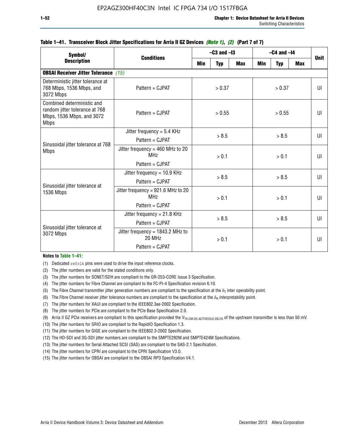| Symbol/                                                                                                  | <b>Conditions</b>                                                        |        | $-C3$ and $-I3$ |            | $-C4$ and $-I4$ | <b>Unit</b> |              |  |              |
|----------------------------------------------------------------------------------------------------------|--------------------------------------------------------------------------|--------|-----------------|------------|-----------------|-------------|--------------|--|--------------|
| <b>Description</b>                                                                                       |                                                                          | Min    | <b>Typ</b>      | <b>Max</b> | Min             | <b>Typ</b>  | <b>Max</b>   |  |              |
| <b>OBSAI Receiver Jitter Tolerance</b> (15)                                                              |                                                                          |        |                 |            |                 |             |              |  |              |
| Deterministic jitter tolerance at<br>768 Mbps, 1536 Mbps, and<br>3072 Mbps                               | Pattern = CJPAT                                                          | > 0.37 |                 |            |                 | > 0.37      |              |  | $\mathbf{U}$ |
| Combined deterministic and<br>random jitter tolerance at 768<br>Mbps, 1536 Mbps, and 3072<br><b>Mbps</b> | Pattern = CJPAT                                                          | > 0.55 |                 |            | > 0.55          |             | $\mathbf{U}$ |  |              |
| Sinusoidal jitter tolerance at 768                                                                       | Jitter frequency = $5.4$ KHz<br>> 8.5<br>Pattern = CJPAT                 |        | > 8.5           |            |                 | UI          |              |  |              |
| <b>Mbps</b>                                                                                              | Jitter frequency = $460$ MHz to 20<br>MH <sub>7</sub>                    | > 0.1  |                 |            | > 0.1           |             | $\mathbf{U}$ |  |              |
|                                                                                                          | Pattern = CJPAT                                                          |        |                 |            |                 |             |              |  |              |
| Sinusoidal jitter tolerance at                                                                           | Jitter frequency = $10.9$ KHz<br>Pattern = CJPAT                         | > 8.5  |                 | > 8.5      |                 |             | UI           |  |              |
| 1536 Mbps                                                                                                | Jitter frequency = 921.6 MHz to 20<br>MH <sub>7</sub><br>Pattern = CJPAT | > 0.1  |                 |            | > 0.1           |             | $\mathbf{U}$ |  |              |
|                                                                                                          | Jitter frequency = $21.8$ KHz<br>Pattern = CJPAT                         | > 8.5  |                 | > 8.5      |                 |             | $\mathbf{U}$ |  |              |
| Sinusoidal jitter tolerance at<br>3072 Mbps                                                              | Jitter frequency = $1843.2$ MHz to<br>20 MHz<br>Pattern = CJPAT          |        | > 0.1           |            | > 0.1           |             | UI           |  |              |

### **Table 1–41. Transceiver Block Jitter Specifications for Arria II GZ Devices** *(Note 1)***,** *(2)* **(Part 7 of 7)**

#### **Notes to Table 1–41:**

(1) Dedicated refclk pins were used to drive the input reference clocks.

- (2) The jitter numbers are valid for the stated conditions only.
- (3) The jitter numbers for SONET/SDH are compliant to the GR-253-CORE Issue 3 Specification.
- (4) The jitter numbers for Fibre Channel are compliant to the FC-PI-4 Specification revision 6.10.
- (5) The Fibre Channel transmitter jitter generation numbers are compliant to the specification at the  $\delta_T$  inter operability point.
- (6) The Fibre Channel receiver jitter tolerance numbers are compliant to the specification at the  $\delta_R$  interpretability point.
- (7) The jitter numbers for XAUI are compliant to the IEEE802.3ae-2002 Specification.
- (8) The jitter numbers for PCIe are compliant to the PCIe Base Specification 2.0.
- (9) Arria II GZ PCIe receivers are compliant to this specification provided the V<sub>TX-CM-DC-ACTIVEIDLE-DELTA</sub> of the upstream transmitter is less than 50 mV.
- (10) The jitter numbers for SRIO are compliant to the RapidIO Specification 1.3.
- (11) The jitter numbers for GIGE are compliant to the IEEE802.3-2002 Specification.
- (12) The HD-SDI and 3G-SDI jitter numbers are compliant to the SMPTE292M and SMPTE424M Specifications.
- (13) The jitter numbers for Serial Attached SCSI (SAS) are compliant to the SAS-2.1 Specification.
- (14) The jitter numbers for CPRI are compliant to the CPRI Specification V3.0.
- (15) The jitter numbers for OBSAI are compliant to the OBSAI RP3 Specification V4.1.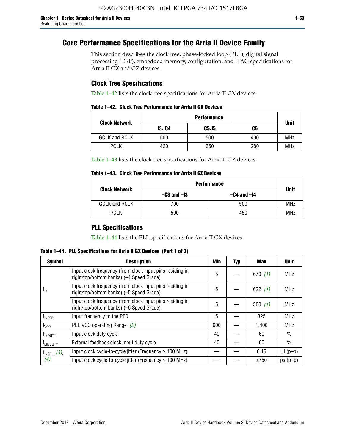# **Core Performance Specifications for the Arria II Device Family**

This section describes the clock tree, phase-locked loop (PLL), digital signal processing (DSP), embedded memory, configuration, and JTAG specifications for Arria II GX and GZ devices.

## **Clock Tree Specifications**

Table 1–42 lists the clock tree specifications for Arria II GX devices.

|  |  |  |  | Table 1–42. Clock Tree Performance for Arria II GX Devices |
|--|--|--|--|------------------------------------------------------------|
|--|--|--|--|------------------------------------------------------------|

|                      | <b>Performance</b> |        |     |             |  |  |  |
|----------------------|--------------------|--------|-----|-------------|--|--|--|
| <b>Clock Network</b> | <b>13, C4</b>      | C5, I5 | C6  | <b>Unit</b> |  |  |  |
| <b>GCLK and RCLK</b> | 500                | 500    | 400 | <b>MHz</b>  |  |  |  |
| <b>PCLK</b>          | 420                | 350    | 280 | <b>MHz</b>  |  |  |  |

Table 1–43 lists the clock tree specifications for Arria II GZ devices.

### **Table 1–43. Clock Tree Performance for Arria II GZ Devices**

| <b>Clock Network</b> | <b>Performance</b> |                 |             |  |  |  |  |
|----------------------|--------------------|-----------------|-------------|--|--|--|--|
|                      | $-C3$ and $-I3$    | $-C4$ and $-I4$ | <b>Unit</b> |  |  |  |  |
| <b>GCLK and RCLK</b> | 700                | 500             | <b>MHz</b>  |  |  |  |  |
| <b>PCLK</b>          | 500                | 450             | <b>MHz</b>  |  |  |  |  |

## **PLL Specifications**

Table 1–44 lists the PLL specifications for Arria II GX devices.

**Table 1–44. PLL Specifications for Arria II GX Devices (Part 1 of 3)**

| <b>Symbol</b>           | <b>Description</b>                                                                                   | Min | <b>Typ</b> | Max       | <b>Unit</b>   |
|-------------------------|------------------------------------------------------------------------------------------------------|-----|------------|-----------|---------------|
|                         | Input clock frequency (from clock input pins residing in<br>right/top/bottom banks) (-4 Speed Grade) |     |            | 670(1)    | <b>MHz</b>    |
| $f_{\text{IN}}$         | Input clock frequency (from clock input pins residing in<br>right/top/bottom banks) (-5 Speed Grade) |     |            | 622 $(1)$ | <b>MHz</b>    |
|                         | Input clock frequency (from clock input pins residing in<br>right/top/bottom banks) (-6 Speed Grade) | 5   |            | 500(1)    | <b>MHz</b>    |
| f <sub>INPFD</sub>      | Input frequency to the PFD                                                                           | 5   |            | 325       | <b>MHz</b>    |
| $f_{\rm VCO}$           | PLL VCO operating Range (2)                                                                          | 600 |            | 1,400     | <b>MHz</b>    |
| <sup>t</sup> INDUTY     | Input clock duty cycle                                                                               | 40  |            | 60        | $\frac{0}{0}$ |
| f <sub>EINDUTY</sub>    | External feedback clock input duty cycle                                                             |     |            | 60        | $\frac{0}{0}$ |
| $t_{\text{INCCJ}}$ (3), | Input clock cycle-to-cycle jitter (Frequency $\geq$ 100 MHz)                                         |     |            | 0.15      | $UI(p-p)$     |
| (4)                     | Input clock cycle-to-cycle jitter (Frequency $\leq 100$ MHz)                                         |     |            | ±750      | $ps(p-p)$     |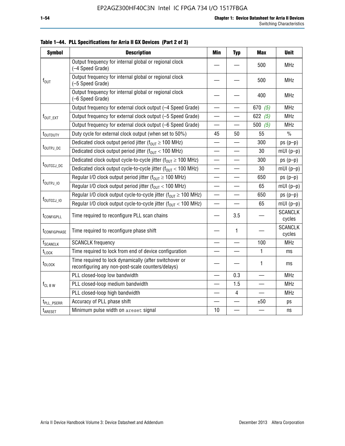| <b>Symbol</b>                     | <b>Description</b>                                                                                          | <b>Min</b>               | <b>Typ</b>               | <b>Max</b>               | <b>Unit</b>              |
|-----------------------------------|-------------------------------------------------------------------------------------------------------------|--------------------------|--------------------------|--------------------------|--------------------------|
|                                   | Output frequency for internal global or regional clock<br>(-4 Speed Grade)                                  |                          |                          | 500                      | <b>MHz</b>               |
| $f_{\text{OUT}}$                  | Output frequency for internal global or regional clock<br>(-5 Speed Grade)                                  |                          |                          | 500                      | <b>MHz</b>               |
|                                   | Output frequency for internal global or regional clock<br>(-6 Speed Grade)                                  |                          |                          | 400                      | <b>MHz</b>               |
|                                   | Output frequency for external clock output (-4 Speed Grade)                                                 | —                        |                          | 670 $(5)$                | <b>MHz</b>               |
| f <sub>out_ext</sub>              | Output frequency for external clock output (-5 Speed Grade)                                                 |                          |                          | 622 $(5)$                | <b>MHz</b>               |
|                                   | Output frequency for external clock output (-6 Speed Grade)                                                 |                          |                          | 500 $(5)$                | <b>MHz</b>               |
| t <sub>outputy</sub>              | Duty cycle for external clock output (when set to 50%)                                                      | 45                       | 50                       | 55                       | $\frac{0}{0}$            |
|                                   | Dedicated clock output period jitter ( $f_{OIII} \ge 100$ MHz)                                              |                          |                          | 300                      | $ps(p-p)$                |
| t <sub>outpj_dc</sub>             | Dedicated clock output period jitter ( $f_{OUT}$ < 100 MHz)                                                 |                          |                          | 30                       | $mUI(p-p)$               |
|                                   | Dedicated clock output cycle-to-cycle jitter ( $f_{OUT} \ge 100$ MHz)                                       |                          |                          | 300                      | $ps(p-p)$                |
|                                   | t <sub>outccj_dc</sub><br>Dedicated clock output cycle-to-cycle jitter ( $f_{OUT}$ < 100 MHz)               |                          | $\equiv$                 | 30                       | $mUI(p-p)$               |
|                                   | Regular I/O clock output period jitter ( $f_{OUT} \ge 100$ MHz)                                             |                          |                          | 650                      | $ps(p-p)$                |
| f <sub>outpj_io</sub>             | Regular I/O clock output period jitter ( $f_{OUT}$ < 100 MHz)                                               |                          |                          | 65                       | $mUI(p-p)$               |
|                                   | Regular I/O clock output cycle-to-cycle jitter ( $f_{OIII} \ge 100$ MHz)                                    | $\overline{\phantom{0}}$ | $\overline{\phantom{0}}$ | 650                      | $ps(p-p)$                |
| f <sub>outccj_io</sub>            | Regular I/O clock output cycle-to-cycle jitter ( $f_{OUT}$ < 100 MHz)                                       |                          |                          | 65                       | $mUI(p-p)$               |
| t <sub>configpll</sub>            | Time required to reconfigure PLL scan chains                                                                |                          | 3.5                      |                          | <b>SCANCLK</b><br>cycles |
| t <sub>configphase</sub>          | Time required to reconfigure phase shift                                                                    |                          | $\mathbf{1}$             |                          | <b>SCANCLK</b><br>cycles |
| <b>f</b> <sub>SCANCLK</sub>       | <b>SCANCLK</b> frequency                                                                                    |                          |                          | 100                      | <b>MHz</b>               |
| $t_{\textrm{LOCK}}$               | Time required to lock from end of device configuration                                                      |                          |                          | 1                        | ms                       |
| $t_{\scriptsize{\textrm{DLOCK}}}$ | Time required to lock dynamically (after switchover or<br>reconfiguring any non-post-scale counters/delays) |                          |                          | 1                        | ms                       |
|                                   | PLL closed-loop low bandwidth                                                                               |                          | 0.3                      | $\overline{\phantom{a}}$ | <b>MHz</b>               |
| $f_{CL\,B\,W}$                    | PLL closed-loop medium bandwidth                                                                            |                          | 1.5                      |                          | <b>MHz</b>               |
|                                   | PLL closed-loop high bandwidth                                                                              |                          | $\overline{4}$           |                          | <b>MHz</b>               |
| t <sub>PLL_PSERR</sub>            | Accuracy of PLL phase shift                                                                                 |                          |                          | ±50                      | ps                       |
| t <sub>ARESET</sub>               | Minimum pulse width on areset signal                                                                        | 10                       |                          |                          | ns                       |

**Table 1–44. PLL Specifications for Arria II GX Devices (Part 2 of 3)**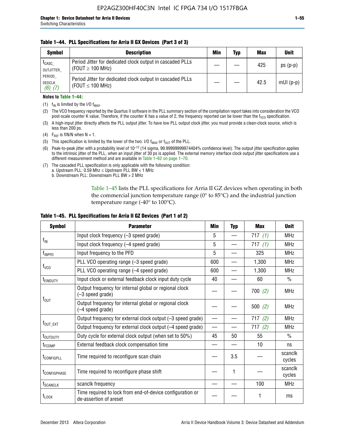### **Table 1–44. PLL Specifications for Arria II GX Devices (Part 3 of 3)**

| <b>Symbol</b>                            | <b>Description</b>                                                                 | Min | Typ | <b>Max</b> | <b>Unit</b> |
|------------------------------------------|------------------------------------------------------------------------------------|-----|-----|------------|-------------|
| t <sub>CASC</sub><br>OUTJITTER           | Period Jitter for dedicated clock output in cascaded PLLs<br>(FOUT $\geq$ 100 MHz) |     |     | 425        | $ps(p-p)$   |
| PERIOD<br><b>DEDCLK</b><br>$(6)$ , $(7)$ | Period Jitter for dedicated clock output in cascaded PLLs<br>(FOUT $\leq$ 100 MHz) |     |     | 42.5       | $mUI(p-p)$  |

### **Notes to Table 1–44:**

- (1)  $f_{IN}$  is limited by the I/O  $f_{MAX}$ .
- (2) The VCO frequency reported by the Quartus II software in the PLL summary section of the compilation report takes into consideration the VCO post-scale counter K value. Therefore, if the counter K has a value of 2, the frequency reported can be lower than the f<sub>VCO</sub> specification.
- (3) A high-input jitter directly affects the PLL output jitter. To have low PLL output clock jitter, you must provide a clean-clock source, which is less than 200 ps.
- (4) F<sub>REF</sub> is fIN/N when N = 1.
- (5) This specification is limited by the lower of the two: I/O  $f_{MAX}$  or  $f_{OUT}$  of the PLL.
- (6) Peak-to-peak jitter with a probability level of 10–12 (14 sigma, 99.99999999974404% confidence level). The output jitter specification applies to the intrinsic jitter of the PLL, when an input jitter of 30 ps is applied. The external memory interface clock output jitter specifications use a different measurement method and are available in Table 1–62 on page 1–70.
- (7) The cascaded PLL specification is only applicable with the following condition: a. Upstream PLL:  $0.59$  Mhz  $\leq$  Upstream PLL BW  $<$  1 MHz
	- b. Downstream PLL: Downstream PLL BW > 2 MHz

Table 1–45 lists the PLL specifications for Arria II GZ devices when operating in both the commercial junction temperature range (0° to 85°C) and the industrial junction temperature range (-40 $\degree$  to 100 $\degree$ C).

| <b>Symbol</b>              | <b>Parameter</b>                                                                    | Min                      | <b>Typ</b> | <b>Max</b> | <b>Unit</b>       |
|----------------------------|-------------------------------------------------------------------------------------|--------------------------|------------|------------|-------------------|
|                            | Input clock frequency (-3 speed grade)                                              | 5                        |            | 717 $(1)$  | <b>MHz</b>        |
| $f_{IN}$                   | Input clock frequency (-4 speed grade)                                              | 5                        |            | 717(1)     | <b>MHz</b>        |
| $f_{\mathsf{INPPD}}$       | Input frequency to the PFD                                                          | 5                        |            | 325        | <b>MHz</b>        |
|                            | PLL VCO operating range (-3 speed grade)                                            | 600                      |            | 1,300      | <b>MHz</b>        |
| $f_{\rm VCO}$              | PLL VCO operating range (-4 speed grade)                                            | 600                      |            | 1,300      | <b>MHz</b>        |
| <b>TEINDUTY</b>            | Input clock or external feedback clock input duty cycle                             | 40                       |            | 60         | $\frac{0}{0}$     |
|                            | Output frequency for internal global or regional clock<br>(-3 speed grade)          |                          |            | 700(2)     | <b>MHz</b>        |
| $f_{\text{OUT}}$           | Output frequency for internal global or regional clock<br>(-4 speed grade)          |                          |            | 500(2)     | <b>MHz</b>        |
|                            | Output frequency for external clock output (-3 speed grade)                         | $\overline{\phantom{0}}$ |            | 717(2)     | <b>MHz</b>        |
| $f_{\text{OUT\_EXT}}$      | Output frequency for external clock output (-4 speed grade)                         | $\overline{\phantom{0}}$ |            | 717(2)     | <b>MHz</b>        |
| t <sub>outduty</sub>       | Duty cycle for external clock output (when set to 50%)                              | 45                       | 50         | 55         | $\frac{0}{0}$     |
| t <sub>FCOMP</sub>         | External feedback clock compensation time                                           |                          |            | 10         | ns                |
| t <sub>configpll</sub>     | Time required to reconfigure scan chain                                             |                          | 3.5        |            | scanclk<br>cycles |
| <b><i>LCONFIGPHASE</i></b> | Time required to reconfigure phase shift                                            |                          | 1          |            | scanclk<br>cycles |
| f <sub>SCANCLK</sub>       | scanclk frequency                                                                   |                          |            | 100        | <b>MHz</b>        |
| t <sub>LOCK</sub>          | Time required to lock from end-of-device configuration or<br>de-assertion of areset |                          |            |            | ms                |

### **Table 1–45. PLL Specifications for Arria II GZ Devices (Part 1 of 2)**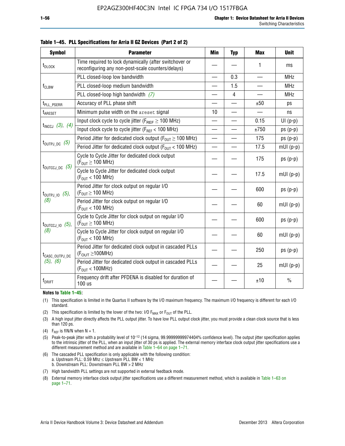| <b>Symbol</b>                | <b>Parameter</b>                                                                                            | Min                      | <b>Typ</b>     | <b>Max</b>               | <b>Unit</b>   |
|------------------------------|-------------------------------------------------------------------------------------------------------------|--------------------------|----------------|--------------------------|---------------|
| t <sub>DLOCK</sub>           | Time required to lock dynamically (after switchover or<br>reconfiguring any non-post-scale counters/delays) |                          |                | 1                        | ms            |
|                              | PLL closed-loop low bandwidth                                                                               |                          | 0.3            | $\overline{\phantom{a}}$ | <b>MHz</b>    |
| f <sub>CLBW</sub>            | PLL closed-loop medium bandwidth                                                                            |                          | 1.5            |                          | <b>MHz</b>    |
|                              | PLL closed-loop high bandwidth $(7)$                                                                        |                          | $\overline{4}$ |                          | <b>MHz</b>    |
| t <sub>PLL_PSERR</sub>       | Accuracy of PLL phase shift                                                                                 | $\overline{\phantom{0}}$ |                | ±50                      | ps            |
| t <sub>ARESET</sub>          | Minimum pulse width on the areset signal                                                                    | 10                       |                |                          | ns            |
|                              | Input clock cycle to cycle jitter ( $F_{REF} \ge 100$ MHz)                                                  |                          |                | 0.15                     | $UI(p-p)$     |
| $t_{INCCJ}$ (3), (4)         | Input clock cycle to cycle jitter (F <sub>REF</sub> < 100 MHz)                                              |                          |                | ±750                     | $ps(p-p)$     |
|                              | Period Jitter for dedicated clock output ( $F_{OUT} \ge 100$ MHz)                                           | $\overline{\phantom{0}}$ |                | 175                      | $ps(p-p)$     |
|                              | $t_{\text{OUTPJ\_DC}}$ (5)<br>Period Jitter for dedicated clock output ( $F_{OIII}$ < 100 MHz)              |                          |                | 17.5                     | $mUI(p-p)$    |
|                              | Cycle to Cycle Jitter for dedicated clock output<br>$(F_{OUT} \ge 100$ MHz)                                 |                          |                | 175                      | $ps(p-p)$     |
| $t_{\text{OUTCCJ\_DC}}$ (5)  | Cycle to Cycle Jitter for dedicated clock output<br>$(F_{OUT} < 100$ MHz)                                   |                          |                | 17.5                     | $mUI(p-p)$    |
| $t_{\text{OUTPJ\_IO}}$ (5),  | Period Jitter for clock output on regular I/O<br>$(F_{OUT} \ge 100$ MHz)                                    |                          |                | 600                      | $ps(p-p)$     |
| (8)                          | Period Jitter for clock output on regular I/O<br>$(F_{OUT}$ < 100 MHz)                                      |                          |                | 60                       | $mUI(p-p)$    |
| $t_{\text{OUTCCJ\_IO}}$ (5), | Cycle to Cycle Jitter for clock output on regular I/O<br>$(F_{OUT} \ge 100$ MHz)                            |                          |                | 600                      | $ps(p-p)$     |
| (8)                          | Cycle to Cycle Jitter for clock output on regular I/O<br>$(F_{OUT}$ < 100 MHz)                              |                          |                | 60                       | $mUI(p-p)$    |
| t <sub>CASC_OUTPJ_DC</sub>   | Period Jitter for dedicated clock output in cascaded PLLs<br>$(F_{\text{OUT}} \ge 100 \text{MHz})$          |                          |                | 250                      | $ps(p-p)$     |
| (5), (6)                     | Period Jitter for dedicated clock output in cascaded PLLs<br>(F <sub>OUT</sub> < 100MHz)                    |                          |                | 25                       | $mUI(p-p)$    |
| $f_{DRIFT}$                  | Frequency drift after PFDENA is disabled for duration of<br>100 us                                          |                          |                | ±10                      | $\frac{0}{0}$ |

**Table 1–45. PLL Specifications for Arria II GZ Devices (Part 2 of 2)**

#### **Notes to Table 1–45:**

- (1) This specification is limited in the Quartus II software by the I/O maximum frequency. The maximum I/O frequency is different for each I/O standard.
- (2) This specification is limited by the lower of the two: I/O  $F_{MAX}$  or  $F_{OUT}$  of the PLL.
- (3) A high input jitter directly affects the PLL output jitter. To have low PLL output clock jitter, you must provide a clean clock source that is less than 120 ps.
- (4) F<sub>REF</sub> is fIN/N when  $N = 1$ .
- (5) Peak-to-peak jitter with a probability level of 10–12 (14 sigma, 99.99999999974404% confidence level). The output jitter specification applies to the intrinsic jitter of the PLL, when an input jitter of 30 ps is applied. The external memory interface clock output jitter specifications use a different measurement method and are available in Table 1–64 on page 1–71.
- (6) The cascaded PLL specification is only applicable with the following condition: a. Upstream PLL: 0.59 Mhz  $\leq$  Upstream PLL BW  $<$  1 MHz b. Downstream PLL: Downstream PLL BW > 2 MHz
- (7) High bandwidth PLL settings are not supported in external feedback mode.
- (8) External memory interface clock output jitter specifications use a different measurement method, which is available in Table 1–63 on page 1–71.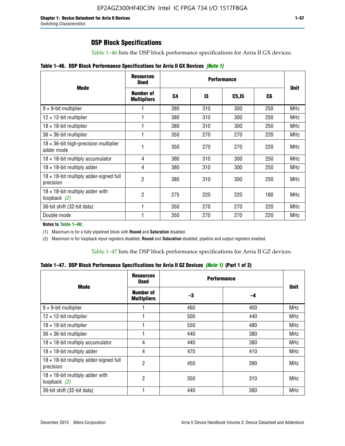# **DSP Block Specifications**

Table 1–46 lists the DSP block performance specifications for Arria II GX devices.

|  |  | Table 1–46. DSP Block Performance Specifications for Arria II GX Devices (Note 1) |  |  |  |  |  |
|--|--|-----------------------------------------------------------------------------------|--|--|--|--|--|
|--|--|-----------------------------------------------------------------------------------|--|--|--|--|--|

|                                                             | <b>Resources</b><br><b>Used</b>        |     |     |        |     |             |
|-------------------------------------------------------------|----------------------------------------|-----|-----|--------|-----|-------------|
| <b>Mode</b>                                                 | <b>Number of</b><br><b>Multipliers</b> | C4  | 13  | C5, I5 | C6  | <b>Unit</b> |
| $9 \times 9$ -bit multiplier                                |                                        | 380 | 310 | 300    | 250 | <b>MHz</b>  |
| $12 \times 12$ -bit multiplier                              |                                        | 380 | 310 | 300    | 250 | <b>MHz</b>  |
| $18 \times 18$ -bit multiplier                              |                                        | 380 | 310 | 300    | 250 | <b>MHz</b>  |
| $36 \times 36$ -bit multiplier                              |                                        | 350 | 270 | 270    | 220 | <b>MHz</b>  |
| $18 \times 36$ -bit high-precision multiplier<br>adder mode |                                        | 350 | 270 | 270    | 220 | <b>MHz</b>  |
| $18 \times 18$ -bit multiply accumulator                    | 4                                      | 380 | 310 | 300    | 250 | <b>MHz</b>  |
| $18 \times 18$ -bit multiply adder                          | 4                                      | 380 | 310 | 300    | 250 | <b>MHz</b>  |
| $18 \times 18$ -bit multiply adder-signed full<br>precision | 2                                      | 380 | 310 | 300    | 250 | <b>MHz</b>  |
| $18 \times 18$ -bit multiply adder with<br>loopback $(2)$   | 2                                      | 275 | 220 | 220    | 180 | <b>MHz</b>  |
| 36-bit shift (32-bit data)                                  |                                        | 350 | 270 | 270    | 220 | <b>MHz</b>  |
| Double mode                                                 |                                        | 350 | 270 | 270    | 220 | <b>MHz</b>  |

**Notes to Table 1–46:**

(1) Maximum is for a fully-pipelined block with **Round** and **Saturation** disabled.

(2) Maximum is for loopback input registers disabled, **Round** and **Saturation** disabled, pipeline and output registers enabled.

Table 1–47 lists the DSP block performance specifications for Arria II GZ devices.

**Table 1–47. DSP Block Performance Specifications for Arria II GZ Devices** *(Note 1)* **(Part 1 of 2)**

| <b>Mode</b>                                                 | <b>Resources</b><br><b>Used</b> | <b>Performance</b> |     | <b>Unit</b> |
|-------------------------------------------------------------|---------------------------------|--------------------|-----|-------------|
|                                                             | Number of<br><b>Multipliers</b> | -3                 | -4  |             |
| $9 \times 9$ -bit multiplier                                |                                 | 460                | 400 | <b>MHz</b>  |
| $12 \times 12$ -bit multiplier                              |                                 | 500                | 440 | <b>MHz</b>  |
| $18 \times 18$ -bit multiplier                              |                                 | 550                | 480 | <b>MHz</b>  |
| $36 \times 36$ -bit multiplier                              |                                 | 440                | 380 | <b>MHz</b>  |
| $18 \times 18$ -bit multiply accumulator                    | 4                               | 440                | 380 | <b>MHz</b>  |
| $18 \times 18$ -bit multiply adder                          | 4                               | 470                | 410 | <b>MHz</b>  |
| $18 \times 18$ -bit multiply adder-signed full<br>precision | $\overline{2}$                  | 450                | 390 | <b>MHz</b>  |
| $18 \times 18$ -bit multiply adder with<br>loopback $(2)$   | $\overline{2}$                  | 350                | 310 | <b>MHz</b>  |
| 36-bit shift (32-bit data)                                  |                                 | 440                | 380 | <b>MHz</b>  |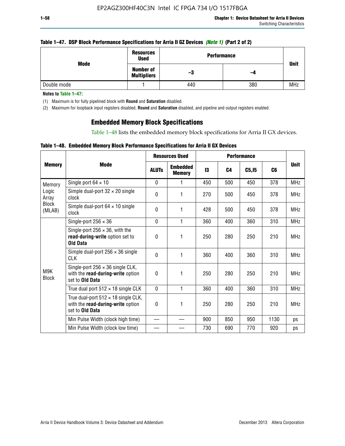### **Table 1–47. DSP Block Performance Specifications for Arria II GZ Devices** *(Note 1)* **(Part 2 of 2)**

| Mode        | <b>Resources</b><br><b>Used</b>        | <b>Performance</b> | <b>Unit</b> |            |
|-------------|----------------------------------------|--------------------|-------------|------------|
|             | <b>Number of</b><br><b>Multipliers</b> | -3                 | -4          |            |
| Double mode |                                        | 440                | 380         | <b>MHz</b> |

**Notes to Table 1–47:**

(1) Maximum is for fully pipelined block with **Round** and **Saturation** disabled.

(2) Maximum for loopback input registers disabled, **Round** and **Saturation** disabled, and pipeline and output registers enabled.

## **Embedded Memory Block Specifications**

Table 1–48 lists the embedded memory block specifications for Arria II GX devices.

### **Table 1–48. Embedded Memory Block Performance Specifications for Arria II GX Devices**

|                        |                                                                                                           | <b>Resources Used</b> |                                  | <b>Performance</b> |                |                   |      |             |
|------------------------|-----------------------------------------------------------------------------------------------------------|-----------------------|----------------------------------|--------------------|----------------|-------------------|------|-------------|
| <b>Memory</b>          | <b>Mode</b>                                                                                               | <b>ALUTS</b>          | <b>Embedded</b><br><b>Memory</b> | 13                 | C <sub>4</sub> | C <sub>5,15</sub> | C6   | <b>Unit</b> |
| Memory                 | Single port $64 \times 10$                                                                                | $\Omega$              | 1                                | 450                | 500            | 450               | 378  | <b>MHz</b>  |
| Logic<br>Array         | Simple dual-port $32 \times 20$ single<br>clock                                                           | 0                     | 1                                | 270                | 500            | 450               | 378  | <b>MHz</b>  |
| <b>Block</b><br>(MLAB) | Simple dual-port $64 \times 10$ single<br>clock                                                           | $\theta$              | 1                                | 428                | 500            | 450               | 378  | <b>MHz</b>  |
|                        | Single-port $256 \times 36$                                                                               | $\mathbf{0}$          | 1                                | 360                | 400            | 360               | 310  | <b>MHz</b>  |
|                        | Single-port $256 \times 36$ , with the<br>read-during-write option set to<br><b>Old Data</b>              | $\theta$              | 1                                | 250                | 280            | 250               | 210  | <b>MHz</b>  |
|                        | Simple dual-port $256 \times 36$ single<br><b>CLK</b>                                                     | $\theta$              | 1                                | 360                | 400            | 360               | 310  | <b>MHz</b>  |
| M9K<br><b>Block</b>    | Single-port $256 \times 36$ single CLK,<br>with the read-during-write option<br>set to Old Data           | $\theta$              | 1                                | 250                | 280            | 250               | 210  | <b>MHz</b>  |
|                        | True dual port $512 \times 18$ single CLK                                                                 | $\mathbf{0}$          | 1                                | 360                | 400            | 360               | 310  | <b>MHz</b>  |
|                        | True dual-port $512 \times 18$ single CLK,<br>with the read-during-write option<br>set to <b>Old Data</b> | 0                     | 1                                | 250                | 280            | 250               | 210  | <b>MHz</b>  |
|                        | Min Pulse Width (clock high time)                                                                         |                       |                                  | 900                | 850            | 950               | 1130 | ps          |
|                        | Min Pulse Width (clock low time)                                                                          |                       |                                  | 730                | 690            | 770               | 920  | ps          |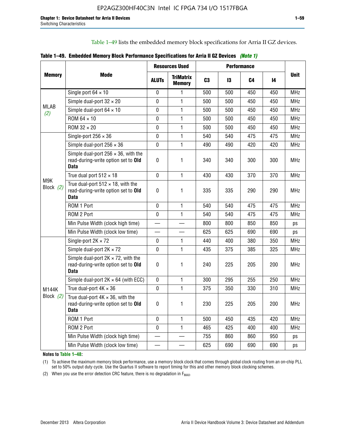Table 1–49 lists the embedded memory block specifications for Arria II GZ devices.

|  |  | Table 1–49. Embedded Memory Block Performance Specifications for Arria II GZ Devices (Note 1) |  |  |
|--|--|-----------------------------------------------------------------------------------------------|--|--|
|--|--|-----------------------------------------------------------------------------------------------|--|--|

|                           |                                                                                                   | <b>Resources Used</b> |                                   | <b>Performance</b> |     |     |     |             |
|---------------------------|---------------------------------------------------------------------------------------------------|-----------------------|-----------------------------------|--------------------|-----|-----|-----|-------------|
| <b>Memory</b>             | Mode                                                                                              | <b>ALUTS</b>          | <b>TriMatrix</b><br><b>Memory</b> | C <sub>3</sub>     | 13  | C4  | 14  | <b>Unit</b> |
|                           | Single port $64 \times 10$                                                                        | $\mathbf 0$           | 1                                 | 500                | 500 | 450 | 450 | <b>MHz</b>  |
|                           | Simple dual-port $32 \times 20$                                                                   | $\mathbf 0$           | $\mathbf{1}$                      | 500                | 500 | 450 | 450 | <b>MHz</b>  |
|                           | Simple dual-port $64 \times 10$                                                                   | 0                     | 1                                 | 500                | 500 | 450 | 450 | <b>MHz</b>  |
|                           | ROM 64 × 10                                                                                       | 0                     | 1                                 | 500                | 500 | 450 | 450 | <b>MHz</b>  |
|                           | ROM $32 \times 20$                                                                                | 0                     | $\mathbf{1}$                      | 500                | 500 | 450 | 450 | <b>MHz</b>  |
|                           | Single-port $256 \times 36$                                                                       | $\mathbf 0$           | $\mathbf{1}$                      | 540                | 540 | 475 | 475 | <b>MHz</b>  |
|                           | Simple dual-port $256 \times 36$                                                                  | $\mathbf 0$           | $\mathbf{1}$                      | 490                | 490 | 420 | 420 | <b>MHz</b>  |
|                           | Simple dual-port $256 \times 36$ , with the<br>read-during-write option set to Old<br><b>Data</b> | $\pmb{0}$             | 1                                 | 340                | 340 | 300 | 300 | <b>MHz</b>  |
|                           | True dual port $512 \times 18$                                                                    | $\mathbf 0$           | 1                                 | 430                | 430 | 370 | 370 | <b>MHz</b>  |
| Block $(2)$               | True dual-port $512 \times 18$ , with the<br>read-during-write option set to Old<br>Data          | $\mathbf 0$           | 1                                 | 335                | 335 | 290 | 290 | <b>MHz</b>  |
|                           | ROM 1 Port                                                                                        | $\mathbf 0$           | 1                                 | 540                | 540 | 475 | 475 | <b>MHz</b>  |
|                           | ROM 2 Port                                                                                        | $\mathbf 0$           | 1                                 | 540                | 540 | 475 | 475 | <b>MHz</b>  |
|                           | Min Pulse Width (clock high time)                                                                 |                       |                                   | 800                | 800 | 850 | 850 | ps          |
|                           | Min Pulse Width (clock low time)                                                                  |                       |                                   | 625                | 625 | 690 | 690 | ps          |
|                           | Single-port $2K \times 72$                                                                        | 0                     | 1                                 | 440                | 400 | 380 | 350 | <b>MHz</b>  |
|                           | Simple dual-port $2K \times 72$                                                                   | 0                     | $\mathbf{1}$                      | 435                | 375 | 385 | 325 | <b>MHz</b>  |
|                           | Simple dual-port $2K \times 72$ , with the<br>read-during-write option set to Old<br><b>Data</b>  | 0                     | 1.                                | 240                | 225 | 205 | 200 | <b>MHz</b>  |
|                           | Simple dual-port $2K \times 64$ (with ECC)                                                        | $\mathbf 0$           | 1                                 | 300                | 295 | 255 | 250 | <b>MHz</b>  |
| <b>M144K</b>              | True dual-port $4K \times 36$                                                                     | $\mathbf{0}$          | 1                                 | 375                | 350 | 330 | 310 | <b>MHz</b>  |
| Block $(2)$               | True dual-port $4K \times 36$ , with the<br>read-during-write option set to Old<br><b>Data</b>    | 0                     | 1.                                | 230                | 225 | 205 | 200 | <b>MHz</b>  |
|                           | ROM 1 Port                                                                                        | $\mathbf 0$           | 1                                 | 500                | 450 | 435 | 420 | <b>MHz</b>  |
|                           | ROM 2 Port                                                                                        | 0                     | $\mathbf{1}$                      | 465                | 425 | 400 | 400 | <b>MHz</b>  |
| <b>MLAB</b><br>(2)<br>M9K | Min Pulse Width (clock high time)                                                                 |                       |                                   | 755                | 860 | 860 | 950 | ps          |
|                           | Min Pulse Width (clock low time)                                                                  |                       |                                   | 625                | 690 | 690 | 690 | ps          |

**Notes to Table 1–48:**

(1) To achieve the maximum memory block performance, use a memory block clock that comes through global clock routing from an on-chip PLL set to 50% output duty cycle. Use the Quartus II software to report timing for this and other memory block clocking schemes.

(2) When you use the error detection CRC feature, there is no degradation in  $F_{MAX}$ .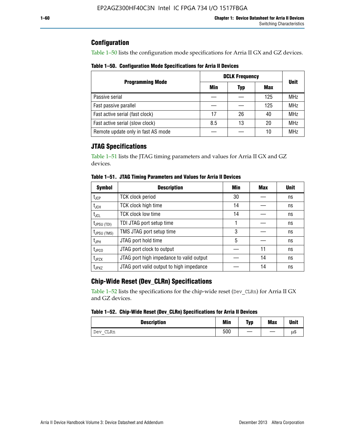## **Configuration**

Table 1–50 lists the configuration mode specifications for Arria II GX and GZ devices.

**Table 1–50. Configuration Mode Specifications for Arria II Devices**

|                                    |     | <b>DCLK Frequency</b> |     |             |
|------------------------------------|-----|-----------------------|-----|-------------|
| <b>Programming Mode</b>            | Min | Typ                   | Max | <b>Unit</b> |
| Passive serial                     |     |                       | 125 | <b>MHz</b>  |
| Fast passive parallel              |     |                       | 125 | <b>MHz</b>  |
| Fast active serial (fast clock)    | 17  | 26                    | 40  | <b>MHz</b>  |
| Fast active serial (slow clock)    | 8.5 | 13                    | 20  | <b>MHz</b>  |
| Remote update only in fast AS mode |     |                       | 10  | <b>MHz</b>  |

# **JTAG Specifications**

Table 1–51 lists the JTAG timing parameters and values for Arria II GX and GZ devices.

| <b>Symbol</b>     | <b>Description</b>                       | Min | Max | <b>Unit</b> |
|-------------------|------------------------------------------|-----|-----|-------------|
| $t_{JCP}$         | <b>TCK clock period</b>                  | 30  |     | ns          |
| $t_{JCH}$         | TCK clock high time                      | 14  |     | ns          |
| $t_{\text{JCL}}$  | <b>TCK clock low time</b>                | 14  |     | ns          |
| $t_{JPSU(TDI)}$   | TDI JTAG port setup time                 |     |     | ns          |
| $t_{JPSU\,(TMS)}$ | TMS JTAG port setup time                 | 3   |     | ns          |
| $t_{\sf JPH}$     | JTAG port hold time                      | 5   |     | ns          |
| $t_{\text{JPCO}}$ | JTAG port clock to output                |     | 11  | ns          |
| t <sub>JPZX</sub> | JTAG port high impedance to valid output |     | 14  | ns          |
| t <sub>JPXZ</sub> | JTAG port valid output to high impedance |     | 14  | ns          |

**Table 1–51. JTAG Timing Parameters and Values for Arria II Devices**

# **Chip-Wide Reset (Dev\_CLRn) Specifications**

Table 1–52 lists the specifications for the chip-wide reset (Dev\_CLRn) for Arria II GX and GZ devices.

### **Table 1–52. Chip-Wide Reset (Dev\_CLRn) Specifications for Arria II Devices**

| <b>Description</b> | <b>Min</b> | Typ | <b>Max</b> | <b>Unit</b> |
|--------------------|------------|-----|------------|-------------|
| CLRn<br>Dev        | 500        | __  |            | μS          |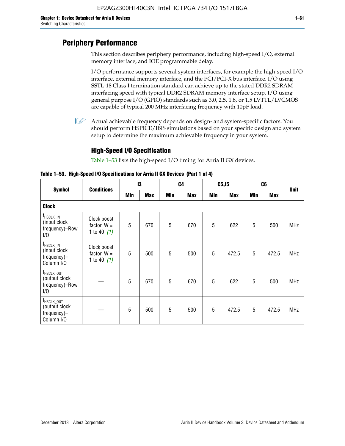# **Periphery Performance**

This section describes periphery performance, including high-speed I/O, external memory interface, and IOE programmable delay.

I/O performance supports several system interfaces, for example the high-speed I/O interface, external memory interface, and the PCI/PCI-X bus interface. I/O using SSTL-18 Class I termination standard can achieve up to the stated DDR2 SDRAM interfacing speed with typical DDR2 SDRAM memory interface setup. I/O using general purpose I/O (GPIO) standards such as 3.0, 2.5, 1.8, or 1.5 LVTTL/LVCMOS are capable of typical 200 MHz interfacing frequency with 10pF load.

 $\mathbb{I}$  Actual achievable frequency depends on design- and system-specific factors. You should perform HSPICE/IBIS simulations based on your specific design and system setup to determine the maximum achievable frequency in your system.

## **High-Speed I/O Specification**

Table 1–53 lists the high-speed I/O timing for Arria II GX devices.

**Table 1–53. High-Speed I/O Specifications for Arria II GX Devices (Part 1 of 4)**

|                                                                      |                                               |     | 13         |            | C <sub>4</sub> | C5, I5     |            |            | C6         |             |
|----------------------------------------------------------------------|-----------------------------------------------|-----|------------|------------|----------------|------------|------------|------------|------------|-------------|
| <b>Symbol</b>                                                        | <b>Conditions</b>                             | Min | <b>Max</b> | <b>Min</b> | <b>Max</b>     | <b>Min</b> | <b>Max</b> | <b>Min</b> | <b>Max</b> | <b>Unit</b> |
| <b>Clock</b>                                                         |                                               |     |            |            |                |            |            |            |            |             |
| $f_{HSCLK\_IN}$<br>(input clock<br>frequency)-Row<br>1/0             | Clock boost<br>factor, $W =$<br>1 to 40 $(1)$ | 5   | 670        | 5          | 670            | 5          | 622        | 5          | 500        | <b>MHz</b>  |
| $f_{HSCLK\_IN}$<br>(input clock<br>frequency)-<br>Column I/O         | Clock boost<br>factor, $W =$<br>1 to 40 $(1)$ | 5   | 500        | 5          | 500            | 5          | 472.5      | 5          | 472.5      | <b>MHz</b>  |
| T <sub>HSCLK_OUT</sub><br>(output clock<br>frequency)-Row<br>1/0     |                                               | 5   | 670        | 5          | 670            | 5          | 622        | 5          | 500        | <b>MHz</b>  |
| f <sub>HSCLK_OUT</sub><br>(output clock<br>frequency)-<br>Column I/O |                                               | 5   | 500        | 5          | 500            | 5          | 472.5      | 5          | 472.5      | <b>MHz</b>  |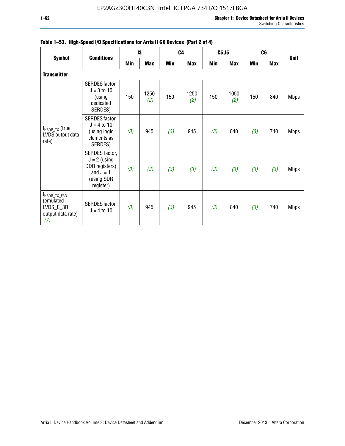|                                                                                |                                                                                              |     | 13          |     | C <sub>4</sub> | C5, I5 |             |            | C <sub>6</sub> |             |
|--------------------------------------------------------------------------------|----------------------------------------------------------------------------------------------|-----|-------------|-----|----------------|--------|-------------|------------|----------------|-------------|
| <b>Symbol</b>                                                                  | <b>Conditions</b>                                                                            | Min | <b>Max</b>  | Min | <b>Max</b>     | Min    | <b>Max</b>  | <b>Min</b> | <b>Max</b>     | <b>Unit</b> |
| <b>Transmitter</b>                                                             |                                                                                              |     |             |     |                |        |             |            |                |             |
|                                                                                | SERDES factor,<br>$J = 3$ to 10<br>(using<br>dedicated<br>SERDES)                            | 150 | 1250<br>(2) | 150 | 1250<br>(2)    | 150    | 1050<br>(2) | 150        | 840            | <b>Mbps</b> |
| $f_{HSDR_TX}$ (true<br>LVDS output data<br>rate)                               | SERDES factor,<br>$J = 4$ to 10<br>(using logic<br>elements as<br>SERDES)                    | (3) | 945         | (3) | 945            | (3)    | 840         | (3)        | 740            | <b>Mbps</b> |
|                                                                                | SERDES factor,<br>$J = 2$ (using<br>DDR registers)<br>and $J = 1$<br>(using SDR<br>register) | (3) | (3)         | (3) | (3)            | (3)    | (3)         | (3)        | (3)            | <b>Mbps</b> |
| f <sub>HSDR_TX_E3R</sub><br>(emulated<br>LVDS_E_3R<br>output data rate)<br>(7) | SERDES factor,<br>$J = 4$ to 10                                                              | (3) | 945         | (3) | 945            | (3)    | 840         | (3)        | 740            | <b>Mbps</b> |

|  |  | Table 1–53. High-Speed I/O Specifications for Arria II GX Devices (Part 2 of 4) |  |
|--|--|---------------------------------------------------------------------------------|--|
|--|--|---------------------------------------------------------------------------------|--|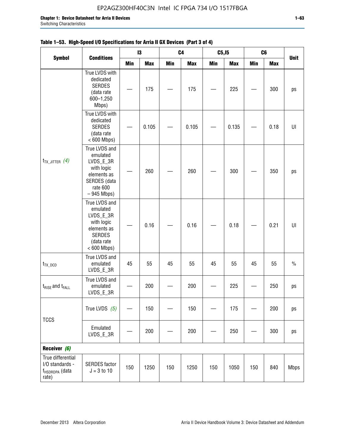$t_{TX\_JITTER}$   $(4)$ 

 $t_{TX\,DCD}$ 

 $t_{\text{RISE}}$  and  $t_{\text{FALL}}$ 

|                       |                                                                                                                     |     | $\mathbf{I}3$ |     | C <sub>4</sub> | C5, I5 |            |            | C <sub>6</sub> |               |
|-----------------------|---------------------------------------------------------------------------------------------------------------------|-----|---------------|-----|----------------|--------|------------|------------|----------------|---------------|
| <b>Symbol</b>         | <b>Conditions</b>                                                                                                   | Min | <b>Max</b>    | Min | <b>Max</b>     | Min    | <b>Max</b> | <b>Min</b> | <b>Max</b>     | <b>Unit</b>   |
|                       | True LVDS with<br>dedicated<br><b>SERDES</b><br>(data rate<br>600-1,250<br>Mbps)                                    |     | 175           |     | 175            |        | 225        |            | 300            | ps            |
|                       | True LVDS with<br>dedicated<br><b>SERDES</b><br>(data rate<br>$< 600$ Mbps)                                         |     | 0.105         |     | 0.105          |        | 0.135      |            | 0.18           | U             |
| Itter $(4)$           | True LVDS and<br>emulated<br>LVDS_E_3R<br>with logic<br>elements as<br>SERDES (data<br>rate 600<br>$-945$ Mbps)     |     | 260           |     | 260            |        | 300        |            | 350            | ps            |
|                       | True LVDS and<br>emulated<br>LVDS_E_3R<br>with logic<br>elements as<br><b>SERDES</b><br>(data rate<br>$< 600$ Mbps) |     | 0.16          |     | 0.16           |        | 0.18       |            | 0.21           | UI            |
| CD                    | True LVDS and<br>emulated<br>LVDS_E_3R                                                                              | 45  | 55            | 45  | 55             | 45     | 55         | 45         | 55             | $\frac{0}{0}$ |
| and t <sub>FALL</sub> | True LVDS and<br>emulated<br>LVDS E 3R                                                                              |     | 200           |     | 200            |        | 225        |            | 250            | ps            |

### Table 1-53. High-Speed I/O S

| <b>TCCS</b>                                                                 | True LVDS<br>(5)                      |     | 150  |     | 150  |     | 175  |     | 200 | ps          |
|-----------------------------------------------------------------------------|---------------------------------------|-----|------|-----|------|-----|------|-----|-----|-------------|
|                                                                             | Emulated<br>LVDS_E_3R                 |     | 200  |     | 200  |     | 250  |     | 300 | ps          |
| Receiver (6)                                                                |                                       |     |      |     |      |     |      |     |     |             |
| True differential<br>I/O standards -<br>f <sub>HSDRDPA</sub> (data<br>rate) | <b>SERDES</b> factor<br>$J = 3 to 10$ | 150 | 1250 | 150 | 1250 | 150 | 1050 | 150 | 840 | <b>Mbps</b> |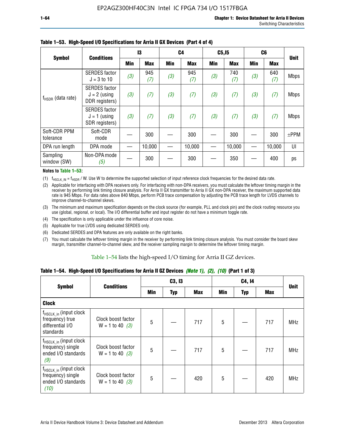|                           |                                                          |     | 13         |     | C <sub>4</sub> | C5, I5     |            |            | C <sub>6</sub> |             |
|---------------------------|----------------------------------------------------------|-----|------------|-----|----------------|------------|------------|------------|----------------|-------------|
| <b>Symbol</b>             | <b>Conditions</b>                                        | Min | <b>Max</b> | Min | <b>Max</b>     | <b>Min</b> | <b>Max</b> | <b>Min</b> | <b>Max</b>     | <b>Unit</b> |
|                           | <b>SERDES</b> factor<br>$J = 3$ to 10                    | (3) | 945<br>(7) | (3) | 945<br>(7)     | (3)        | 740<br>(7) | (3)        | 640<br>(7)     | <b>Mbps</b> |
| $f_{HSDR}$ (data rate)    | <b>SERDES</b> factor<br>$J = 2$ (using<br>DDR registers) | (3) | (7)        | (3) | (7)            | (3)        | (7)        | (3)        | (7)            | <b>Mbps</b> |
|                           | <b>SERDES</b> factor<br>$J = 1$ (using<br>SDR registers) | (3) | (7)        | (3) | (7)            | (3)        | (7)        | (3)        | (7)            | <b>Mbps</b> |
| Soft-CDR PPM<br>tolerance | Soft-CDR<br>mode                                         |     | 300        |     | 300            |            | 300        |            | 300            | $±$ PPM     |
| DPA run length            | DPA mode                                                 |     | 10,000     |     | 10,000         |            | 10,000     |            | 10,000         | UI          |
| Sampling<br>window (SW)   | Non-DPA mode<br>(5)                                      |     | 300        |     | 300            |            | 350        |            | 400            | ps          |

### **Table 1–53. High-Speed I/O Specifications for Arria II GX Devices (Part 4 of 4)**

#### **Notes to Table 1–53:**

(1)  $f_{HSCLK\_IN} = f_{HSDR}$  / W. Use W to determine the supported selection of input reference clock frequencies for the desired data rate.

(2) Applicable for interfacing with DPA receivers only. For interfacing with non-DPA receivers, you must calculate the leftover timing margin in the receiver by performing link timing closure analysis. For Arria II GX transmitter to Arria II GX non-DPA receiver, the maximum supported data rate is 945 Mbps. For data rates above 840 Mbps, perform PCB trace compensation by adjusting the PCB trace length for LVDS channels to improve channel-to-channel skews.

- (3) The minimum and maximum specification depends on the clock source (for example, PLL and clock pin) and the clock routing resource you use (global, regional, or local). The I/O differential buffer and input register do not have a minimum toggle rate.
- (4) The specification is only applicable under the influence of core noise.
- (5) Applicable for true LVDS using dedicated SERDES only.
- (6) Dedicated SERDES and DPA features are only available on the right banks.
- (7) You must calculate the leftover timing margin in the receiver by performing link timing closure analysis. You must consider the board skew margin, transmitter channel-to-channel skew, and the receiver sampling margin to determine the leftover timing margin.

### Table 1–54 lists the high-speed I/O timing for Arria II GZ devices.

### **Table 1–54. High-Speed I/O Specifications for Arria II GZ Devices** *(Note 1), (2), (10)* **(Part 1 of 3)**

|                                                                                        | <b>Conditions</b>                       |     | C3, I3     |            |                 | C4, 14     |     |             |
|----------------------------------------------------------------------------------------|-----------------------------------------|-----|------------|------------|-----------------|------------|-----|-------------|
| <b>Symbol</b>                                                                          |                                         | Min | <b>Typ</b> | <b>Max</b> | Min             | <b>Typ</b> | Max | <b>Unit</b> |
| <b>Clock</b>                                                                           |                                         |     |            |            |                 |            |     |             |
| $f_{HSCLK_in}$ (input clock<br>frequency) true<br>differential I/O<br>standards        | Clock boost factor<br>$W = 1$ to 40 (3) | 5   |            | 717        | 5               |            | 717 | <b>MHz</b>  |
| f <sub>HSCLK_in</sub> (input clock<br>frequency) single<br>ended I/O standards<br>(9)  | Clock boost factor<br>$W = 1$ to 40 (3) | 5   |            | 717        | $5\phantom{.0}$ |            | 717 | <b>MHz</b>  |
| f <sub>HSCLK_in</sub> (input clock<br>frequency) single<br>ended I/O standards<br>(10) | Clock boost factor<br>$W = 1$ to 40 (3) | 5   |            | 420        | 5               |            | 420 | <b>MHz</b>  |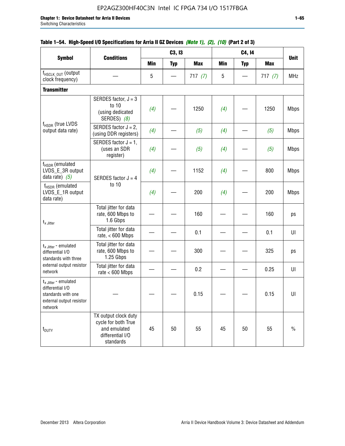|                                                                                                                    |                                                                                              |            | C3, I3                   |            |            | C4, 14     |            |             |
|--------------------------------------------------------------------------------------------------------------------|----------------------------------------------------------------------------------------------|------------|--------------------------|------------|------------|------------|------------|-------------|
| <b>Symbol</b>                                                                                                      | <b>Conditions</b>                                                                            | <b>Min</b> | <b>Typ</b>               | <b>Max</b> | <b>Min</b> | <b>Typ</b> | <b>Max</b> | <b>Unit</b> |
| f <sub>HSCLK_OUT</sub> (output<br>clock frequency)                                                                 |                                                                                              | 5          | $\overline{\phantom{0}}$ | 717(7)     | 5          |            | 717(7)     | <b>MHz</b>  |
| <b>Transmitter</b>                                                                                                 |                                                                                              |            |                          |            |            |            |            |             |
|                                                                                                                    | SERDES factor, $J = 3$<br>to 10<br>(using dedicated<br>SERDES) (8)                           | (4)        |                          | 1250       | (4)        |            | 1250       | <b>Mbps</b> |
| f <sub>HSDR</sub> (true LVDS<br>output data rate)                                                                  | SERDES factor $J = 2$ ,<br>(using DDR registers)                                             | (4)        |                          | (5)        | (4)        |            | (5)        | <b>Mbps</b> |
|                                                                                                                    | SERDES factor $J = 1$ ,<br>(uses an SDR<br>register)                                         | (4)        |                          | (5)        | (4)        |            | (5)        | <b>Mbps</b> |
| $f_{HSDR}$ (emulated<br>LVDS_E_3R output<br>data rate) $(5)$                                                       | SERDES factor $J = 4$                                                                        | (4)        |                          | 1152       | (4)        |            | 800        | <b>Mbps</b> |
| $f_{HSDR}$ (emulated<br>LVDS_E_1R output<br>data rate)                                                             | to 10                                                                                        | (4)        |                          | 200        | (4)        |            | 200        | <b>Mbps</b> |
| $t_{x}$ Jitter                                                                                                     | Total jitter for data<br>rate, 600 Mbps to<br>1.6 Gbps                                       |            |                          | 160        |            |            | 160        | ps          |
|                                                                                                                    | Total jitter for data<br>rate, $< 600$ Mbps                                                  |            |                          | 0.1        |            |            | 0.1        | UI          |
| $t_x$ Jitter - emulated<br>differential I/O<br>standards with three                                                | Total jitter for data<br>rate, 600 Mbps to<br>1.25 Gbps                                      |            |                          | 300        |            |            | 325        | ps          |
| external output resistor<br>network                                                                                | Total jitter for data<br>rate $< 600$ Mbps                                                   |            |                          | 0.2        |            |            | 0.25       | UI          |
| $t_{x \text{ Jitter}}$ - emulated<br>differential I/O<br>standards with one<br>external output resistor<br>network |                                                                                              |            |                          | 0.15       |            |            | 0.15       | UI          |
| t <sub>DUTY</sub>                                                                                                  | TX output clock duty<br>cycle for both True<br>and emulated<br>differential I/O<br>standards | 45         | 50                       | 55         | 45         | 50         | 55         | $\%$        |

## **Table 1–54. High-Speed I/O Specifications for Arria II GZ Devices** *(Note 1), (2), (10)* **(Part 2 of 3)**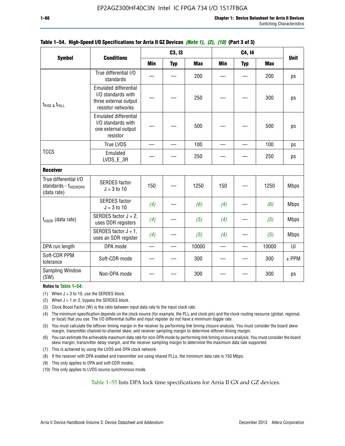|                                                                          |                                                                                                  |                          | C3, I3     |            |            | C4, 14     |            |             |
|--------------------------------------------------------------------------|--------------------------------------------------------------------------------------------------|--------------------------|------------|------------|------------|------------|------------|-------------|
| <b>Symbol</b>                                                            | <b>Conditions</b>                                                                                | <b>Min</b>               | <b>Typ</b> | <b>Max</b> | <b>Min</b> | <b>Typ</b> | <b>Max</b> | <b>Unit</b> |
|                                                                          | True differential I/O<br>standards                                                               |                          |            | 200        |            |            | 200        | ps          |
| $t_{\text{RISE 8}}t_{\text{FALL}}$                                       | <b>Emulated differential</b><br>I/O standards with<br>three external output<br>resistor networks |                          |            | 250        |            |            | 300        | ps          |
|                                                                          | <b>Emulated differential</b><br>I/O standards with<br>one external output<br>resistor            |                          |            | 500        |            |            | 500        | ps          |
|                                                                          | True LVDS                                                                                        |                          |            | 100        |            |            | 100        | ps          |
| <b>TCCS</b>                                                              | Emulated<br>LVDS_E_3R                                                                            |                          |            | 250        |            |            | 250        | ps          |
| <b>Receiver</b>                                                          |                                                                                                  |                          |            |            |            |            |            |             |
| True differential I/O<br>standards - f <sub>HSDRDPA</sub><br>(data rate) | <b>SERDES</b> factor<br>$J = 3$ to 10                                                            | 150                      |            | 1250       | 150        |            | 1250       | <b>Mbps</b> |
|                                                                          | <b>SERDES</b> factor<br>$J = 3$ to 10                                                            | (4)                      |            | (6)        | (4)        |            | (6)        | <b>Mbps</b> |
| $f_{HSDR}$ (data rate)                                                   | SERDES factor $J = 2$ ,<br>uses DDR registers                                                    | (4)                      |            | (5)        | (4)        |            | (5)        | <b>Mbps</b> |
|                                                                          | SERDES factor $J = 1$ ,<br>uses an SDR register                                                  | (4)                      |            | (5)        | (4)        |            | (5)        | <b>Mbps</b> |
| DPA run length                                                           | DPA mode                                                                                         | $\overline{\phantom{0}}$ |            | 10000      |            |            | 10000      | UI          |
| Soft-CDR PPM<br>tolerance                                                | Soft-CDR mode                                                                                    |                          |            | 300        |            |            | 300        | $±$ PPM     |
| Sampling Window<br>(SW)                                                  | Non-DPA mode                                                                                     |                          |            | 300        |            |            | 300        | ps          |

### **Table 1–54. High-Speed I/O Specifications for Arria II GZ Devices** *(Note 1), (2), (10)* **(Part 3 of 3)**

### **Notes to Table 1–54:**

(1) When  $J = 3$  to 10, use the SERDES block.

- (2) When  $J = 1$  or 2, bypass the SERDES block.
- (3) Clock Boost Factor (W) is the ratio between input data rate to the input clock rate.
- (4) The minimum specification depends on the clock source (for example, the PLL and clock pin) and the clock routing resource (global, regional, or local) that you use. The I/O differential buffer and input register do not have a minimum toggle rate.
- (5) You must calculate the leftover timing margin in the receiver by performing link timing closure analysis. You must consider the board skew margin, transmitter channel-to-channel skew, and receiver sampling margin to determine leftover timing margin.
- (6) You can estimate the achievable maximum data rate for non-DPA mode by performing link timing closure analysis. You must consider the board skew margin, transmitter delay margin, and the receiver sampling margin to determine the maximum data rate supported.
- (7) This is achieved by using the LVDS and DPA clock network.
- (8) If the receiver with DPA enabled and transmitter are using shared PLLs, the minimum data rate is 150 Mbps.
- (9) This only applies to DPA and soft-CDR modes.
- (10) This only applies to LVDS source synchronous mode.

Table 1–55 lists DPA lock time specifications for Arria II GX and GZ devices.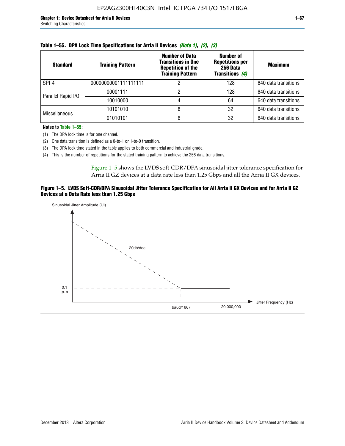| Table 1–55. DPA Lock Time Specifications for Arria II Devices <i>(Note 1), (2), (3)</i> |                         |                                                                                                           |                                                                                  |                      |  |  |  |
|-----------------------------------------------------------------------------------------|-------------------------|-----------------------------------------------------------------------------------------------------------|----------------------------------------------------------------------------------|----------------------|--|--|--|
| <b>Standard</b>                                                                         | <b>Training Pattern</b> | <b>Number of Data</b><br><b>Transitions in One</b><br><b>Repetition of the</b><br><b>Training Pattern</b> | <b>Number of</b><br><b>Repetitions per</b><br>256 Data<br><b>Transitions (4)</b> | <b>Maximum</b>       |  |  |  |
| SPI-4                                                                                   | 00000000001111111111    |                                                                                                           | 128                                                                              | 640 data transitions |  |  |  |
| Parallel Rapid I/O                                                                      | 00001111                |                                                                                                           | 128                                                                              | 640 data transitions |  |  |  |
|                                                                                         |                         |                                                                                                           |                                                                                  |                      |  |  |  |

|  | Table 1–55.  DPA Lock Time Specifications for Arria II Devices <i>(Note 1), (2), (3)</i> |  |  |
|--|------------------------------------------------------------------------------------------|--|--|
|  |                                                                                          |  |  |

**Notes to Table 1–55:**

Miscellaneous

(1) The DPA lock time is for one channel.

(2) One data transition is defined as a 0-to-1 or 1-to-0 transition.

(3) The DPA lock time stated in the table applies to both commercial and industrial grade.

(4) This is the number of repetitions for the stated training pattern to achieve the 256 data transitions.

Figure 1–5 shows the LVDS soft-CDR/DPA sinusoidal jitter tolerance specification for Arria II GZ devices at a data rate less than 1.25 Gbps and all the Arria II GX devices.

10010000 4 and 64 640 data transitions

10101010 8 8 32 640 data transitions 01010101 8 32 640 data transitions

### **Figure 1–5. LVDS Soft-CDR/DPA Sinusoidal Jitter Tolerance Specification for All Arria II GX Devices and for Arria II GZ Devices at a Data Rate less than 1.25 Gbps**

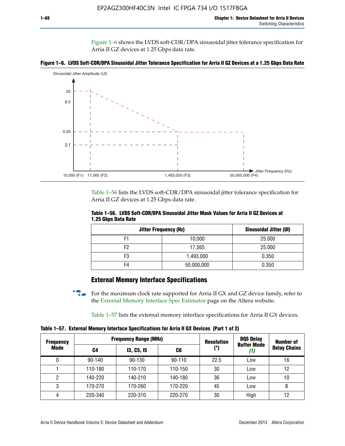Figure 1–6 shows the LVDS soft-CDR/DPA sinusoidal jitter tolerance specification for Arria II GZ devices at 1.25 Gbps data rate.





Table 1–56 lists the LVDS soft-CDR/DPA sinusoidal jitter tolerance specification for Arria II GZ devices at 1.25 Gbps data rate.

|                     |  | Table 1–56. LVDS Soft-CDR/DPA Sinusoidal Jitter Mask Values for Arria II GZ Devices at |
|---------------------|--|----------------------------------------------------------------------------------------|
| 1.25 Gbps Data Rate |  |                                                                                        |

| <b>Jitter Frequency (Hz)</b> | Sinusoidal Jitter (UI) |        |
|------------------------------|------------------------|--------|
| F1                           | 10,000                 | 25.000 |
| F2                           | 17,565                 | 25.000 |
| F3                           | 1,493,000              | 0.350  |
| F4                           | 50,000,000             | 0.350  |

## **External Memory Interface Specifications**

For the maximum clock rate supported for Arria II GX and GZ device family, refer to the [External Memory Interface Spec Estimator](http://www.altera.com/technology/memory/estimator/mem-emif-index.html) page on the Altera website.

Table 1–57 lists the external memory interface specifications for Arria II GX devices.

**Table 1–57. External Memory Interface Specifications for Arria II GX Devices (Part 1 of 2)**

| <b>Frequency</b> | <b>Frequency Range (MHz)</b> |                   |            | <b>Resolution</b> | <b>DQS Delay</b>          | Number of           |
|------------------|------------------------------|-------------------|------------|-------------------|---------------------------|---------------------|
| Mode             | C4                           | <b>13, C5, 15</b> | (°)<br>C6  |                   | <b>Buffer Mode</b><br>(1) | <b>Delay Chains</b> |
| 0                | $90 - 140$                   | 90-130            | $90 - 110$ | 22.5              | Low                       | 16                  |
|                  | 110-180                      | 110-170           | 110-150    | 30                | Low                       | 12                  |
| 2                | 140-220                      | 140-210           | 140-180    | 36                | Low                       | 10                  |
| 3                | 170-270                      | 170-260           | 170-220    | 45                | Low                       | 8                   |
| 4                | 220-340                      | 220-310           | 220-270    | 30                | High                      | 12                  |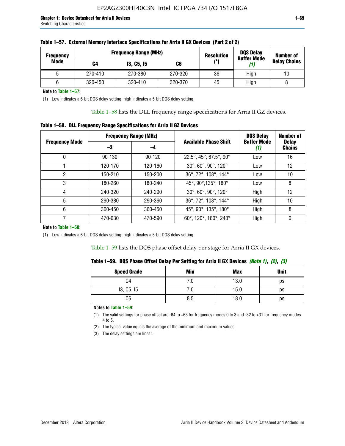| <b>Frequency</b> |         | <b>Frequency Range (MHz)</b> | <b>Resolution</b> | <b>DQS Delay</b><br><b>Buffer Mode</b> | <b>Number of</b> |                     |  |
|------------------|---------|------------------------------|-------------------|----------------------------------------|------------------|---------------------|--|
| Mode             | C4      | <b>13, C5, 15</b>            | C6                | (°)                                    | (1)              | <b>Delay Chains</b> |  |
|                  | 270-410 | 270-380                      | 270-320           | 36                                     | High             | 10                  |  |
|                  | 320-450 | 320-410                      | 320-370           | 45                                     | High             |                     |  |

**Note to Table 1–57:**

(1) Low indicates a 6-bit DQS delay setting; high indicates a 5-bit DQS delay setting.

Table 1–58 lists the DLL frequency range specifications for Arria II GZ devices.

### **Table 1–58. DLL Frequency Range Specifications for Arria II GZ Devices**

|                       | <b>Frequency Range (MHz)</b> |            |                              | <b>DOS Delay</b>          | <b>Number of</b>              |
|-----------------------|------------------------------|------------|------------------------------|---------------------------|-------------------------------|
| <b>Frequency Mode</b> | -3                           | -4         | <b>Available Phase Shift</b> | <b>Buffer Mode</b><br>(1) | <b>Delay</b><br><b>Chains</b> |
| 0                     | $90 - 130$                   | $90 - 120$ | 22.5°, 45°, 67.5°, 90°       | Low                       | 16                            |
|                       | 120-170                      | 120-160    | 30°, 60°, 90°, 120°          | Low                       | 12                            |
| 2                     | 150-210                      | 150-200    | 36°, 72°, 108°, 144°         | Low                       | 10                            |
| 3                     | 180-260                      | 180-240    | 45°, 90°, 135°, 180°         | Low                       | 8                             |
| 4                     | 240-320                      | 240-290    | 30°, 60°, 90°, 120°          | High                      | 12                            |
| 5                     | 290-380                      | 290-360    | 36°, 72°, 108°, 144°         | High                      | 10                            |
| 6                     | 360-450                      | 360-450    | 45°, 90°, 135°, 180°         | High                      | 8                             |
|                       | 470-630                      | 470-590    | 60°, 120°, 180°, 240°        | High                      | 6                             |

#### **Note to Table 1–58:**

(1) Low indicates a 6-bit DQS delay setting; high indicates a 5-bit DQS delay setting.

Table 1–59 lists the DQS phase offset delay per stage for Arria II GX devices.

|  | Table 1–59.  DQS Phase Offset Delay Per Setting for Arria II GX Devices <i>(Note 1), (2), (3)</i> |  |  |
|--|---------------------------------------------------------------------------------------------------|--|--|
|  |                                                                                                   |  |  |

| <b>Speed Grade</b> | Min  | <b>Max</b> | <b>Unit</b> |
|--------------------|------|------------|-------------|
| C4                 | ن. ا | 13.0       | ps          |
| 13, C5, I5         | 7.U  | 15.0       | ps          |
| C6                 | 8.5  | 18.0       | ps          |

**Notes to Table 1–59:**

(1) The valid settings for phase offset are -64 to +63 for frequency modes 0 to 3 and -32 to +31 for frequency modes 4 to 5.

(2) The typical value equals the average of the minimum and maximum values.

(3) The delay settings are linear.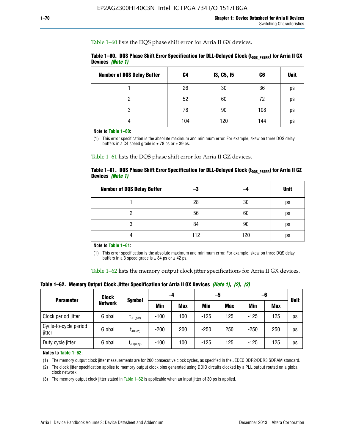Table 1–60 lists the DQS phase shift error for Arria II GX devices.

|                  | Table 1–60. DQS Phase Shift Error Specification for DLL-Delayed Clock ( $t_{\text{DOS PSERR}}$ ) for Arria II GX |  |
|------------------|------------------------------------------------------------------------------------------------------------------|--|
| Devices (Note 1) |                                                                                                                  |  |

| <b>Number of DQS Delay Buffer</b> | C <sub>4</sub> | I3, C5, I5 | C6  | <b>Unit</b> |
|-----------------------------------|----------------|------------|-----|-------------|
|                                   | 26             | 30         | 36  | ps          |
| റ                                 | 52             | 60         | 72  | ps          |
| 3                                 | 78             | 90         | 108 | ps          |
|                                   | 104            | 120        | 144 | ps          |

**Note to Table 1–60:**

(1) This error specification is the absolute maximum and minimum error. For example, skew on three DQS delay buffers in a C4 speed grade is  $\pm$  78 ps or  $\pm$  39 ps.

Table 1–61 lists the DQS phase shift error for Arria II GZ devices.

|                         |  | Table 1–61.DQS Phase Shift Error Specification for DLL-Delayed Clock (t <sub>oos PsERR</sub> ) for Arria II GZ |
|-------------------------|--|----------------------------------------------------------------------------------------------------------------|
| Devices <i>(Note 1)</i> |  |                                                                                                                |

| <b>Number of DQS Delay Buffer</b> | -3  |     | <b>Unit</b> |
|-----------------------------------|-----|-----|-------------|
|                                   | 28  | 30  | ps          |
|                                   | 56  | 60  | ps          |
| O                                 | 84  | 90  | ps          |
|                                   | 112 | 120 | ps          |

**Note to Table 1–61:**

(1) This error specification is the absolute maximum and minimum error. For example, skew on three DQS delay buffers in a 3 speed grade is  $\pm$  84 ps or  $\pm$  42 ps.

Table 1–62 lists the memory output clock jitter specifications for Arria II GX devices.

**Table 1–62. Memory Output Clock Jitter Specification for Arria II GX Devices** *(Note 1)***,** *(2)***,** *(3)*

| <b>Parameter</b>                | Clock          |                      |        | -5<br>-4   |        |            | -6         |            | <b>Unit</b> |
|---------------------------------|----------------|----------------------|--------|------------|--------|------------|------------|------------|-------------|
|                                 | <b>Network</b> | <b>Symbol</b>        | Min    | <b>Max</b> | Min    | <b>Max</b> | <b>Min</b> | <b>Max</b> |             |
| Clock period jitter             | Global         | $L$ JIT(per)         | $-100$ | 100        | $-125$ | 125        | $-125$     | 125        | ps          |
| Cycle-to-cycle period<br>jitter | Global         | $L_{\text{JIT(cc)}}$ | $-200$ | 200        | $-250$ | 250        | $-250$     | 250        | ps          |
| Duty cycle jitter               | Global         | $L$ JIT $(du$ ty $)$ | $-100$ | 100        | $-125$ | 125        | $-125$     | 125        | ps          |

**Notes to Table 1–62:**

(1) The memory output clock jitter measurements are for 200 consecutive clock cycles, as specified in the JEDEC DDR2/DDR3 SDRAM standard.

(2) The clock jitter specification applies to memory output clock pins generated using DDIO circuits clocked by a PLL output routed on a global clock network.

(3) The memory output clock jitter stated in Table  $1-62$  is applicable when an input jitter of 30 ps is applied.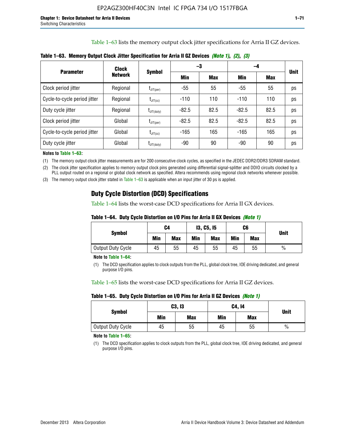Table 1–63 lists the memory output clock jitter specifications for Arria II GZ devices.

|                              | <b>Clock</b>   | <b>Symbol</b>          |         | -3         | -4      | <b>Unit</b> |    |
|------------------------------|----------------|------------------------|---------|------------|---------|-------------|----|
| <b>Parameter</b>             | <b>Network</b> |                        | Min     | <b>Max</b> | Min     | Max         |    |
| Clock period jitter          | Regional       | $t_{\text{JIT(per)}}$  | -55     | 55         | -55     | 55          | ps |
| Cycle-to-cycle period jitter | Regional       | $t_{\text{JIT(cc)}}$   | $-110$  | 110        | $-110$  | 110         | ps |
| Duty cycle jitter            | Regional       | $t_{\text{JIT(duty)}}$ | $-82.5$ | 82.5       | $-82.5$ | 82.5        | ps |
| Clock period jitter          | Global         | $t_{\text{JIT(per)}}$  | $-82.5$ | 82.5       | $-82.5$ | 82.5        | ps |
| Cycle-to-cycle period jitter | Global         | $t_{\text{JIT(cc)}}$   | $-165$  | 165        | $-165$  | 165         | ps |
| Duty cycle jitter            | Global         | $t_{\text{JIT(duty)}}$ | -90     | 90         | -90     | 90          | ps |

**Table 1–63. Memory Output Clock Jitter Specification for Arria II GZ Devices** *(Note 1)***,** *(2)***,** *(3)*

**Notes to Table 1–63:**

(1) The memory output clock jitter measurements are for 200 consecutive clock cycles, as specified in the JEDEC DDR2/DDR3 SDRAM standard.

(2) The clock jitter specification applies to memory output clock pins generated using differential signal-splitter and DDIO circuits clocked by a PLL output routed on a regional or global clock network as specified. Altera recommends using regional clock networks whenever possible.

(3) The memory output clock jitter stated in Table 1–63 is applicable when an input jitter of 30 ps is applied.

## **Duty Cycle Distortion (DCD) Specifications**

Table 1–64 lists the worst-case DCD specifications for Arria II GX devices.

| Table 1–64.  Duty Cycle Distortion on I/O Pins for Arria II GX Devices <i>(Note 1)</i> |  |  |
|----------------------------------------------------------------------------------------|--|--|
|----------------------------------------------------------------------------------------|--|--|

| <b>Symbol</b>     | C4  |            | <b>13, C5, 15</b> |            | C6  |            | <b>Unit</b>   |  |
|-------------------|-----|------------|-------------------|------------|-----|------------|---------------|--|
|                   | Min | <b>Max</b> | Min               | <b>Max</b> | Min | <b>Max</b> |               |  |
| Output Duty Cycle | 45  | 55         | 45                | 55         | 45  | 55         | $\frac{0}{0}$ |  |

**Note to Table 1–64:**

(1) The DCD specification applies to clock outputs from the PLL, global clock tree, IOE driving dedicated, and general purpose I/O pins.

Table 1–65 lists the worst-case DCD specifications for Arria II GZ devices.

**Table 1–65. Duty Cycle Distortion on I/O Pins for Arria II GZ Devices** *(Note 1)*

| <b>Symbol</b>     |     | C3, I3     | C4, 14 | <b>Unit</b> |      |  |
|-------------------|-----|------------|--------|-------------|------|--|
|                   | Min | <b>Max</b> | Min    | <b>Max</b>  |      |  |
| Output Duty Cycle | 45  | 55         | 45     | 55          | $\%$ |  |

**Note to Table 1–65:**

(1) The DCD specification applies to clock outputs from the PLL, global clock tree, IOE driving dedicated, and general purpose I/O pins.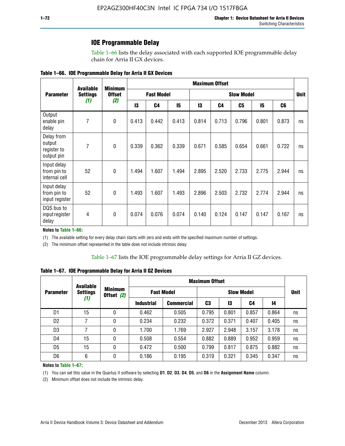### **IOE Programmable Delay**

Table 1–66 lists the delay associated with each supported IOE programmable delay chain for Arria II GX devices.

| Table 1–66. IOE Programmable Delay for Arria II GX Devices |
|------------------------------------------------------------|
|------------------------------------------------------------|

|                                                   | <b>Available</b> | <b>Minimum</b>       | <b>Maximum Offset</b> |                |                   |       |                |       |       |                |    |
|---------------------------------------------------|------------------|----------------------|-----------------------|----------------|-------------------|-------|----------------|-------|-------|----------------|----|
| <b>Parameter</b>                                  | <b>Settings</b>  | <b>Offset</b><br>(2) | <b>Fast Model</b>     |                | <b>Slow Model</b> |       |                |       |       | <b>Unit</b>    |    |
|                                                   | (1)              |                      | 13                    | C <sub>4</sub> | 15                | 13    | C <sub>4</sub> | C5    | 15    | C <sub>6</sub> |    |
| Output<br>enable pin<br>delay                     | 7                | $\mathbf 0$          | 0.413                 | 0.442          | 0.413             | 0.814 | 0.713          | 0.796 | 0.801 | 0.873          | ns |
| Delay from<br>output<br>register to<br>output pin | 7                | $\mathbf 0$          | 0.339                 | 0.362          | 0.339             | 0.671 | 0.585          | 0.654 | 0.661 | 0.722          | ns |
| Input delay<br>from pin to<br>internal cell       | 52               | $\mathbf{0}$         | 1.494                 | 1.607          | 1.494             | 2.895 | 2.520          | 2.733 | 2.775 | 2.944          | ns |
| Input delay<br>from pin to<br>input register      | 52               | $\mathbf{0}$         | 1.493                 | 1.607          | 1.493             | 2.896 | 2.503          | 2.732 | 2.774 | 2.944          | ns |
| DQS bus to<br>input register<br>delay             | 4                | $\mathbf 0$          | 0.074                 | 0.076          | 0.074             | 0.140 | 0.124          | 0.147 | 0.147 | 0.167          | ns |

**Notes to Table 1–66:**

(1) The available setting for every delay chain starts with zero and ends with the specified maximum number of settings.

(2) The minimum offset represented in the table does not include intrinsic delay.

**Table 1–67. IOE Programmable Delay for Arria II GZ Devices**

|                  | <b>Available</b> |   | <b>Maximum Offset</b>        |                   |                   |       |       |       |             |
|------------------|------------------|---|------------------------------|-------------------|-------------------|-------|-------|-------|-------------|
| <b>Parameter</b> | <b>Settings</b>  |   | <b>Minimum</b><br>Offset (2) | <b>Fast Model</b> | <b>Slow Model</b> |       |       |       | <b>Unit</b> |
| (1)              |                  |   | <b>Industrial</b>            | <b>Commercial</b> | C3                | 13    | C4    | 14    |             |
| D1               | 15               | 0 | 0.462                        | 0.505             | 0.795             | 0.801 | 0.857 | 0.864 | ns          |
| D <sub>2</sub>   | 7                | 0 | 0.234                        | 0.232             | 0.372             | 0.371 | 0.407 | 0.405 | ns          |
| D <sub>3</sub>   | 7                | 0 | 1.700                        | 1.769             | 2.927             | 2.948 | 3.157 | 3.178 | ns          |
| D4               | 15               | 0 | 0.508                        | 0.554             | 0.882             | 0.889 | 0.952 | 0.959 | ns          |
| D <sub>5</sub>   | 15               | 0 | 0.472                        | 0.500             | 0.799             | 0.817 | 0.875 | 0.882 | ns          |
| D <sub>6</sub>   | 6                | 0 | 0.186                        | 0.195             | 0.319             | 0.321 | 0.345 | 0.347 | ns          |

#### **Notes to Table 1–67:**

(1) You can set this value in the Quartus II software by selecting **D1**, **D2**, **D3**, **D4**, **D5**, and **D6** in the **Assignment Name** column.

(2) Minimum offset does not include the intrinsic delay.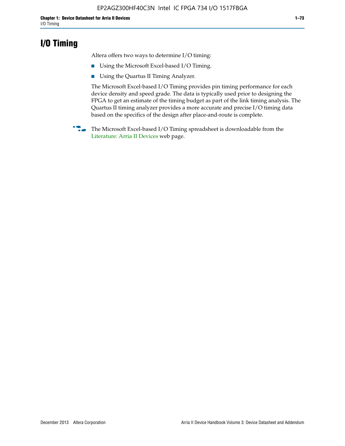# **I/O Timing**

Altera offers two ways to determine I/O timing:

- Using the Microsoft Excel-based I/O Timing.
- Using the Quartus II Timing Analyzer.

The Microsoft Excel-based I/O Timing provides pin timing performance for each device density and speed grade. The data is typically used prior to designing the FPGA to get an estimate of the timing budget as part of the link timing analysis. The Quartus II timing analyzer provides a more accurate and precise I/O timing data based on the specifics of the design after place-and-route is complete.

**f The Microsoft Excel-based I/O Timing spreadsheet is downloadable from the** [Literature: Arria II Devices](http://www.altera.com/literature/lit-arria-ii-gx.jsp) web page.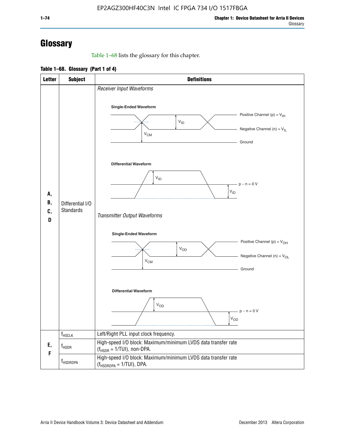# **Glossary**

Table 1–68 lists the glossary for this chapter.

**Table 1–68. Glossary (Part 1 of 4)**

| <b>Letter</b>       | <b>Subject</b>                | <b>Definitions</b>                                                                                                                                                      |
|---------------------|-------------------------------|-------------------------------------------------------------------------------------------------------------------------------------------------------------------------|
|                     |                               | Receiver Input Waveforms<br><b>Single-Ended Waveform</b><br>Positive Channel (p) = $V_{\text{IH}}$<br>$V_{ID}$<br>Negative Channel (n) = $V_{IL}$<br>$V_{CM}$<br>Ground |
| А,<br>В,<br>C,<br>D | Differential I/O<br>Standards | <b>Differential Waveform</b><br>$V_{ID}$<br>$-p - n = 0 V$<br>$\rm V_{ID}$<br>Transmitter Output Waveforms                                                              |
|                     |                               | Single-Ended Waveform<br>Positive Channel (p) = $V_{OH}$<br>$V_{OD}$<br>Negative Channel (n) = $V_{OL}$<br>$V_{CM}$<br>Ground<br><b>Differential Waveform</b>           |
|                     |                               | $\mathsf{V}_{\mathsf{OD}}$<br>$p - n = 0 V$<br>$V_{OD}$                                                                                                                 |
|                     | $f_{HSCLK}$                   | Left/Right PLL input clock frequency.                                                                                                                                   |
| E,<br>F             | $f_{\rm HSDR}$                | High-speed I/O block: Maximum/minimum LVDS data transfer rate<br>$(f_{HSDR} = 1/TUI)$ , non-DPA.                                                                        |
|                     | f <sub>HSDRDPA</sub>          | High-speed I/O block: Maximum/minimum LVDS data transfer rate<br>$(f_{HSDRDPA} = 1/TUI)$ , DPA.                                                                         |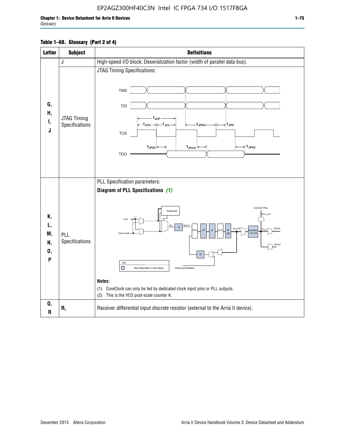### EP2AGZ300HF40C3N Intel IC FPGA 734 I/O 1517FBGA

Г

| <b>Letter</b>                   | <b>Subject</b>                       | <b>Definitions</b>                                                                                                                                                                                                                                                                                                                                                                                                                                                                                 |
|---------------------------------|--------------------------------------|----------------------------------------------------------------------------------------------------------------------------------------------------------------------------------------------------------------------------------------------------------------------------------------------------------------------------------------------------------------------------------------------------------------------------------------------------------------------------------------------------|
|                                 | J                                    | High-speed I/O block: Deserialization factor (width of parallel data bus).                                                                                                                                                                                                                                                                                                                                                                                                                         |
| G,<br>Н,<br>Ι,<br>J             | <b>JTAG Timing</b><br>Specifications | JTAG Timing Specifications:<br><b>TMS</b><br>TDI<br>t.ıcp<br>-t <sub>JCH</sub> → ← t <sub>JCL</sub><br>-∶t <sub>JPН</sub><br>t <sub>JPSU</sub><br><b>TCK</b><br>t <sub>JPZX</sub> :<br>$t_{\text{JPCO}}$<br>≠ t <sub>JPXZ</sub><br><b>TDO</b>                                                                                                                                                                                                                                                      |
| Κ,<br>L,<br>M,<br>N,<br>0,<br>P | PLL<br>Specifications                | PLL Specification parameters:<br>Diagram of PLL Specifications (1)<br><b>CLKOUT Pins</b><br>Switchover<br>fout_ext<br>CLK<br>TINPED<br>f <sub>vco</sub> /K<br><b>GCLK</b><br>fоıл<br>CP<br><b>IF</b><br>κ<br><b>FD</b><br>vco<br>punter<br>Core Clock<br>CO.C9<br>(2)<br><b>RCLK</b><br>M<br>Key<br>П<br>External Feedback<br>Reconfigurable in User Mode<br>Notes:<br>(1) CoreClock can only be fed by dedicated clock input pins or PLL outputs.<br>This is the VCO post-scale counter K.<br>(2) |
| Q,<br>R                         | $R_L$                                | Receiver differential input discrete resistor (external to the Arria II device).                                                                                                                                                                                                                                                                                                                                                                                                                   |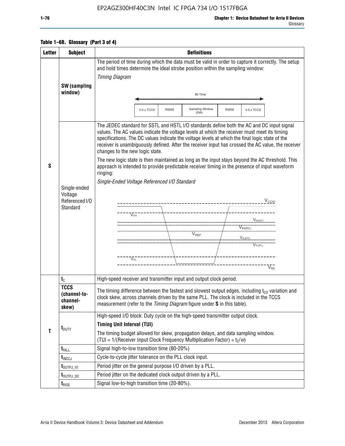### EP2AGZ300HF40C3N Intel IC FPGA 734 I/O 1517FBGA

### **Table 1–68. Glossary (Part 3 of 4)**

| <b>Letter</b> | <b>Subject</b>                                        | <b>Definitions</b>                                                                                                                                                                                                                                                                                                                                                                                                                                                                                                                                                                                                                                                                                                                                                                                                                                                                                                            |  |  |  |  |  |
|---------------|-------------------------------------------------------|-------------------------------------------------------------------------------------------------------------------------------------------------------------------------------------------------------------------------------------------------------------------------------------------------------------------------------------------------------------------------------------------------------------------------------------------------------------------------------------------------------------------------------------------------------------------------------------------------------------------------------------------------------------------------------------------------------------------------------------------------------------------------------------------------------------------------------------------------------------------------------------------------------------------------------|--|--|--|--|--|
|               |                                                       | The period of time during which the data must be valid in order to capture it correctly. The setup<br>and hold times determine the ideal strobe position within the sampling window:<br><b>Timing Diagram</b>                                                                                                                                                                                                                                                                                                                                                                                                                                                                                                                                                                                                                                                                                                                 |  |  |  |  |  |
|               | SW (sampling<br>window)                               | <b>Bit Time</b>                                                                                                                                                                                                                                                                                                                                                                                                                                                                                                                                                                                                                                                                                                                                                                                                                                                                                                               |  |  |  |  |  |
|               |                                                       | Sampling Window<br>0.5 x TCCS<br><b>RSKM</b><br><b>RSKM</b><br>0.5 x TCCS<br>(SW)                                                                                                                                                                                                                                                                                                                                                                                                                                                                                                                                                                                                                                                                                                                                                                                                                                             |  |  |  |  |  |
| S             | Single-ended<br>Voltage<br>Referenced I/O<br>Standard | The JEDEC standard for SSTL and HSTL I/O standards define both the AC and DC input signal<br>values. The AC values indicate the voltage levels at which the receiver must meet its timing<br>specifications. The DC values indicate the voltage levels at which the final logic state of the<br>receiver is unambiguously defined. After the receiver input has crossed the AC value, the receiver<br>changes to the new logic state.<br>The new logic state is then maintained as long as the input stays beyond the AC threshold. This<br>approach is intended to provide predictable receiver timing in the presence of input waveform<br>ringing:<br>Single-Ended Voltage Referenced I/O Standard<br>$V_{\text{CCIO}}$<br>----------------------------<br>$\nabla_{\!\!\scriptscriptstyle\rm OH}$<br>$V_{H(AC)}$<br>$V_{IH(DC)}$<br>V <sub>REF</sub><br>VIL(DC)<br>$V_{IL(AC)}$<br>$V_{\Omega}$<br>$\rm\overline{V_{SS}}$ |  |  |  |  |  |
|               | $t_{\rm C}$                                           | High-speed receiver and transmitter input and output clock period.                                                                                                                                                                                                                                                                                                                                                                                                                                                                                                                                                                                                                                                                                                                                                                                                                                                            |  |  |  |  |  |
| $\mathbf{T}$  | <b>TCCS</b><br>(channel-to-<br>channel-<br>skew)      | The timing difference between the fastest and slowest output edges, including $t_{c0}$ variation and<br>clock skew, across channels driven by the same PLL. The clock is included in the TCCS<br>measurement (refer to the Timing Diagram figure under S in this table).                                                                                                                                                                                                                                                                                                                                                                                                                                                                                                                                                                                                                                                      |  |  |  |  |  |
|               | $t_{\text{DUTY}}$                                     | High-speed I/O block: Duty cycle on the high-speed transmitter output clock.<br><b>Timing Unit Interval (TUI)</b><br>The timing budget allowed for skew, propagation delays, and data sampling window.<br>(TUI = $1/($ Receiver Input Clock Frequency Multiplication Factor) = $t_c/w$ )                                                                                                                                                                                                                                                                                                                                                                                                                                                                                                                                                                                                                                      |  |  |  |  |  |
|               | $t_{FALL}$                                            | Signal high-to-low transition time (80-20%)                                                                                                                                                                                                                                                                                                                                                                                                                                                                                                                                                                                                                                                                                                                                                                                                                                                                                   |  |  |  |  |  |
|               | $t_{\text{INCCJ}}$                                    | Cycle-to-cycle jitter tolerance on the PLL clock input.                                                                                                                                                                                                                                                                                                                                                                                                                                                                                                                                                                                                                                                                                                                                                                                                                                                                       |  |  |  |  |  |
|               | $t_{\text{OUTPJ\_10}}$                                | Period jitter on the general purpose I/O driven by a PLL.                                                                                                                                                                                                                                                                                                                                                                                                                                                                                                                                                                                                                                                                                                                                                                                                                                                                     |  |  |  |  |  |
|               | t <sub>outpj_dc</sub>                                 | Period jitter on the dedicated clock output driven by a PLL.                                                                                                                                                                                                                                                                                                                                                                                                                                                                                                                                                                                                                                                                                                                                                                                                                                                                  |  |  |  |  |  |
|               | $t_{\text{RISE}}$                                     | Signal low-to-high transition time (20-80%).                                                                                                                                                                                                                                                                                                                                                                                                                                                                                                                                                                                                                                                                                                                                                                                                                                                                                  |  |  |  |  |  |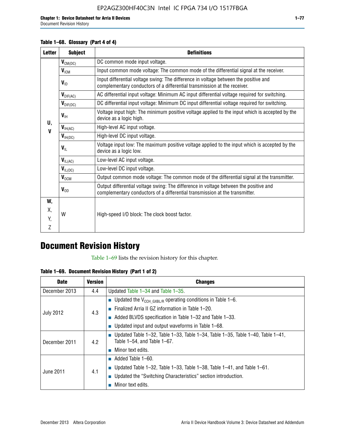#### **Table 1–68. Glossary (Part 4 of 4)**

| <b>Letter</b> | <b>Subject</b>       | <b>Definitions</b>                                                                                                                                                   |
|---------------|----------------------|----------------------------------------------------------------------------------------------------------------------------------------------------------------------|
|               | $V_{CM(DC)}$         | DC common mode input voltage.                                                                                                                                        |
|               | V <sub>ICM</sub>     | Input common mode voltage: The common mode of the differential signal at the receiver.                                                                               |
|               | $V_{ID}$             | Input differential voltage swing: The difference in voltage between the positive and<br>complementary conductors of a differential transmission at the receiver.     |
|               | $V_{\text{DIF(AC)}}$ | AC differential input voltage: Minimum AC input differential voltage required for switching.                                                                         |
|               | $V_{\text{DIF(DC)}}$ | DC differential input voltage: Minimum DC input differential voltage required for switching.                                                                         |
| U,            | $V_{\text{IH}}$      | Voltage input high: The minimum positive voltage applied to the input which is accepted by the<br>device as a logic high.                                            |
| $\mathbf V$   | $V_{\text{IH(AC)}}$  | High-level AC input voltage.                                                                                                                                         |
|               | $V_{H(DC)}$          | High-level DC input voltage.                                                                                                                                         |
|               | $V_{\text{IL}}$      | Voltage input low: The maximum positive voltage applied to the input which is accepted by the<br>device as a logic low.                                              |
|               | $V_{IL(AC)}$         | Low-level AC input voltage.                                                                                                                                          |
|               | $V_{IL(DC)}$         | Low-level DC input voltage.                                                                                                                                          |
|               | $V_{OCM}$            | Output common mode voltage: The common mode of the differential signal at the transmitter.                                                                           |
|               | $V_{OD}$             | Output differential voltage swing: The difference in voltage between the positive and<br>complementary conductors of a differential transmission at the transmitter. |
| W,            |                      |                                                                                                                                                                      |
| Χ,            | W                    | High-speed I/O block: The clock boost factor.                                                                                                                        |
| Y.            |                      |                                                                                                                                                                      |
| Z             |                      |                                                                                                                                                                      |

# **Document Revision History**

Table 1–69 lists the revision history for this chapter.

**Table 1–69. Document Revision History (Part 1 of 2)**

| <b>Date</b>      | <b>Version</b> | <b>Changes</b>                                                                                                                |
|------------------|----------------|-------------------------------------------------------------------------------------------------------------------------------|
| December 2013    | 4.4            | Updated Table $1-34$ and Table $1-35$ .                                                                                       |
|                  |                | ■ Updated the $V_{CCH GXBL/R}$ operating conditions in Table 1–6.                                                             |
|                  | 4.3            | ■ Finalized Arria II GZ information in Table $1-20$ .                                                                         |
| <b>July 2012</b> |                | $\blacksquare$ Added BLVDS specification in Table 1-32 and Table 1-33.                                                        |
|                  |                | <b>Updated input and output waveforms in Table 1–68.</b>                                                                      |
| December 2011    | 4.2            | $\blacksquare$ Updated Table 1-32, Table 1-33, Table 1-34, Table 1-35, Table 1-40, Table 1-41,<br>Table 1-54, and Table 1-67. |
|                  |                | $\blacksquare$ Minor text edits.                                                                                              |
|                  |                | $\blacksquare$ Added Table 1–60.                                                                                              |
|                  |                | Updated Table 1-32, Table 1-33, Table 1-38, Table 1-41, and Table 1-61.                                                       |
| June 2011        | 4.1            | ■ Updated the "Switching Characteristics" section introduction.                                                               |
|                  |                | Minor text edits.                                                                                                             |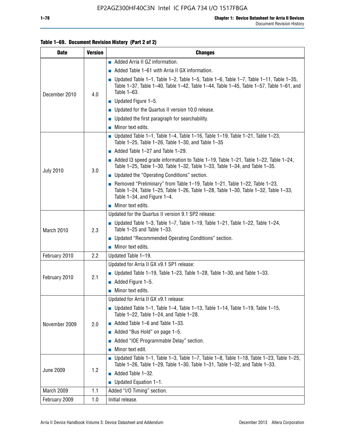#### **Table 1–69. Document Revision History (Part 2 of 2)**

| <b>Date</b>      | <b>Version</b> | <b>Changes</b>                                                                                                                                                                                                  |
|------------------|----------------|-----------------------------------------------------------------------------------------------------------------------------------------------------------------------------------------------------------------|
|                  |                | Added Arria II GZ information.                                                                                                                                                                                  |
|                  |                | $\blacksquare$ Added Table 1–61 with Arria II GX information.                                                                                                                                                   |
| December 2010    | 4.0            | $\blacksquare$ Updated Table 1-1, Table 1-2, Table 1-5, Table 1-6, Table 1-7, Table 1-11, Table 1-35,<br>Table 1-37, Table 1-40, Table 1-42, Table 1-44, Table 1-45, Table 1-57, Table 1-61, and<br>Table 1-63. |
|                  |                | $\blacksquare$ Updated Figure 1-5.                                                                                                                                                                              |
|                  |                | Updated for the Quartus II version 10.0 release.                                                                                                                                                                |
|                  |                | $\blacksquare$ Updated the first paragraph for searchability.                                                                                                                                                   |
|                  |                | $\blacksquare$ Minor text edits.                                                                                                                                                                                |
|                  |                | Updated Table 1-1, Table 1-4, Table 1-16, Table 1-19, Table 1-21, Table 1-23,<br>Table 1-25, Table 1-26, Table 1-30, and Table 1-35                                                                             |
|                  |                | $\blacksquare$ Added Table 1-27 and Table 1-29.                                                                                                                                                                 |
|                  | 3.0            | Added 13 speed grade information to Table 1-19, Table 1-21, Table 1-22, Table 1-24,<br>Table 1-25, Table 1-30, Table 1-32, Table 1-33, Table 1-34, and Table 1-35.                                              |
| <b>July 2010</b> |                | <b>Updated the "Operating Conditions" section.</b>                                                                                                                                                              |
|                  |                | Removed "Preliminary" from Table $1-19$ , Table $1-21$ , Table $1-22$ , Table $1-23$ ,<br>Table 1-24, Table 1-25, Table 1-26, Table 1-28, Table 1-30, Table 1-32, Table 1-33,<br>Table 1-34, and Figure 1-4.    |
|                  |                | $\blacksquare$ Minor text edits.                                                                                                                                                                                |
|                  | 2.3            | Updated for the Quartus II version 9.1 SP2 release:                                                                                                                                                             |
| March 2010       |                | Updated Table 1–3, Table 1–7, Table 1–19, Table 1–21, Table 1–22, Table 1–24,<br>Table 1-25 and Table 1-33.                                                                                                     |
|                  |                | • Updated "Recommended Operating Conditions" section.                                                                                                                                                           |
|                  |                | $\blacksquare$ Minor text edits.                                                                                                                                                                                |
| February 2010    | 2.2            | Updated Table 1-19.                                                                                                                                                                                             |
|                  |                | Updated for Arria II GX v9.1 SP1 release:                                                                                                                                                                       |
| February 2010    | 2.1            | Updated Table 1–19, Table 1–23, Table 1–28, Table 1–30, and Table 1–33.                                                                                                                                         |
|                  |                | $\blacksquare$ Added Figure 1-5.                                                                                                                                                                                |
|                  |                | $\blacksquare$ Minor text edits.                                                                                                                                                                                |
|                  |                | Updated for Arria II GX v9.1 release:                                                                                                                                                                           |
|                  |                | <b>Updated Table 1–1, Table 1–4, Table 1–13, Table 1–14, Table 1–19, Table 1–15,</b><br>Table 1-22, Table 1-24, and Table 1-28.                                                                                 |
| November 2009    | 2.0            | $\blacksquare$ Added Table 1-6 and Table 1-33.                                                                                                                                                                  |
|                  |                | Added "Bus Hold" on page 1-5.                                                                                                                                                                                   |
|                  |                | Added "IOE Programmable Delay" section.                                                                                                                                                                         |
|                  |                | Minor text edit.                                                                                                                                                                                                |
| <b>June 2009</b> |                | <b>Updated Table 1–1, Table 1–3, Table 1–7, Table 1–8, Table 1–18, Table 1–23, Table 1–25,</b><br>Table 1-26, Table 1-29, Table 1-30, Table 1-31, Table 1-32, and Table 1-33.                                   |
|                  | 1.2            | Added Table 1-32.                                                                                                                                                                                               |
|                  |                | Updated Equation 1-1.<br>п                                                                                                                                                                                      |
| March 2009       | 1.1            | Added "I/O Timing" section.                                                                                                                                                                                     |
| February 2009    | 1.0            | Initial release.                                                                                                                                                                                                |